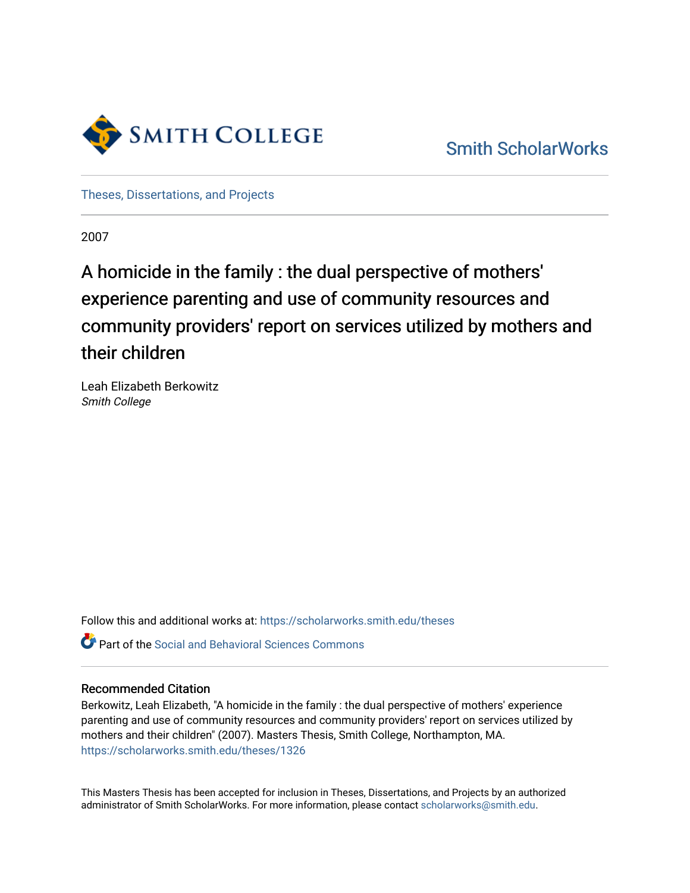

[Smith ScholarWorks](https://scholarworks.smith.edu/) 

[Theses, Dissertations, and Projects](https://scholarworks.smith.edu/theses) 

2007

## A homicide in the family : the dual perspective of mothers' experience parenting and use of community resources and community providers' report on services utilized by mothers and their children

Leah Elizabeth Berkowitz Smith College

Follow this and additional works at: [https://scholarworks.smith.edu/theses](https://scholarworks.smith.edu/theses?utm_source=scholarworks.smith.edu%2Ftheses%2F1326&utm_medium=PDF&utm_campaign=PDFCoverPages) 

Part of the [Social and Behavioral Sciences Commons](http://network.bepress.com/hgg/discipline/316?utm_source=scholarworks.smith.edu%2Ftheses%2F1326&utm_medium=PDF&utm_campaign=PDFCoverPages) 

## Recommended Citation

Berkowitz, Leah Elizabeth, "A homicide in the family : the dual perspective of mothers' experience parenting and use of community resources and community providers' report on services utilized by mothers and their children" (2007). Masters Thesis, Smith College, Northampton, MA. [https://scholarworks.smith.edu/theses/1326](https://scholarworks.smith.edu/theses/1326?utm_source=scholarworks.smith.edu%2Ftheses%2F1326&utm_medium=PDF&utm_campaign=PDFCoverPages)

This Masters Thesis has been accepted for inclusion in Theses, Dissertations, and Projects by an authorized administrator of Smith ScholarWorks. For more information, please contact [scholarworks@smith.edu](mailto:scholarworks@smith.edu).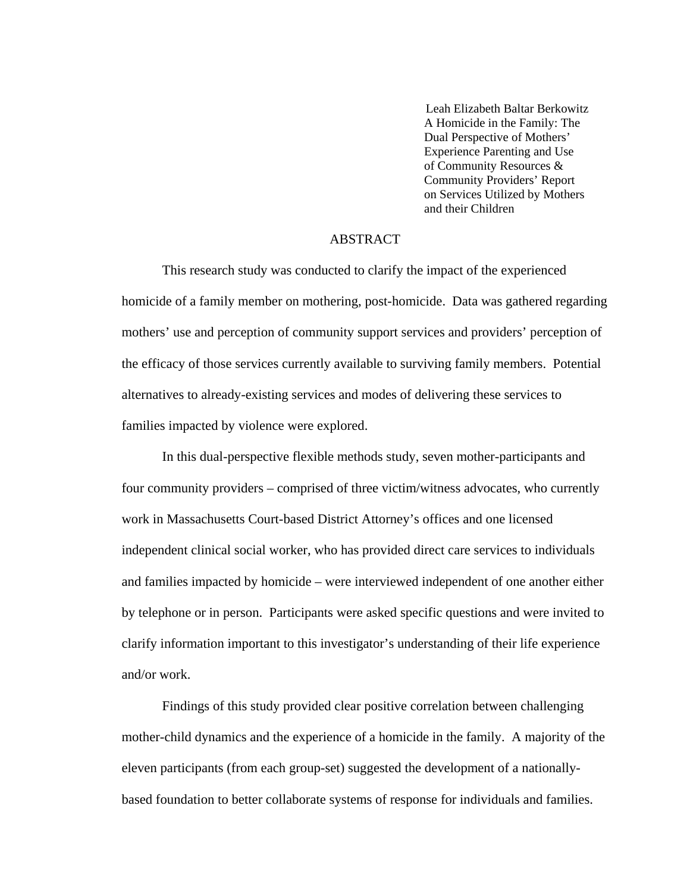Leah Elizabeth Baltar Berkowitz A Homicide in the Family: The Dual Perspective of Mothers' Experience Parenting and Use of Community Resources & Community Providers' Report on Services Utilized by Mothers and their Children

## ABSTRACT

This research study was conducted to clarify the impact of the experienced homicide of a family member on mothering, post-homicide. Data was gathered regarding mothers' use and perception of community support services and providers' perception of the efficacy of those services currently available to surviving family members. Potential alternatives to already-existing services and modes of delivering these services to families impacted by violence were explored.

 In this dual-perspective flexible methods study, seven mother-participants and four community providers – comprised of three victim/witness advocates, who currently work in Massachusetts Court-based District Attorney's offices and one licensed independent clinical social worker, who has provided direct care services to individuals and families impacted by homicide – were interviewed independent of one another either by telephone or in person. Participants were asked specific questions and were invited to clarify information important to this investigator's understanding of their life experience and/or work.

 Findings of this study provided clear positive correlation between challenging mother-child dynamics and the experience of a homicide in the family. A majority of the eleven participants (from each group-set) suggested the development of a nationallybased foundation to better collaborate systems of response for individuals and families.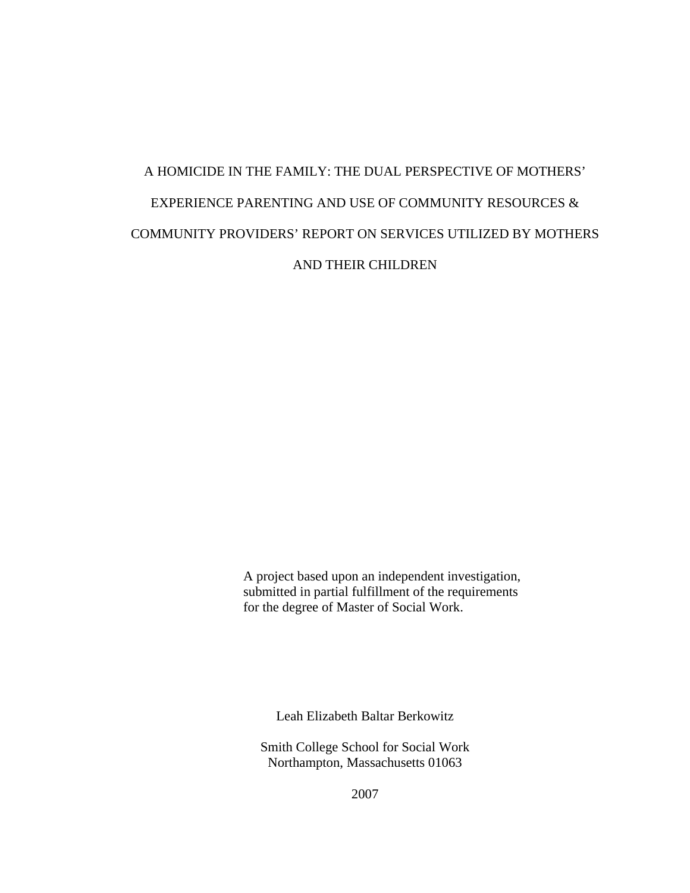# A HOMICIDE IN THE FAMILY: THE DUAL PERSPECTIVE OF MOTHERS' EXPERIENCE PARENTING AND USE OF COMMUNITY RESOURCES & COMMUNITY PROVIDERS' REPORT ON SERVICES UTILIZED BY MOTHERS AND THEIR CHILDREN

 A project based upon an independent investigation, submitted in partial fulfillment of the requirements for the degree of Master of Social Work.

Leah Elizabeth Baltar Berkowitz

Smith College School for Social Work Northampton, Massachusetts 01063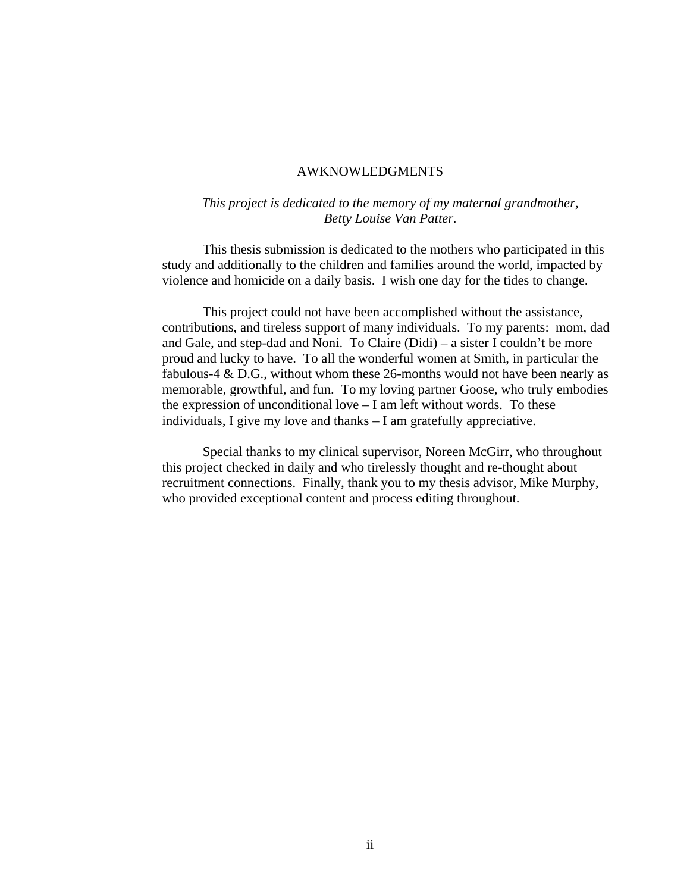#### AWKNOWLEDGMENTS

## *This project is dedicated to the memory of my maternal grandmother, Betty Louise Van Patter.*

This thesis submission is dedicated to the mothers who participated in this study and additionally to the children and families around the world, impacted by violence and homicide on a daily basis. I wish one day for the tides to change.

This project could not have been accomplished without the assistance, contributions, and tireless support of many individuals. To my parents: mom, dad and Gale, and step-dad and Noni. To Claire (Didi) – a sister I couldn't be more proud and lucky to have. To all the wonderful women at Smith, in particular the fabulous-4 & D.G., without whom these 26-months would not have been nearly as memorable, growthful, and fun. To my loving partner Goose, who truly embodies the expression of unconditional love – I am left without words. To these individuals, I give my love and thanks – I am gratefully appreciative.

Special thanks to my clinical supervisor, Noreen McGirr, who throughout this project checked in daily and who tirelessly thought and re-thought about recruitment connections. Finally, thank you to my thesis advisor, Mike Murphy, who provided exceptional content and process editing throughout.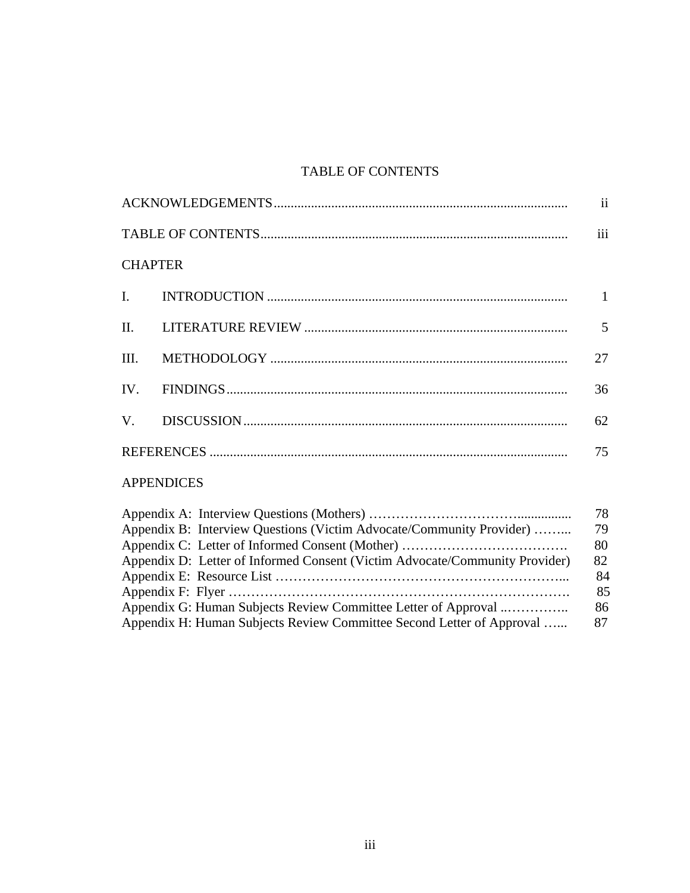## TABLE OF CONTENTS

|                   | $\overline{\mathbf{u}}$ |
|-------------------|-------------------------|
|                   | iii                     |
| <b>CHAPTER</b>    |                         |
|                   |                         |
|                   |                         |
|                   | 27                      |
|                   | 36                      |
|                   | 62                      |
|                   | 75                      |
| <b>APPENDICES</b> |                         |
|                   | 78                      |
|                   |                         |

| Appendix B: Interview Questions (Victim Advocate/Community Provider)        | 79  |
|-----------------------------------------------------------------------------|-----|
|                                                                             | 80  |
| Appendix D: Letter of Informed Consent (Victim Advocate/Community Provider) | 82  |
|                                                                             | 84  |
|                                                                             | 85  |
| Appendix G: Human Subjects Review Committee Letter of Approval              | 86. |
| Appendix H: Human Subjects Review Committee Second Letter of Approval       | 87  |
|                                                                             |     |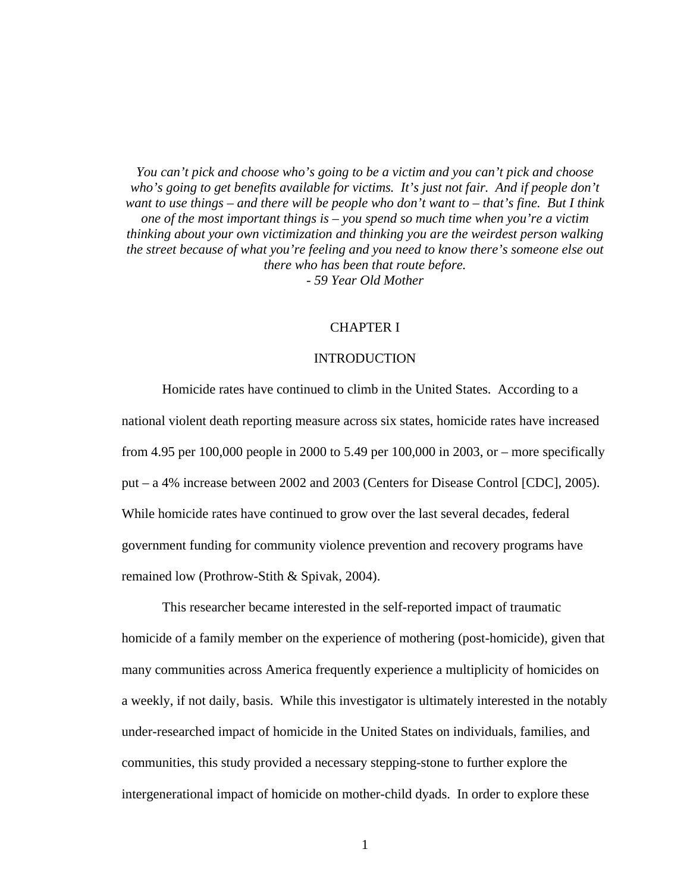*You can't pick and choose who's going to be a victim and you can't pick and choose who's going to get benefits available for victims. It's just not fair. And if people don't want to use things – and there will be people who don't want to – that's fine. But I think one of the most important things is – you spend so much time when you're a victim thinking about your own victimization and thinking you are the weirdest person walking the street because of what you're feeling and you need to know there's someone else out there who has been that route before. - 59 Year Old Mother* 

#### CHAPTER I

#### INTRODUCTION

Homicide rates have continued to climb in the United States. According to a national violent death reporting measure across six states, homicide rates have increased from 4.95 per 100,000 people in 2000 to 5.49 per 100,000 in 2003, or – more specifically put – a 4% increase between 2002 and 2003 (Centers for Disease Control [CDC], 2005). While homicide rates have continued to grow over the last several decades, federal government funding for community violence prevention and recovery programs have remained low (Prothrow-Stith & Spivak, 2004).

This researcher became interested in the self-reported impact of traumatic homicide of a family member on the experience of mothering (post-homicide), given that many communities across America frequently experience a multiplicity of homicides on a weekly, if not daily, basis. While this investigator is ultimately interested in the notably under-researched impact of homicide in the United States on individuals, families, and communities, this study provided a necessary stepping-stone to further explore the intergenerational impact of homicide on mother-child dyads. In order to explore these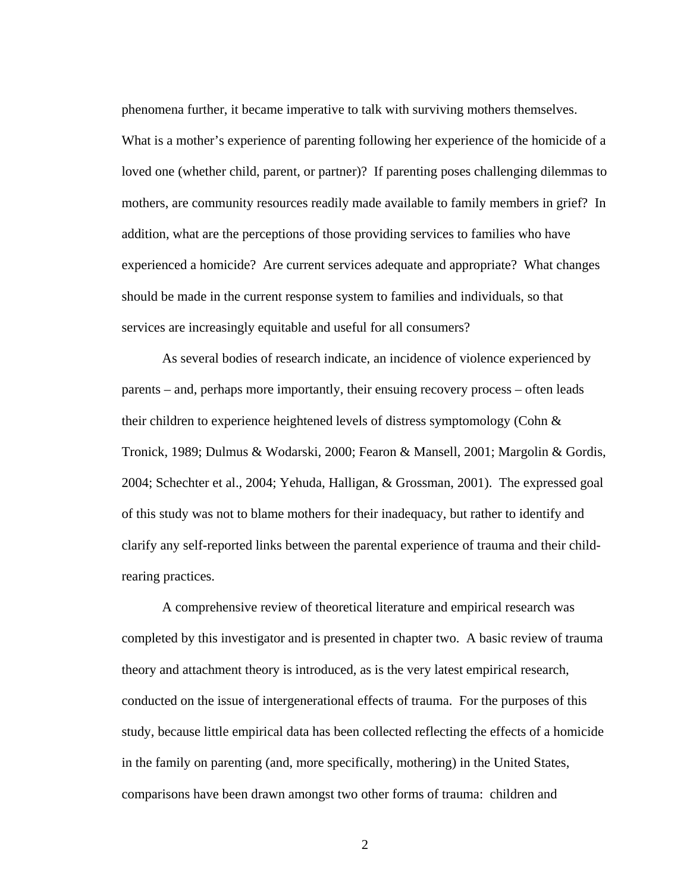phenomena further, it became imperative to talk with surviving mothers themselves. What is a mother's experience of parenting following her experience of the homicide of a loved one (whether child, parent, or partner)? If parenting poses challenging dilemmas to mothers, are community resources readily made available to family members in grief? In addition, what are the perceptions of those providing services to families who have experienced a homicide? Are current services adequate and appropriate? What changes should be made in the current response system to families and individuals, so that services are increasingly equitable and useful for all consumers?

As several bodies of research indicate, an incidence of violence experienced by parents – and, perhaps more importantly, their ensuing recovery process – often leads their children to experience heightened levels of distress symptomology (Cohn & Tronick, 1989; Dulmus & Wodarski, 2000; Fearon & Mansell, 2001; Margolin & Gordis, 2004; Schechter et al., 2004; Yehuda, Halligan, & Grossman, 2001). The expressed goal of this study was not to blame mothers for their inadequacy, but rather to identify and clarify any self-reported links between the parental experience of trauma and their childrearing practices.

A comprehensive review of theoretical literature and empirical research was completed by this investigator and is presented in chapter two. A basic review of trauma theory and attachment theory is introduced, as is the very latest empirical research, conducted on the issue of intergenerational effects of trauma. For the purposes of this study, because little empirical data has been collected reflecting the effects of a homicide in the family on parenting (and, more specifically, mothering) in the United States, comparisons have been drawn amongst two other forms of trauma: children and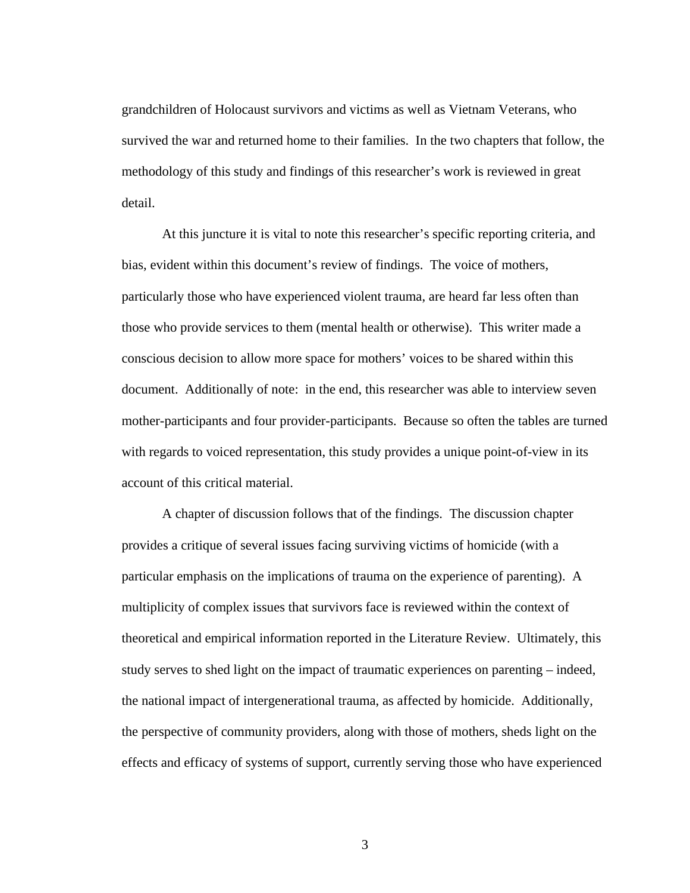grandchildren of Holocaust survivors and victims as well as Vietnam Veterans, who survived the war and returned home to their families. In the two chapters that follow, the methodology of this study and findings of this researcher's work is reviewed in great detail.

At this juncture it is vital to note this researcher's specific reporting criteria, and bias, evident within this document's review of findings. The voice of mothers, particularly those who have experienced violent trauma, are heard far less often than those who provide services to them (mental health or otherwise). This writer made a conscious decision to allow more space for mothers' voices to be shared within this document. Additionally of note: in the end, this researcher was able to interview seven mother-participants and four provider-participants. Because so often the tables are turned with regards to voiced representation, this study provides a unique point-of-view in its account of this critical material.

A chapter of discussion follows that of the findings. The discussion chapter provides a critique of several issues facing surviving victims of homicide (with a particular emphasis on the implications of trauma on the experience of parenting). A multiplicity of complex issues that survivors face is reviewed within the context of theoretical and empirical information reported in the Literature Review. Ultimately, this study serves to shed light on the impact of traumatic experiences on parenting – indeed, the national impact of intergenerational trauma, as affected by homicide. Additionally, the perspective of community providers, along with those of mothers, sheds light on the effects and efficacy of systems of support, currently serving those who have experienced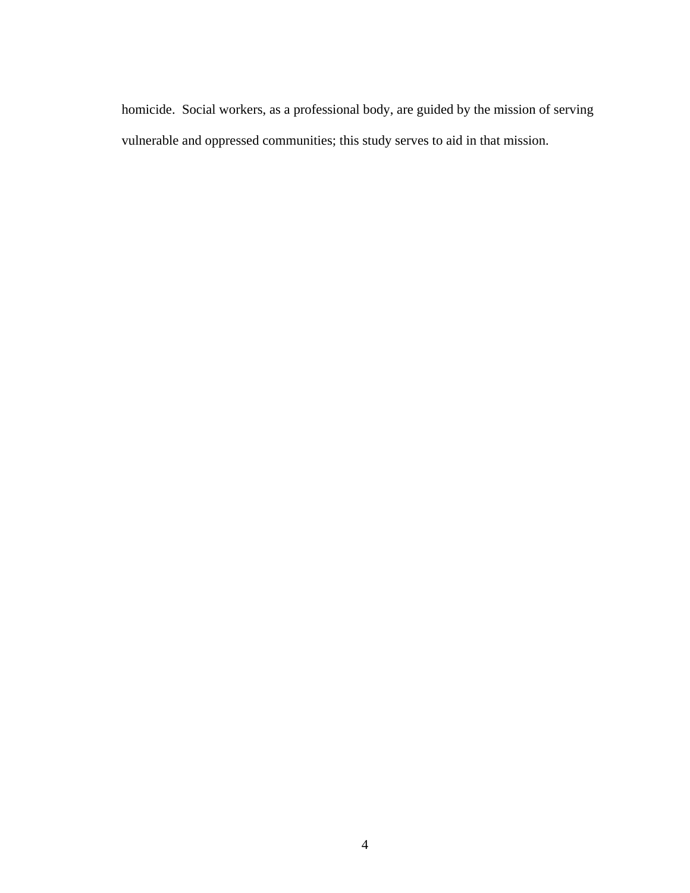homicide. Social workers, as a professional body, are guided by the mission of serving vulnerable and oppressed communities; this study serves to aid in that mission.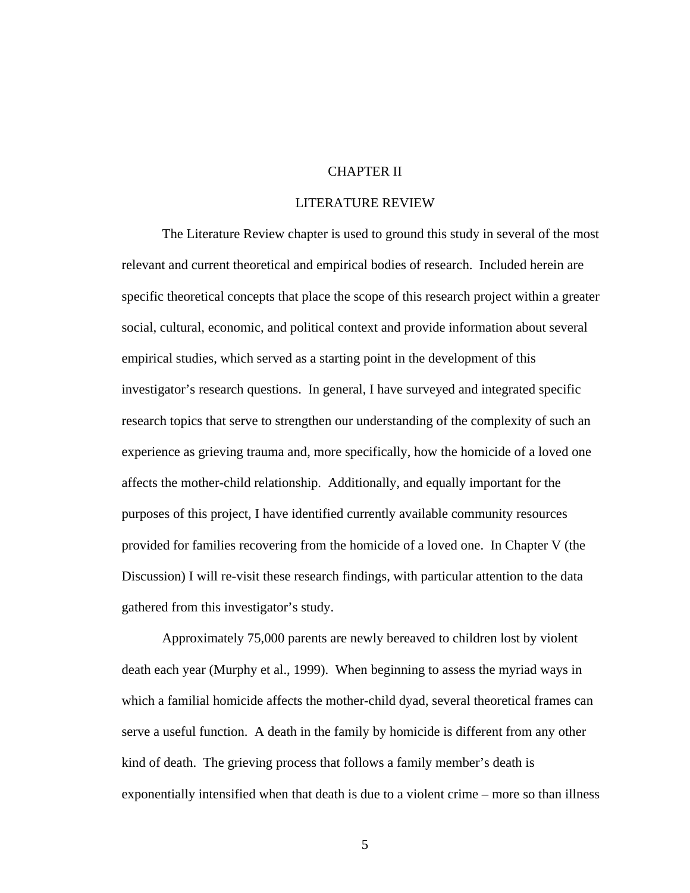## CHAPTER II

#### LITERATURE REVIEW

 The Literature Review chapter is used to ground this study in several of the most relevant and current theoretical and empirical bodies of research. Included herein are specific theoretical concepts that place the scope of this research project within a greater social, cultural, economic, and political context and provide information about several empirical studies, which served as a starting point in the development of this investigator's research questions. In general, I have surveyed and integrated specific research topics that serve to strengthen our understanding of the complexity of such an experience as grieving trauma and, more specifically, how the homicide of a loved one affects the mother-child relationship. Additionally, and equally important for the purposes of this project, I have identified currently available community resources provided for families recovering from the homicide of a loved one. In Chapter V (the Discussion) I will re-visit these research findings, with particular attention to the data gathered from this investigator's study.

Approximately 75,000 parents are newly bereaved to children lost by violent death each year (Murphy et al., 1999). When beginning to assess the myriad ways in which a familial homicide affects the mother-child dyad, several theoretical frames can serve a useful function. A death in the family by homicide is different from any other kind of death. The grieving process that follows a family member's death is exponentially intensified when that death is due to a violent crime – more so than illness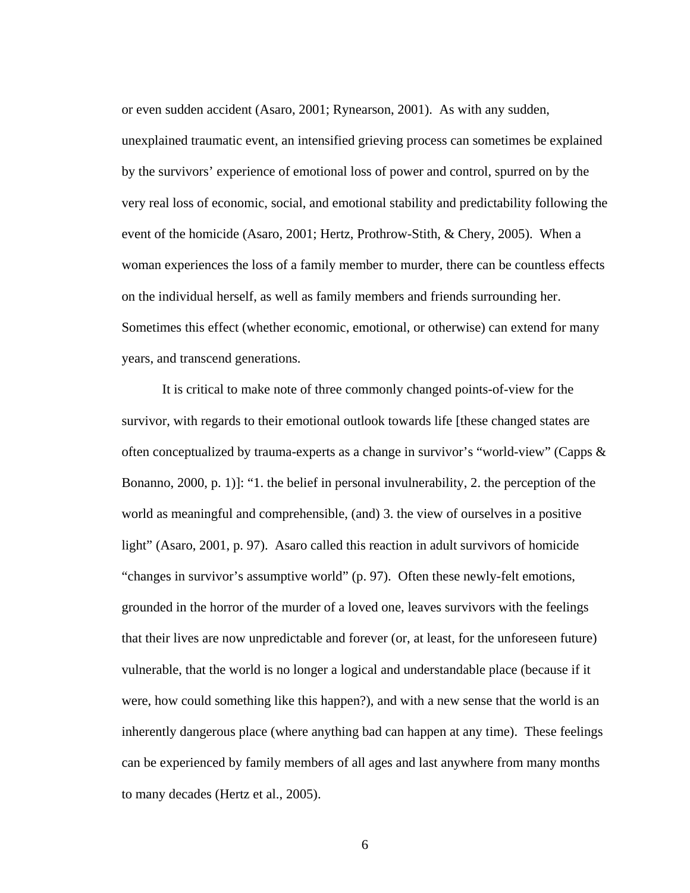or even sudden accident (Asaro, 2001; Rynearson, 2001). As with any sudden, unexplained traumatic event, an intensified grieving process can sometimes be explained by the survivors' experience of emotional loss of power and control, spurred on by the very real loss of economic, social, and emotional stability and predictability following the event of the homicide (Asaro, 2001; Hertz, Prothrow-Stith, & Chery, 2005). When a woman experiences the loss of a family member to murder, there can be countless effects on the individual herself, as well as family members and friends surrounding her. Sometimes this effect (whether economic, emotional, or otherwise) can extend for many years, and transcend generations.

It is critical to make note of three commonly changed points-of-view for the survivor, with regards to their emotional outlook towards life [these changed states are often conceptualized by trauma-experts as a change in survivor's "world-view" (Capps & Bonanno, 2000, p. 1)]: "1. the belief in personal invulnerability, 2. the perception of the world as meaningful and comprehensible, (and) 3. the view of ourselves in a positive light" (Asaro, 2001, p. 97). Asaro called this reaction in adult survivors of homicide "changes in survivor's assumptive world" (p. 97). Often these newly-felt emotions, grounded in the horror of the murder of a loved one, leaves survivors with the feelings that their lives are now unpredictable and forever (or, at least, for the unforeseen future) vulnerable, that the world is no longer a logical and understandable place (because if it were, how could something like this happen?), and with a new sense that the world is an inherently dangerous place (where anything bad can happen at any time). These feelings can be experienced by family members of all ages and last anywhere from many months to many decades (Hertz et al., 2005).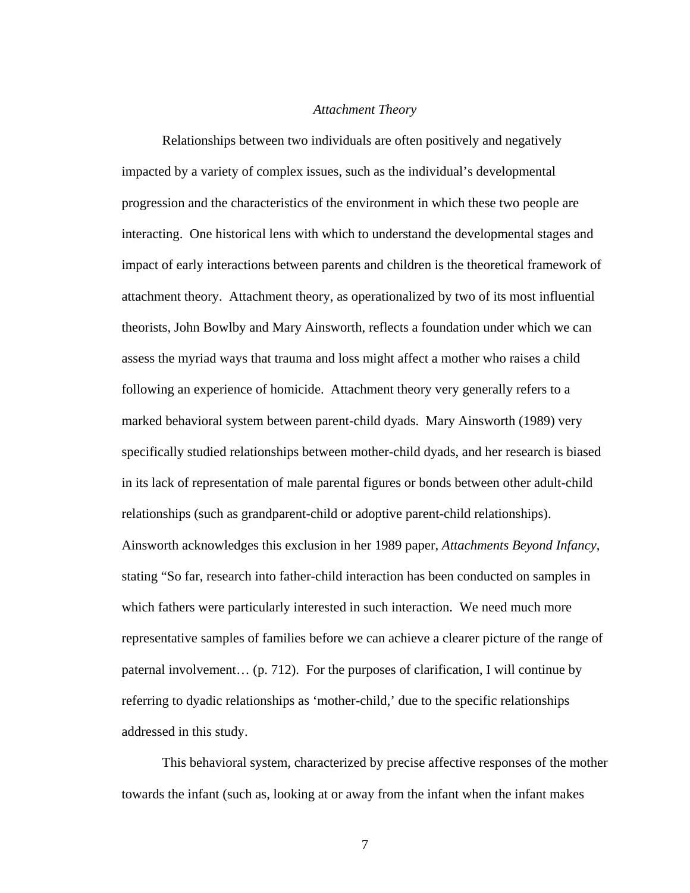#### *Attachment Theory*

Relationships between two individuals are often positively and negatively impacted by a variety of complex issues, such as the individual's developmental progression and the characteristics of the environment in which these two people are interacting. One historical lens with which to understand the developmental stages and impact of early interactions between parents and children is the theoretical framework of attachment theory. Attachment theory, as operationalized by two of its most influential theorists, John Bowlby and Mary Ainsworth, reflects a foundation under which we can assess the myriad ways that trauma and loss might affect a mother who raises a child following an experience of homicide. Attachment theory very generally refers to a marked behavioral system between parent-child dyads. Mary Ainsworth (1989) very specifically studied relationships between mother-child dyads, and her research is biased in its lack of representation of male parental figures or bonds between other adult-child relationships (such as grandparent-child or adoptive parent-child relationships). Ainsworth acknowledges this exclusion in her 1989 paper, *Attachments Beyond Infancy*, stating "So far, research into father-child interaction has been conducted on samples in which fathers were particularly interested in such interaction. We need much more representative samples of families before we can achieve a clearer picture of the range of paternal involvement… (p. 712). For the purposes of clarification, I will continue by referring to dyadic relationships as 'mother-child,' due to the specific relationships addressed in this study.

This behavioral system, characterized by precise affective responses of the mother towards the infant (such as, looking at or away from the infant when the infant makes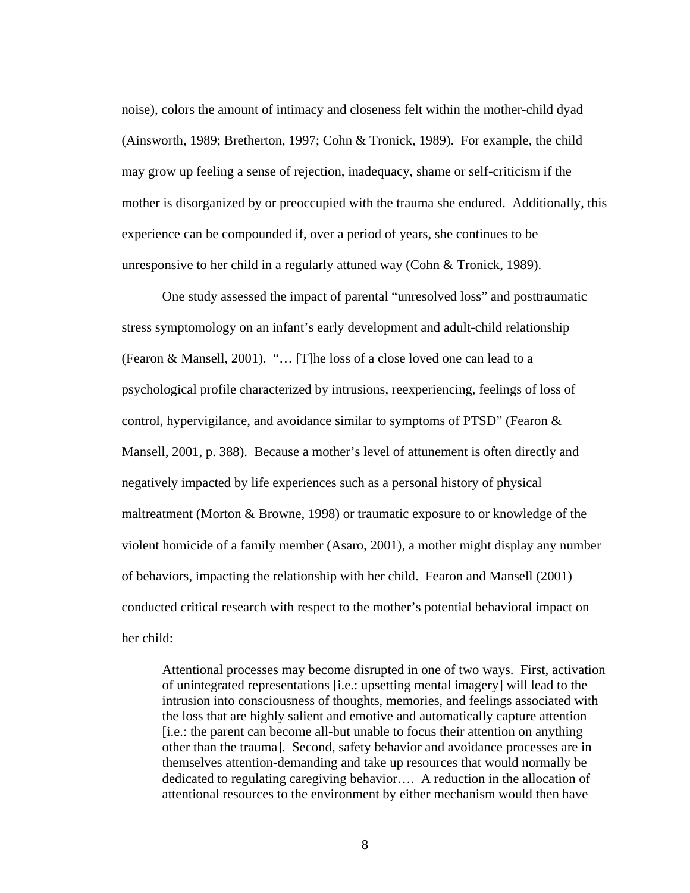noise), colors the amount of intimacy and closeness felt within the mother-child dyad (Ainsworth, 1989; Bretherton, 1997; Cohn & Tronick, 1989). For example, the child may grow up feeling a sense of rejection, inadequacy, shame or self-criticism if the mother is disorganized by or preoccupied with the trauma she endured. Additionally, this experience can be compounded if, over a period of years, she continues to be unresponsive to her child in a regularly attuned way (Cohn & Tronick, 1989).

One study assessed the impact of parental "unresolved loss" and posttraumatic stress symptomology on an infant's early development and adult-child relationship (Fearon & Mansell, 2001). "… [T]he loss of a close loved one can lead to a psychological profile characterized by intrusions, reexperiencing, feelings of loss of control, hypervigilance, and avoidance similar to symptoms of PTSD" (Fearon & Mansell, 2001, p. 388). Because a mother's level of attunement is often directly and negatively impacted by life experiences such as a personal history of physical maltreatment (Morton & Browne, 1998) or traumatic exposure to or knowledge of the violent homicide of a family member (Asaro, 2001), a mother might display any number of behaviors, impacting the relationship with her child. Fearon and Mansell (2001) conducted critical research with respect to the mother's potential behavioral impact on her child:

Attentional processes may become disrupted in one of two ways. First, activation of unintegrated representations [i.e.: upsetting mental imagery] will lead to the intrusion into consciousness of thoughts, memories, and feelings associated with the loss that are highly salient and emotive and automatically capture attention [i.e.: the parent can become all-but unable to focus their attention on anything other than the trauma]. Second, safety behavior and avoidance processes are in themselves attention-demanding and take up resources that would normally be dedicated to regulating caregiving behavior…. A reduction in the allocation of attentional resources to the environment by either mechanism would then have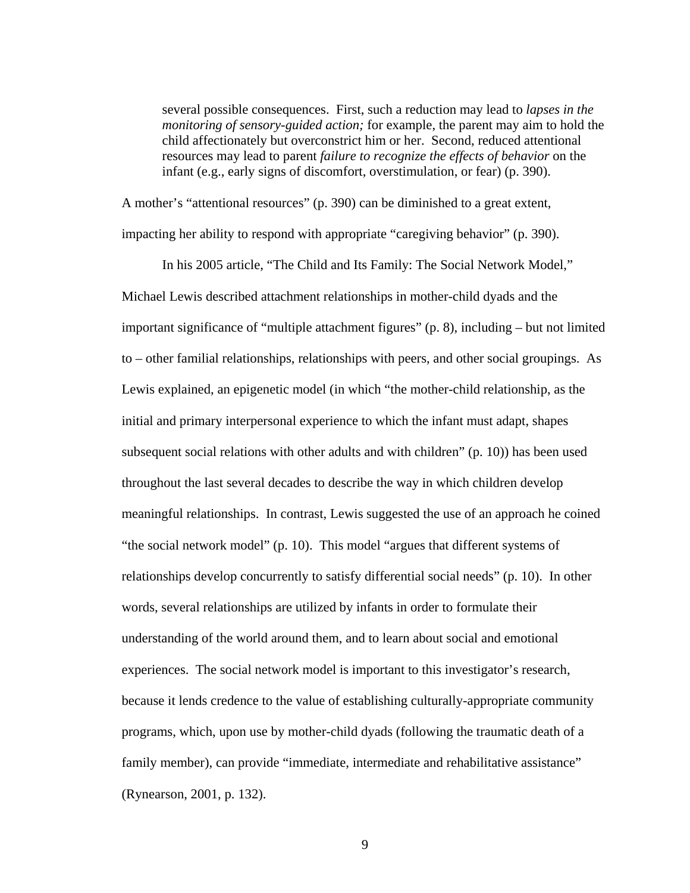several possible consequences. First, such a reduction may lead to *lapses in the monitoring of sensory-guided action;* for example, the parent may aim to hold the child affectionately but overconstrict him or her. Second, reduced attentional resources may lead to parent *failure to recognize the effects of behavior* on the infant (e.g., early signs of discomfort, overstimulation, or fear) (p. 390).

A mother's "attentional resources" (p. 390) can be diminished to a great extent, impacting her ability to respond with appropriate "caregiving behavior" (p. 390).

In his 2005 article, "The Child and Its Family: The Social Network Model," Michael Lewis described attachment relationships in mother-child dyads and the important significance of "multiple attachment figures" (p. 8), including – but not limited to – other familial relationships, relationships with peers, and other social groupings. As Lewis explained, an epigenetic model (in which "the mother-child relationship, as the initial and primary interpersonal experience to which the infant must adapt, shapes subsequent social relations with other adults and with children" (p. 10)) has been used throughout the last several decades to describe the way in which children develop meaningful relationships. In contrast, Lewis suggested the use of an approach he coined "the social network model" (p. 10). This model "argues that different systems of relationships develop concurrently to satisfy differential social needs" (p. 10). In other words, several relationships are utilized by infants in order to formulate their understanding of the world around them, and to learn about social and emotional experiences. The social network model is important to this investigator's research, because it lends credence to the value of establishing culturally-appropriate community programs, which, upon use by mother-child dyads (following the traumatic death of a family member), can provide "immediate, intermediate and rehabilitative assistance" (Rynearson, 2001, p. 132).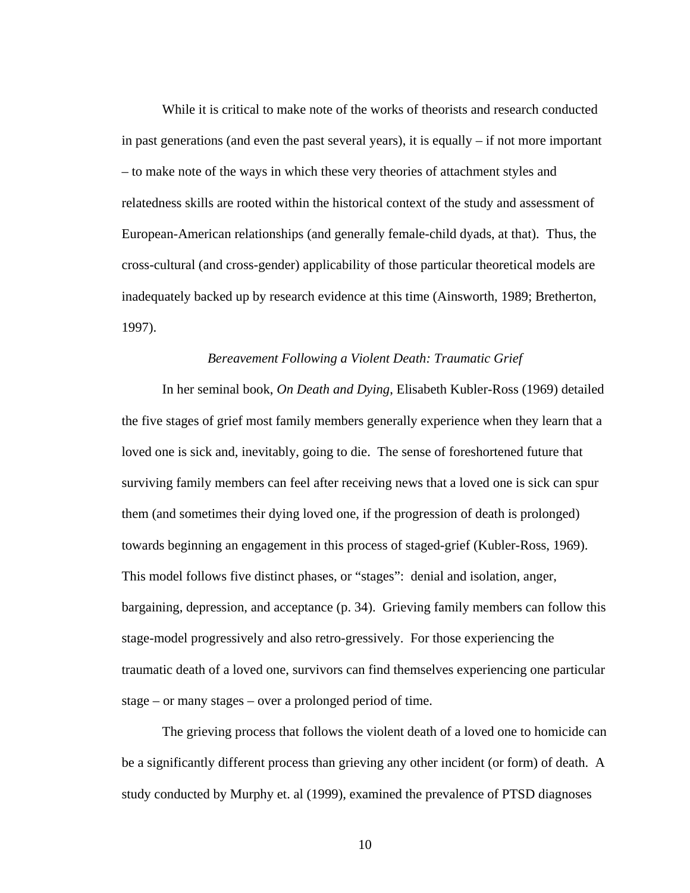While it is critical to make note of the works of theorists and research conducted in past generations (and even the past several years), it is equally – if not more important – to make note of the ways in which these very theories of attachment styles and relatedness skills are rooted within the historical context of the study and assessment of European-American relationships (and generally female-child dyads, at that). Thus, the cross-cultural (and cross-gender) applicability of those particular theoretical models are inadequately backed up by research evidence at this time (Ainsworth, 1989; Bretherton, 1997).

#### *Bereavement Following a Violent Death: Traumatic Grief*

 In her seminal book, *On Death and Dying*, Elisabeth Kubler-Ross (1969) detailed the five stages of grief most family members generally experience when they learn that a loved one is sick and, inevitably, going to die. The sense of foreshortened future that surviving family members can feel after receiving news that a loved one is sick can spur them (and sometimes their dying loved one, if the progression of death is prolonged) towards beginning an engagement in this process of staged-grief (Kubler-Ross, 1969). This model follows five distinct phases, or "stages": denial and isolation, anger, bargaining, depression, and acceptance (p. 34). Grieving family members can follow this stage-model progressively and also retro-gressively. For those experiencing the traumatic death of a loved one, survivors can find themselves experiencing one particular stage – or many stages – over a prolonged period of time.

The grieving process that follows the violent death of a loved one to homicide can be a significantly different process than grieving any other incident (or form) of death. A study conducted by Murphy et. al (1999), examined the prevalence of PTSD diagnoses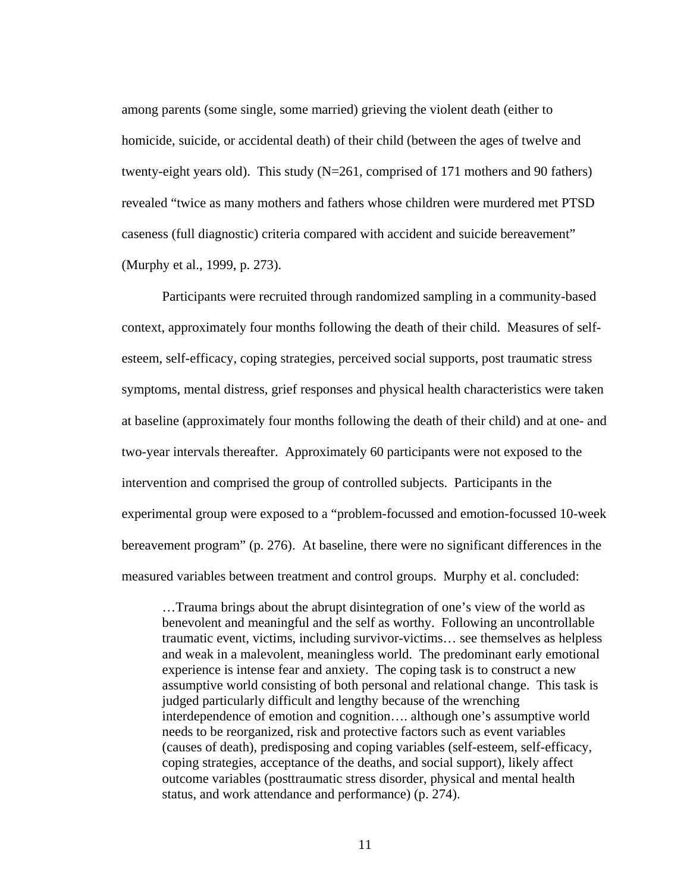among parents (some single, some married) grieving the violent death (either to homicide, suicide, or accidental death) of their child (between the ages of twelve and twenty-eight years old). This study (N=261, comprised of 171 mothers and 90 fathers) revealed "twice as many mothers and fathers whose children were murdered met PTSD caseness (full diagnostic) criteria compared with accident and suicide bereavement" (Murphy et al., 1999, p. 273).

Participants were recruited through randomized sampling in a community-based context, approximately four months following the death of their child. Measures of selfesteem, self-efficacy, coping strategies, perceived social supports, post traumatic stress symptoms, mental distress, grief responses and physical health characteristics were taken at baseline (approximately four months following the death of their child) and at one- and two-year intervals thereafter. Approximately 60 participants were not exposed to the intervention and comprised the group of controlled subjects. Participants in the experimental group were exposed to a "problem-focussed and emotion-focussed 10-week bereavement program" (p. 276). At baseline, there were no significant differences in the measured variables between treatment and control groups. Murphy et al. concluded:

…Trauma brings about the abrupt disintegration of one's view of the world as benevolent and meaningful and the self as worthy. Following an uncontrollable traumatic event, victims, including survivor-victims… see themselves as helpless and weak in a malevolent, meaningless world. The predominant early emotional experience is intense fear and anxiety. The coping task is to construct a new assumptive world consisting of both personal and relational change. This task is judged particularly difficult and lengthy because of the wrenching interdependence of emotion and cognition…. although one's assumptive world needs to be reorganized, risk and protective factors such as event variables (causes of death), predisposing and coping variables (self-esteem, self-efficacy, coping strategies, acceptance of the deaths, and social support), likely affect outcome variables (posttraumatic stress disorder, physical and mental health status, and work attendance and performance) (p. 274).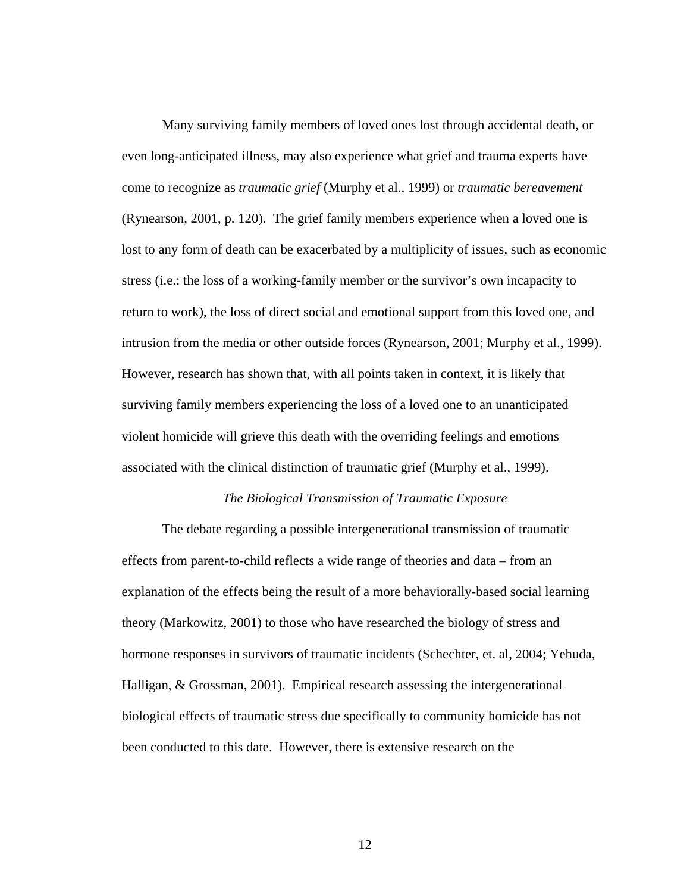Many surviving family members of loved ones lost through accidental death, or even long-anticipated illness, may also experience what grief and trauma experts have come to recognize as *traumatic grief* (Murphy et al., 1999) or *traumatic bereavement* (Rynearson, 2001, p. 120). The grief family members experience when a loved one is lost to any form of death can be exacerbated by a multiplicity of issues, such as economic stress (i.e.: the loss of a working-family member or the survivor's own incapacity to return to work), the loss of direct social and emotional support from this loved one, and intrusion from the media or other outside forces (Rynearson, 2001; Murphy et al., 1999). However, research has shown that, with all points taken in context, it is likely that surviving family members experiencing the loss of a loved one to an unanticipated violent homicide will grieve this death with the overriding feelings and emotions associated with the clinical distinction of traumatic grief (Murphy et al., 1999).

## *The Biological Transmission of Traumatic Exposure*

The debate regarding a possible intergenerational transmission of traumatic effects from parent-to-child reflects a wide range of theories and data – from an explanation of the effects being the result of a more behaviorally-based social learning theory (Markowitz, 2001) to those who have researched the biology of stress and hormone responses in survivors of traumatic incidents (Schechter, et. al, 2004; Yehuda, Halligan, & Grossman, 2001). Empirical research assessing the intergenerational biological effects of traumatic stress due specifically to community homicide has not been conducted to this date. However, there is extensive research on the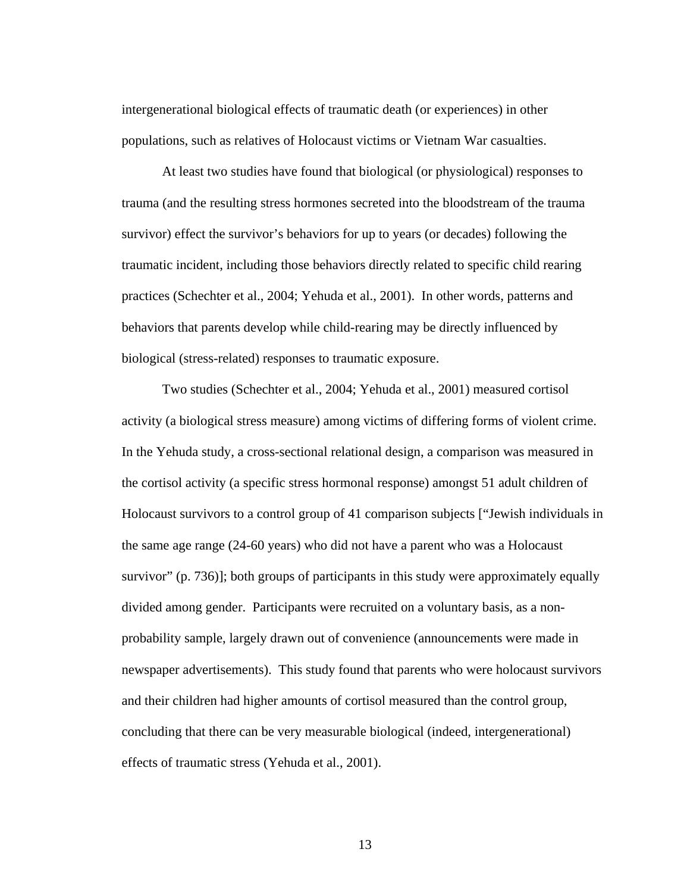intergenerational biological effects of traumatic death (or experiences) in other populations, such as relatives of Holocaust victims or Vietnam War casualties.

At least two studies have found that biological (or physiological) responses to trauma (and the resulting stress hormones secreted into the bloodstream of the trauma survivor) effect the survivor's behaviors for up to years (or decades) following the traumatic incident, including those behaviors directly related to specific child rearing practices (Schechter et al., 2004; Yehuda et al., 2001). In other words, patterns and behaviors that parents develop while child-rearing may be directly influenced by biological (stress-related) responses to traumatic exposure.

Two studies (Schechter et al., 2004; Yehuda et al., 2001) measured cortisol activity (a biological stress measure) among victims of differing forms of violent crime. In the Yehuda study, a cross-sectional relational design, a comparison was measured in the cortisol activity (a specific stress hormonal response) amongst 51 adult children of Holocaust survivors to a control group of 41 comparison subjects ["Jewish individuals in the same age range (24-60 years) who did not have a parent who was a Holocaust survivor" (p. 736)]; both groups of participants in this study were approximately equally divided among gender. Participants were recruited on a voluntary basis, as a nonprobability sample, largely drawn out of convenience (announcements were made in newspaper advertisements). This study found that parents who were holocaust survivors and their children had higher amounts of cortisol measured than the control group, concluding that there can be very measurable biological (indeed, intergenerational) effects of traumatic stress (Yehuda et al., 2001).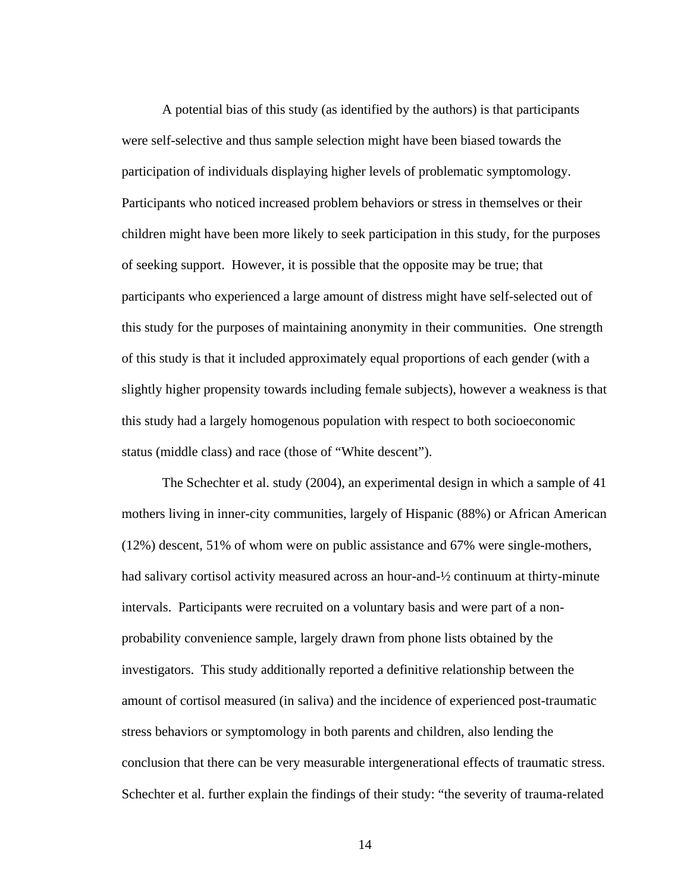A potential bias of this study (as identified by the authors) is that participants were self-selective and thus sample selection might have been biased towards the participation of individuals displaying higher levels of problematic symptomology. Participants who noticed increased problem behaviors or stress in themselves or their children might have been more likely to seek participation in this study, for the purposes of seeking support. However, it is possible that the opposite may be true; that participants who experienced a large amount of distress might have self-selected out of this study for the purposes of maintaining anonymity in their communities. One strength of this study is that it included approximately equal proportions of each gender (with a slightly higher propensity towards including female subjects), however a weakness is that this study had a largely homogenous population with respect to both socioeconomic status (middle class) and race (those of "White descent").

The Schechter et al. study (2004), an experimental design in which a sample of 41 mothers living in inner-city communities, largely of Hispanic (88%) or African American (12%) descent, 51% of whom were on public assistance and 67% were single-mothers, had salivary cortisol activity measured across an hour-and- $\frac{1}{2}$  continuum at thirty-minute intervals. Participants were recruited on a voluntary basis and were part of a nonprobability convenience sample, largely drawn from phone lists obtained by the investigators. This study additionally reported a definitive relationship between the amount of cortisol measured (in saliva) and the incidence of experienced post-traumatic stress behaviors or symptomology in both parents and children, also lending the conclusion that there can be very measurable intergenerational effects of traumatic stress. Schechter et al. further explain the findings of their study: "the severity of trauma-related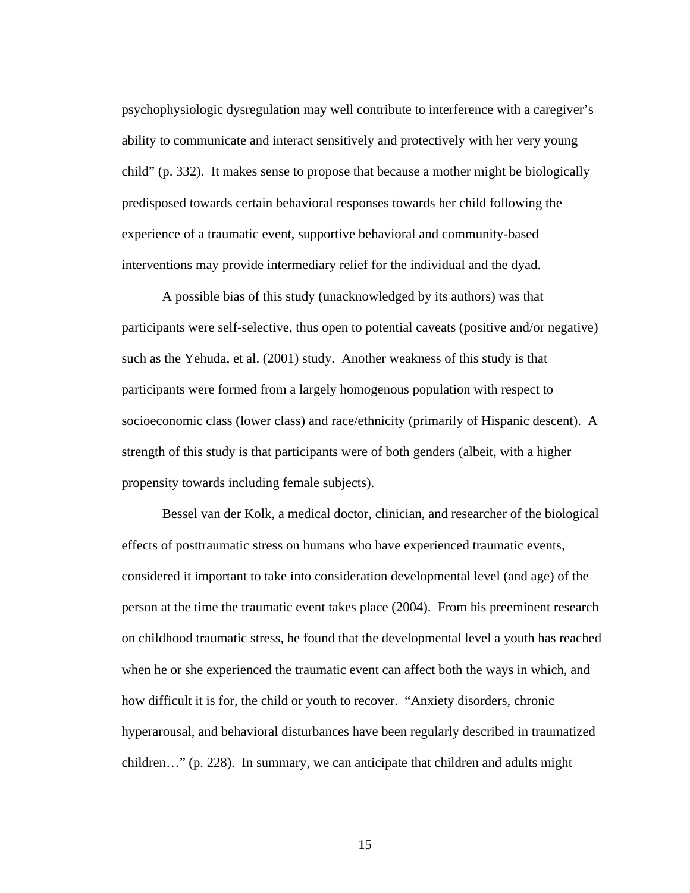psychophysiologic dysregulation may well contribute to interference with a caregiver's ability to communicate and interact sensitively and protectively with her very young child" (p. 332). It makes sense to propose that because a mother might be biologically predisposed towards certain behavioral responses towards her child following the experience of a traumatic event, supportive behavioral and community-based interventions may provide intermediary relief for the individual and the dyad.

A possible bias of this study (unacknowledged by its authors) was that participants were self-selective, thus open to potential caveats (positive and/or negative) such as the Yehuda, et al. (2001) study. Another weakness of this study is that participants were formed from a largely homogenous population with respect to socioeconomic class (lower class) and race/ethnicity (primarily of Hispanic descent). A strength of this study is that participants were of both genders (albeit, with a higher propensity towards including female subjects).

Bessel van der Kolk, a medical doctor, clinician, and researcher of the biological effects of posttraumatic stress on humans who have experienced traumatic events, considered it important to take into consideration developmental level (and age) of the person at the time the traumatic event takes place (2004). From his preeminent research on childhood traumatic stress, he found that the developmental level a youth has reached when he or she experienced the traumatic event can affect both the ways in which, and how difficult it is for, the child or youth to recover. "Anxiety disorders, chronic hyperarousal, and behavioral disturbances have been regularly described in traumatized children…" (p. 228). In summary, we can anticipate that children and adults might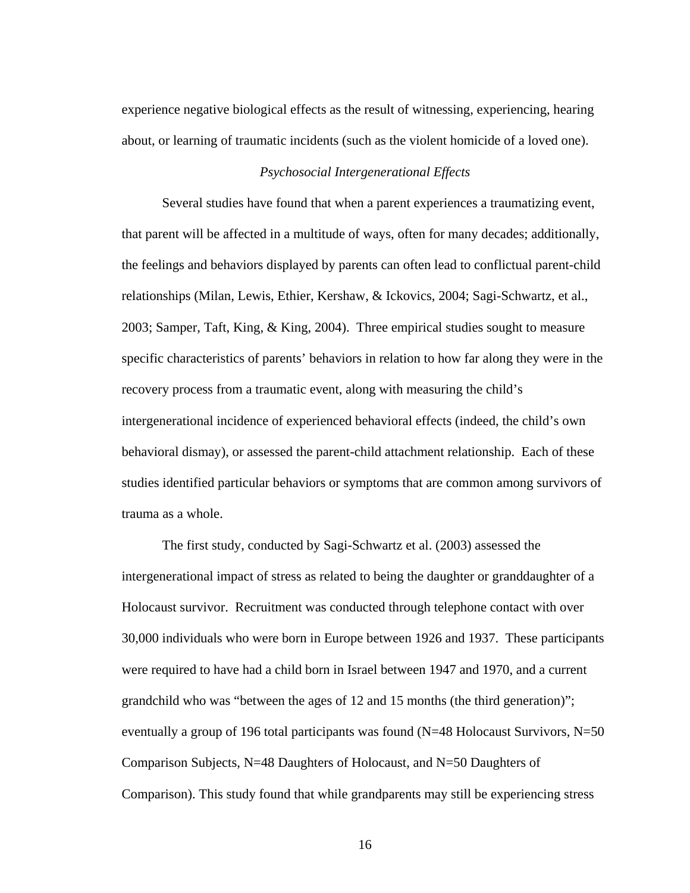experience negative biological effects as the result of witnessing, experiencing, hearing about, or learning of traumatic incidents (such as the violent homicide of a loved one).

### *Psychosocial Intergenerational Effects*

Several studies have found that when a parent experiences a traumatizing event, that parent will be affected in a multitude of ways, often for many decades; additionally, the feelings and behaviors displayed by parents can often lead to conflictual parent-child relationships (Milan, Lewis, Ethier, Kershaw, & Ickovics, 2004; Sagi-Schwartz, et al., 2003; Samper, Taft, King, & King, 2004). Three empirical studies sought to measure specific characteristics of parents' behaviors in relation to how far along they were in the recovery process from a traumatic event, along with measuring the child's intergenerational incidence of experienced behavioral effects (indeed, the child's own behavioral dismay), or assessed the parent-child attachment relationship. Each of these studies identified particular behaviors or symptoms that are common among survivors of trauma as a whole.

The first study, conducted by Sagi-Schwartz et al. (2003) assessed the intergenerational impact of stress as related to being the daughter or granddaughter of a Holocaust survivor. Recruitment was conducted through telephone contact with over 30,000 individuals who were born in Europe between 1926 and 1937. These participants were required to have had a child born in Israel between 1947 and 1970, and a current grandchild who was "between the ages of 12 and 15 months (the third generation)"; eventually a group of 196 total participants was found  $(N=48 \text{ Holocaust Survivors}, N=50 \text{ }$ Comparison Subjects, N=48 Daughters of Holocaust, and N=50 Daughters of Comparison). This study found that while grandparents may still be experiencing stress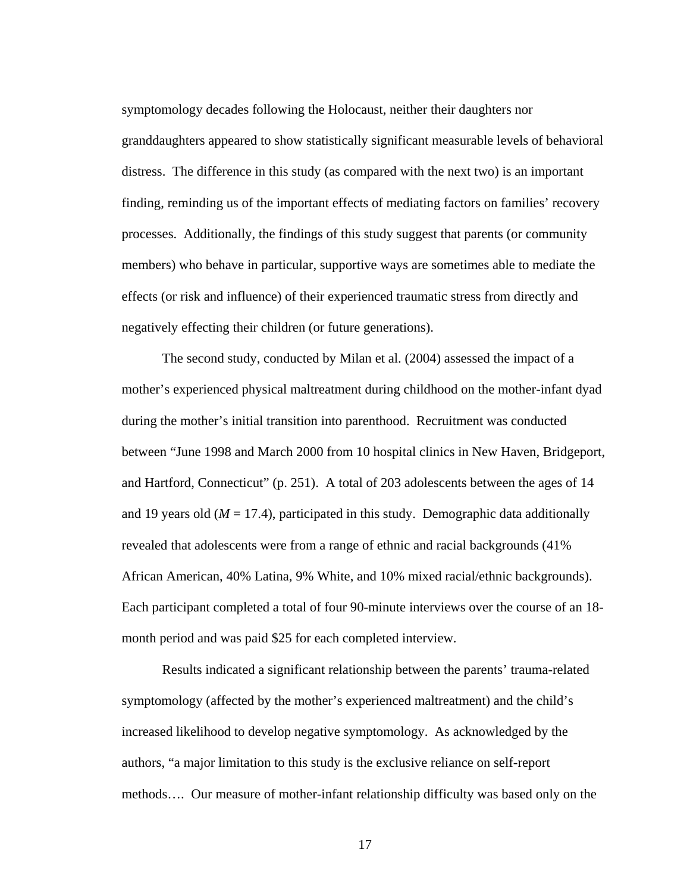symptomology decades following the Holocaust, neither their daughters nor granddaughters appeared to show statistically significant measurable levels of behavioral distress. The difference in this study (as compared with the next two) is an important finding, reminding us of the important effects of mediating factors on families' recovery processes. Additionally, the findings of this study suggest that parents (or community members) who behave in particular, supportive ways are sometimes able to mediate the effects (or risk and influence) of their experienced traumatic stress from directly and negatively effecting their children (or future generations).

The second study, conducted by Milan et al. (2004) assessed the impact of a mother's experienced physical maltreatment during childhood on the mother-infant dyad during the mother's initial transition into parenthood. Recruitment was conducted between "June 1998 and March 2000 from 10 hospital clinics in New Haven, Bridgeport, and Hartford, Connecticut" (p. 251). A total of 203 adolescents between the ages of 14 and 19 years old  $(M = 17.4)$ , participated in this study. Demographic data additionally revealed that adolescents were from a range of ethnic and racial backgrounds (41% African American, 40% Latina, 9% White, and 10% mixed racial/ethnic backgrounds). Each participant completed a total of four 90-minute interviews over the course of an 18 month period and was paid \$25 for each completed interview.

Results indicated a significant relationship between the parents' trauma-related symptomology (affected by the mother's experienced maltreatment) and the child's increased likelihood to develop negative symptomology. As acknowledged by the authors, "a major limitation to this study is the exclusive reliance on self-report methods…. Our measure of mother-infant relationship difficulty was based only on the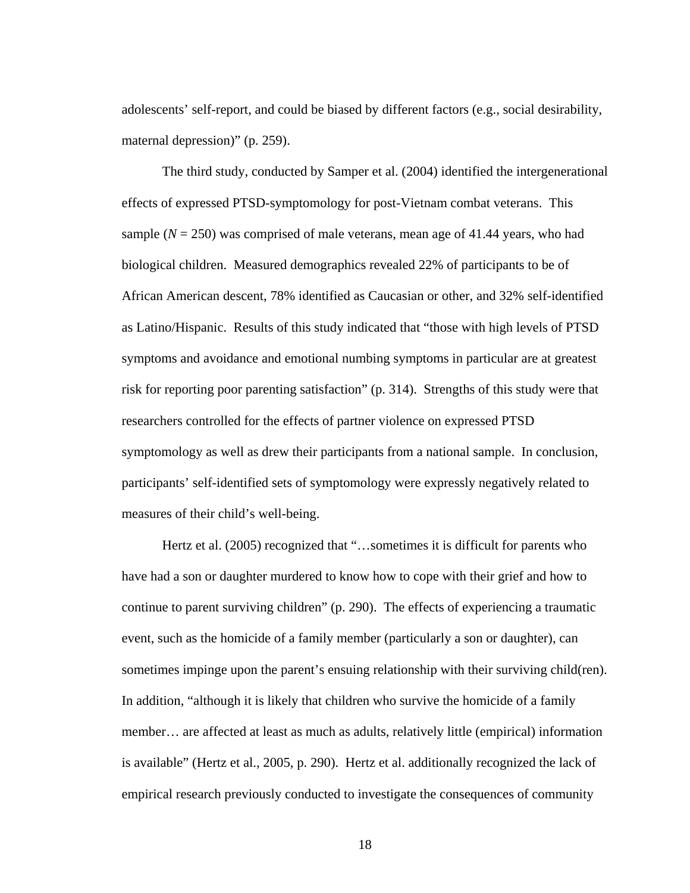adolescents' self-report, and could be biased by different factors (e.g., social desirability, maternal depression)" (p. 259).

The third study, conducted by Samper et al. (2004) identified the intergenerational effects of expressed PTSD-symptomology for post-Vietnam combat veterans. This sample  $(N = 250)$  was comprised of male veterans, mean age of 41.44 years, who had biological children. Measured demographics revealed 22% of participants to be of African American descent, 78% identified as Caucasian or other, and 32% self-identified as Latino/Hispanic. Results of this study indicated that "those with high levels of PTSD symptoms and avoidance and emotional numbing symptoms in particular are at greatest risk for reporting poor parenting satisfaction" (p. 314). Strengths of this study were that researchers controlled for the effects of partner violence on expressed PTSD symptomology as well as drew their participants from a national sample. In conclusion, participants' self-identified sets of symptomology were expressly negatively related to measures of their child's well-being.

Hertz et al. (2005) recognized that "...sometimes it is difficult for parents who have had a son or daughter murdered to know how to cope with their grief and how to continue to parent surviving children" (p. 290). The effects of experiencing a traumatic event, such as the homicide of a family member (particularly a son or daughter), can sometimes impinge upon the parent's ensuing relationship with their surviving child(ren). In addition, "although it is likely that children who survive the homicide of a family member… are affected at least as much as adults, relatively little (empirical) information is available" (Hertz et al., 2005, p. 290). Hertz et al. additionally recognized the lack of empirical research previously conducted to investigate the consequences of community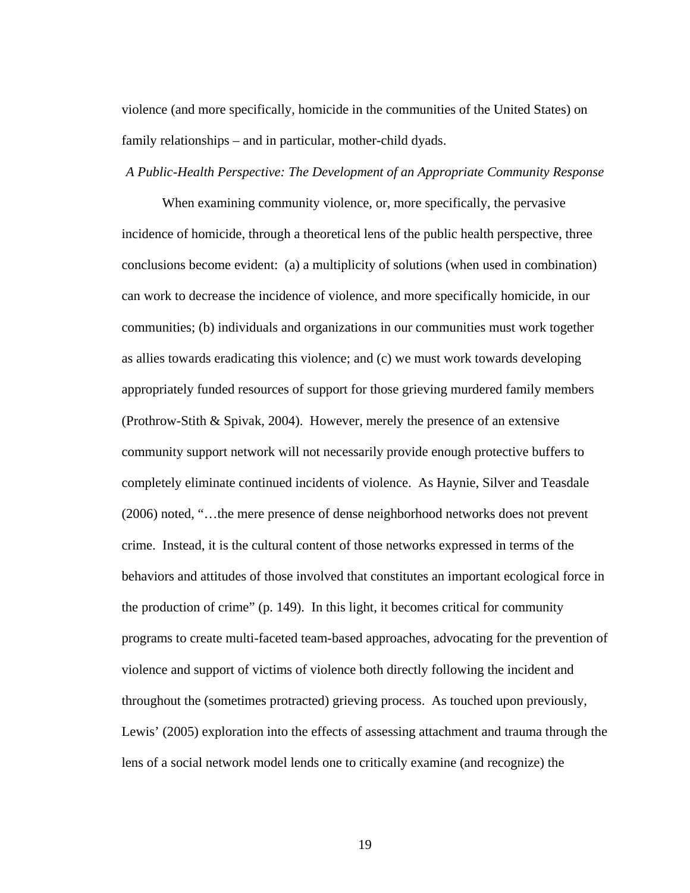violence (and more specifically, homicide in the communities of the United States) on family relationships – and in particular, mother-child dyads.

#### *A Public-Health Perspective: The Development of an Appropriate Community Response*

When examining community violence, or, more specifically, the pervasive incidence of homicide, through a theoretical lens of the public health perspective, three conclusions become evident: (a) a multiplicity of solutions (when used in combination) can work to decrease the incidence of violence, and more specifically homicide, in our communities; (b) individuals and organizations in our communities must work together as allies towards eradicating this violence; and (c) we must work towards developing appropriately funded resources of support for those grieving murdered family members (Prothrow-Stith & Spivak, 2004). However, merely the presence of an extensive community support network will not necessarily provide enough protective buffers to completely eliminate continued incidents of violence. As Haynie, Silver and Teasdale (2006) noted, "…the mere presence of dense neighborhood networks does not prevent crime. Instead, it is the cultural content of those networks expressed in terms of the behaviors and attitudes of those involved that constitutes an important ecological force in the production of crime" (p. 149). In this light, it becomes critical for community programs to create multi-faceted team-based approaches, advocating for the prevention of violence and support of victims of violence both directly following the incident and throughout the (sometimes protracted) grieving process. As touched upon previously, Lewis' (2005) exploration into the effects of assessing attachment and trauma through the lens of a social network model lends one to critically examine (and recognize) the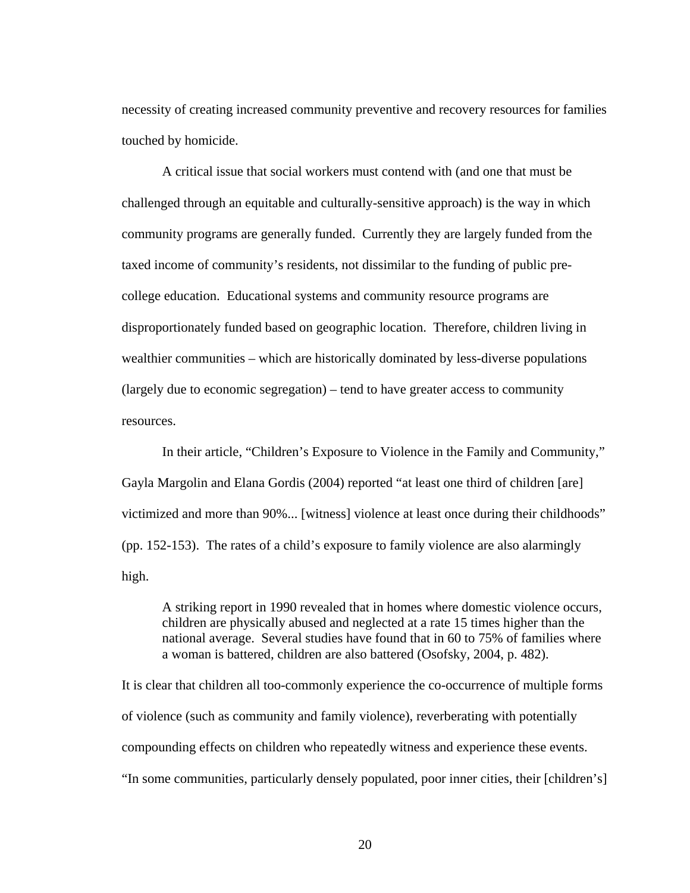necessity of creating increased community preventive and recovery resources for families touched by homicide.

A critical issue that social workers must contend with (and one that must be challenged through an equitable and culturally-sensitive approach) is the way in which community programs are generally funded. Currently they are largely funded from the taxed income of community's residents, not dissimilar to the funding of public precollege education. Educational systems and community resource programs are disproportionately funded based on geographic location. Therefore, children living in wealthier communities – which are historically dominated by less-diverse populations (largely due to economic segregation) – tend to have greater access to community resources.

In their article, "Children's Exposure to Violence in the Family and Community," Gayla Margolin and Elana Gordis (2004) reported "at least one third of children [are] victimized and more than 90%... [witness] violence at least once during their childhoods" (pp. 152-153). The rates of a child's exposure to family violence are also alarmingly high.

A striking report in 1990 revealed that in homes where domestic violence occurs, children are physically abused and neglected at a rate 15 times higher than the national average. Several studies have found that in 60 to 75% of families where a woman is battered, children are also battered (Osofsky, 2004, p. 482).

It is clear that children all too-commonly experience the co-occurrence of multiple forms of violence (such as community and family violence), reverberating with potentially compounding effects on children who repeatedly witness and experience these events. "In some communities, particularly densely populated, poor inner cities, their [children's]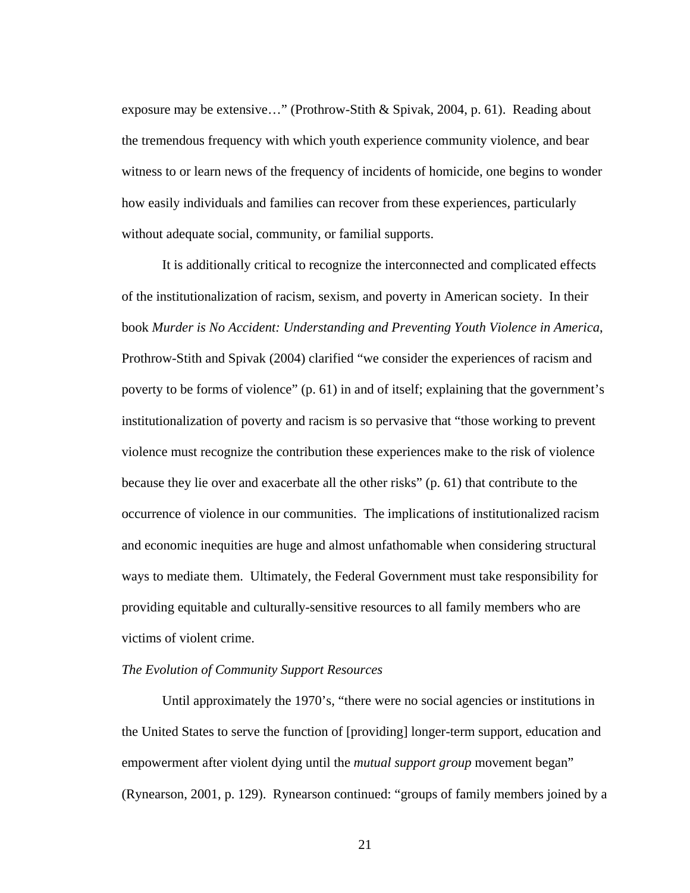exposure may be extensive…" (Prothrow-Stith & Spivak, 2004, p. 61). Reading about the tremendous frequency with which youth experience community violence, and bear witness to or learn news of the frequency of incidents of homicide, one begins to wonder how easily individuals and families can recover from these experiences, particularly without adequate social, community, or familial supports.

It is additionally critical to recognize the interconnected and complicated effects of the institutionalization of racism, sexism, and poverty in American society. In their book *Murder is No Accident: Understanding and Preventing Youth Violence in America*, Prothrow-Stith and Spivak (2004) clarified "we consider the experiences of racism and poverty to be forms of violence" (p. 61) in and of itself; explaining that the government's institutionalization of poverty and racism is so pervasive that "those working to prevent violence must recognize the contribution these experiences make to the risk of violence because they lie over and exacerbate all the other risks" (p. 61) that contribute to the occurrence of violence in our communities. The implications of institutionalized racism and economic inequities are huge and almost unfathomable when considering structural ways to mediate them. Ultimately, the Federal Government must take responsibility for providing equitable and culturally-sensitive resources to all family members who are victims of violent crime.

## *The Evolution of Community Support Resources*

 Until approximately the 1970's, "there were no social agencies or institutions in the United States to serve the function of [providing] longer-term support, education and empowerment after violent dying until the *mutual support group* movement began" (Rynearson, 2001, p. 129). Rynearson continued: "groups of family members joined by a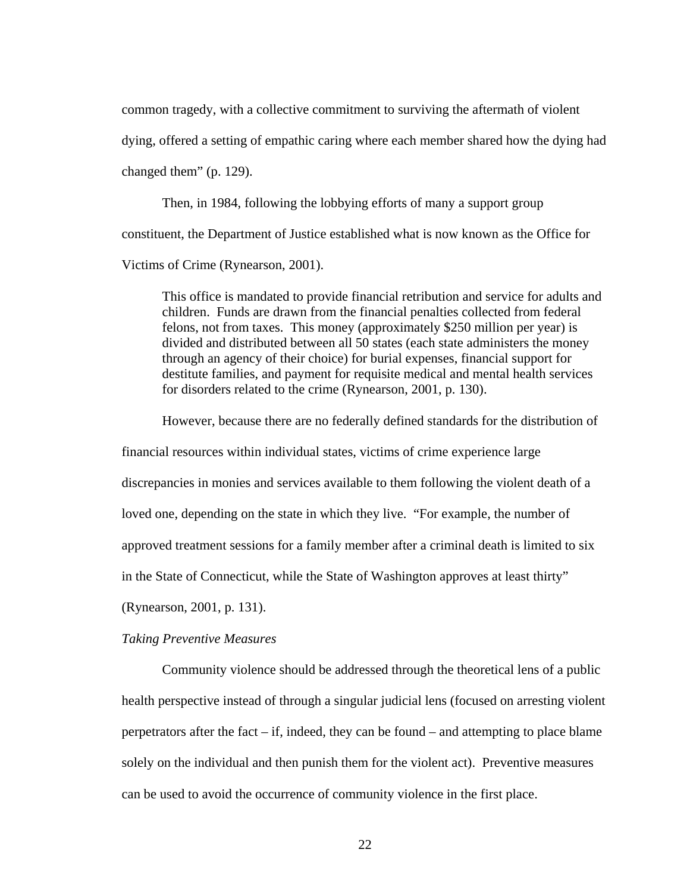common tragedy, with a collective commitment to surviving the aftermath of violent dying, offered a setting of empathic caring where each member shared how the dying had changed them" (p. 129).

Then, in 1984, following the lobbying efforts of many a support group constituent, the Department of Justice established what is now known as the Office for Victims of Crime (Rynearson, 2001).

This office is mandated to provide financial retribution and service for adults and children. Funds are drawn from the financial penalties collected from federal felons, not from taxes. This money (approximately \$250 million per year) is divided and distributed between all 50 states (each state administers the money through an agency of their choice) for burial expenses, financial support for destitute families, and payment for requisite medical and mental health services for disorders related to the crime (Rynearson, 2001, p. 130).

However, because there are no federally defined standards for the distribution of

financial resources within individual states, victims of crime experience large discrepancies in monies and services available to them following the violent death of a loved one, depending on the state in which they live. "For example, the number of approved treatment sessions for a family member after a criminal death is limited to six in the State of Connecticut, while the State of Washington approves at least thirty" (Rynearson, 2001, p. 131).

*Taking Preventive Measures*

Community violence should be addressed through the theoretical lens of a public health perspective instead of through a singular judicial lens (focused on arresting violent perpetrators after the fact  $-$  if, indeed, they can be found  $-$  and attempting to place blame solely on the individual and then punish them for the violent act). Preventive measures can be used to avoid the occurrence of community violence in the first place.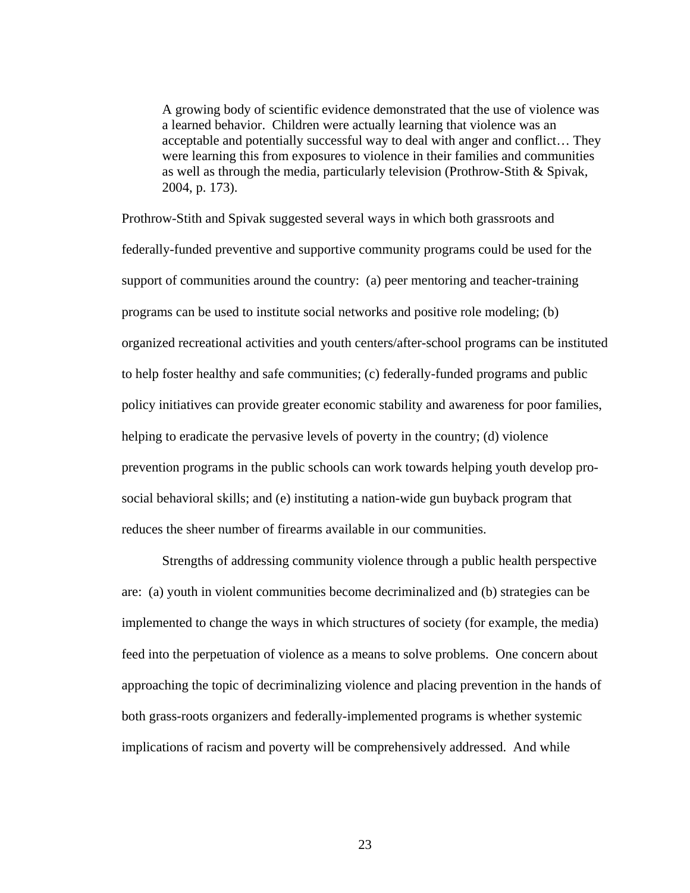A growing body of scientific evidence demonstrated that the use of violence was a learned behavior. Children were actually learning that violence was an acceptable and potentially successful way to deal with anger and conflict… They were learning this from exposures to violence in their families and communities as well as through the media, particularly television (Prothrow-Stith & Spivak, 2004, p. 173).

Prothrow-Stith and Spivak suggested several ways in which both grassroots and federally-funded preventive and supportive community programs could be used for the support of communities around the country: (a) peer mentoring and teacher-training programs can be used to institute social networks and positive role modeling; (b) organized recreational activities and youth centers/after-school programs can be instituted to help foster healthy and safe communities; (c) federally-funded programs and public policy initiatives can provide greater economic stability and awareness for poor families, helping to eradicate the pervasive levels of poverty in the country; (d) violence prevention programs in the public schools can work towards helping youth develop prosocial behavioral skills; and (e) instituting a nation-wide gun buyback program that reduces the sheer number of firearms available in our communities.

Strengths of addressing community violence through a public health perspective are: (a) youth in violent communities become decriminalized and (b) strategies can be implemented to change the ways in which structures of society (for example, the media) feed into the perpetuation of violence as a means to solve problems. One concern about approaching the topic of decriminalizing violence and placing prevention in the hands of both grass-roots organizers and federally-implemented programs is whether systemic implications of racism and poverty will be comprehensively addressed. And while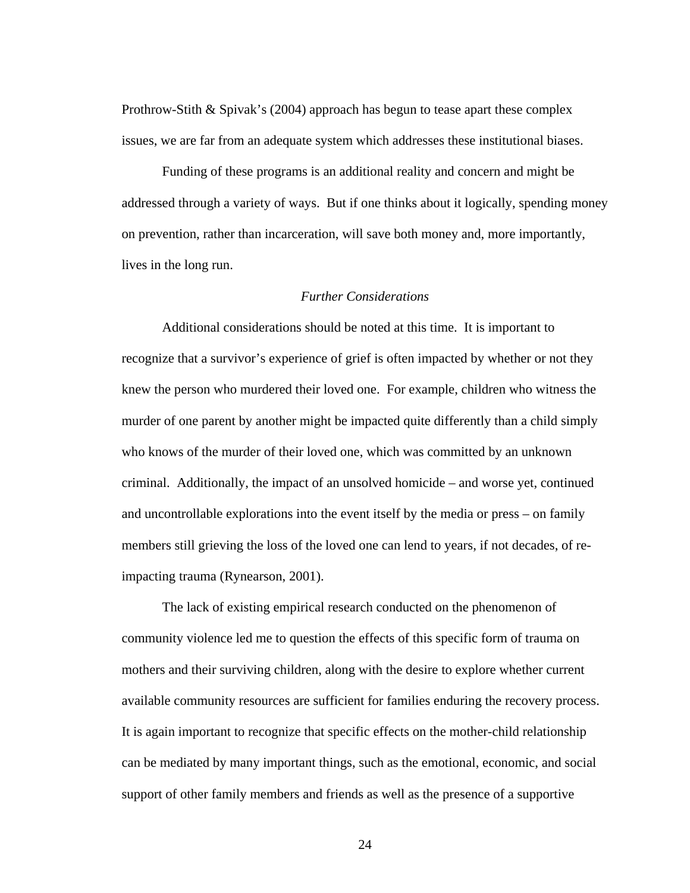Prothrow-Stith & Spivak's (2004) approach has begun to tease apart these complex issues, we are far from an adequate system which addresses these institutional biases.

Funding of these programs is an additional reality and concern and might be addressed through a variety of ways. But if one thinks about it logically, spending money on prevention, rather than incarceration, will save both money and, more importantly, lives in the long run.

### *Further Considerations*

Additional considerations should be noted at this time. It is important to recognize that a survivor's experience of grief is often impacted by whether or not they knew the person who murdered their loved one. For example, children who witness the murder of one parent by another might be impacted quite differently than a child simply who knows of the murder of their loved one, which was committed by an unknown criminal. Additionally, the impact of an unsolved homicide – and worse yet, continued and uncontrollable explorations into the event itself by the media or press – on family members still grieving the loss of the loved one can lend to years, if not decades, of reimpacting trauma (Rynearson, 2001).

The lack of existing empirical research conducted on the phenomenon of community violence led me to question the effects of this specific form of trauma on mothers and their surviving children, along with the desire to explore whether current available community resources are sufficient for families enduring the recovery process. It is again important to recognize that specific effects on the mother-child relationship can be mediated by many important things, such as the emotional, economic, and social support of other family members and friends as well as the presence of a supportive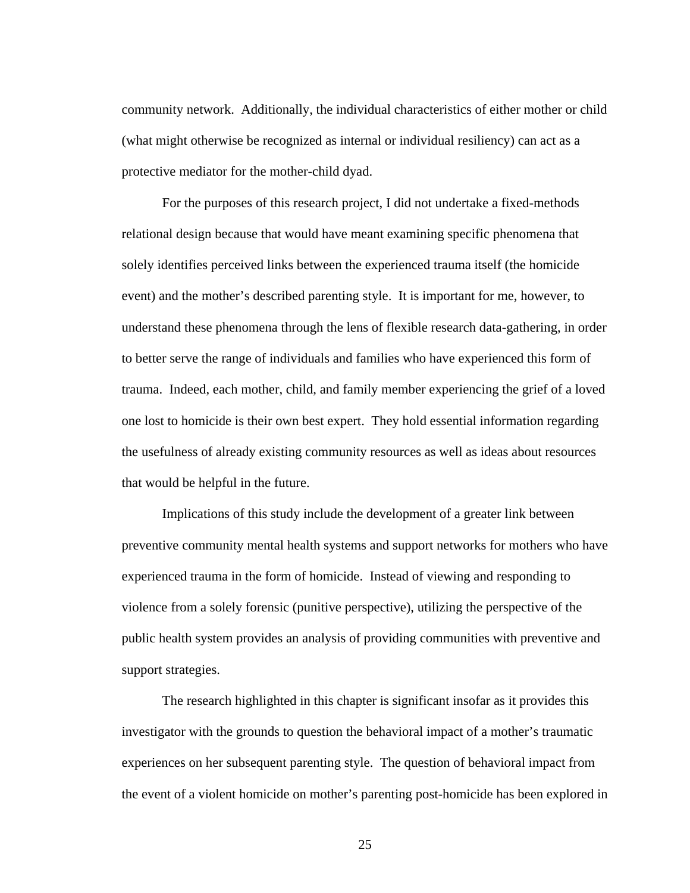community network. Additionally, the individual characteristics of either mother or child (what might otherwise be recognized as internal or individual resiliency) can act as a protective mediator for the mother-child dyad.

For the purposes of this research project, I did not undertake a fixed-methods relational design because that would have meant examining specific phenomena that solely identifies perceived links between the experienced trauma itself (the homicide event) and the mother's described parenting style. It is important for me, however, to understand these phenomena through the lens of flexible research data-gathering, in order to better serve the range of individuals and families who have experienced this form of trauma. Indeed, each mother, child, and family member experiencing the grief of a loved one lost to homicide is their own best expert. They hold essential information regarding the usefulness of already existing community resources as well as ideas about resources that would be helpful in the future.

Implications of this study include the development of a greater link between preventive community mental health systems and support networks for mothers who have experienced trauma in the form of homicide. Instead of viewing and responding to violence from a solely forensic (punitive perspective), utilizing the perspective of the public health system provides an analysis of providing communities with preventive and support strategies.

The research highlighted in this chapter is significant insofar as it provides this investigator with the grounds to question the behavioral impact of a mother's traumatic experiences on her subsequent parenting style. The question of behavioral impact from the event of a violent homicide on mother's parenting post-homicide has been explored in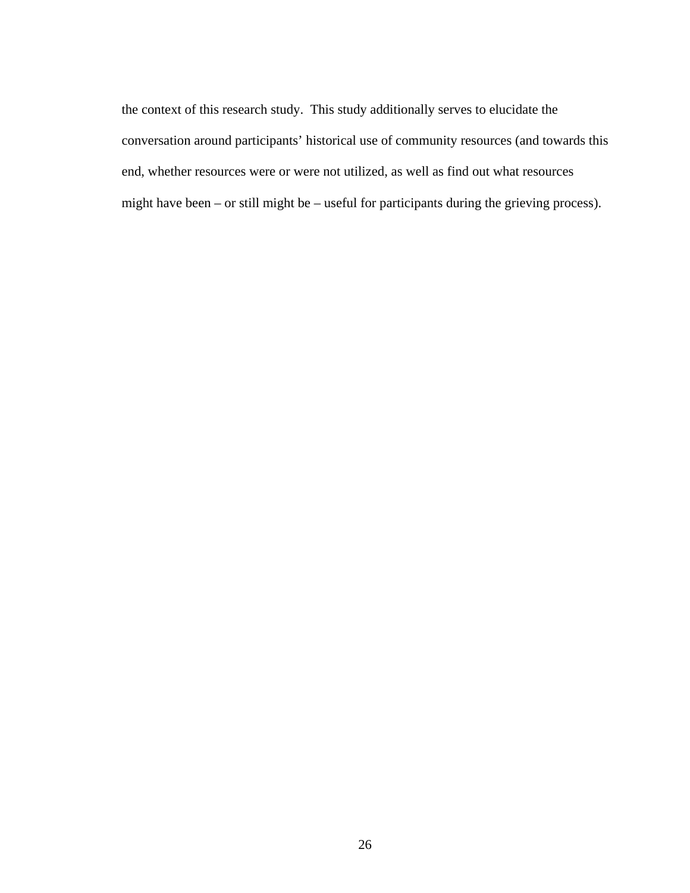the context of this research study. This study additionally serves to elucidate the conversation around participants' historical use of community resources (and towards this end, whether resources were or were not utilized, as well as find out what resources might have been – or still might be – useful for participants during the grieving process).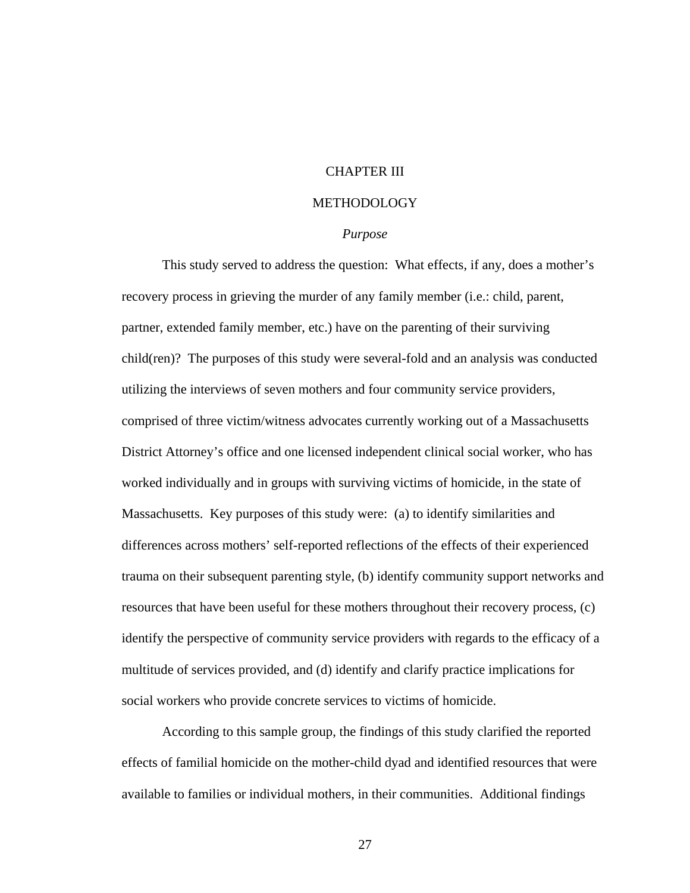## CHAPTER III

### METHODOLOGY

#### *Purpose*

 This study served to address the question: What effects, if any, does a mother's recovery process in grieving the murder of any family member (i.e.: child, parent, partner, extended family member, etc.) have on the parenting of their surviving child(ren)? The purposes of this study were several-fold and an analysis was conducted utilizing the interviews of seven mothers and four community service providers, comprised of three victim/witness advocates currently working out of a Massachusetts District Attorney's office and one licensed independent clinical social worker, who has worked individually and in groups with surviving victims of homicide, in the state of Massachusetts. Key purposes of this study were: (a) to identify similarities and differences across mothers' self-reported reflections of the effects of their experienced trauma on their subsequent parenting style, (b) identify community support networks and resources that have been useful for these mothers throughout their recovery process, (c) identify the perspective of community service providers with regards to the efficacy of a multitude of services provided, and (d) identify and clarify practice implications for social workers who provide concrete services to victims of homicide.

 According to this sample group, the findings of this study clarified the reported effects of familial homicide on the mother-child dyad and identified resources that were available to families or individual mothers, in their communities. Additional findings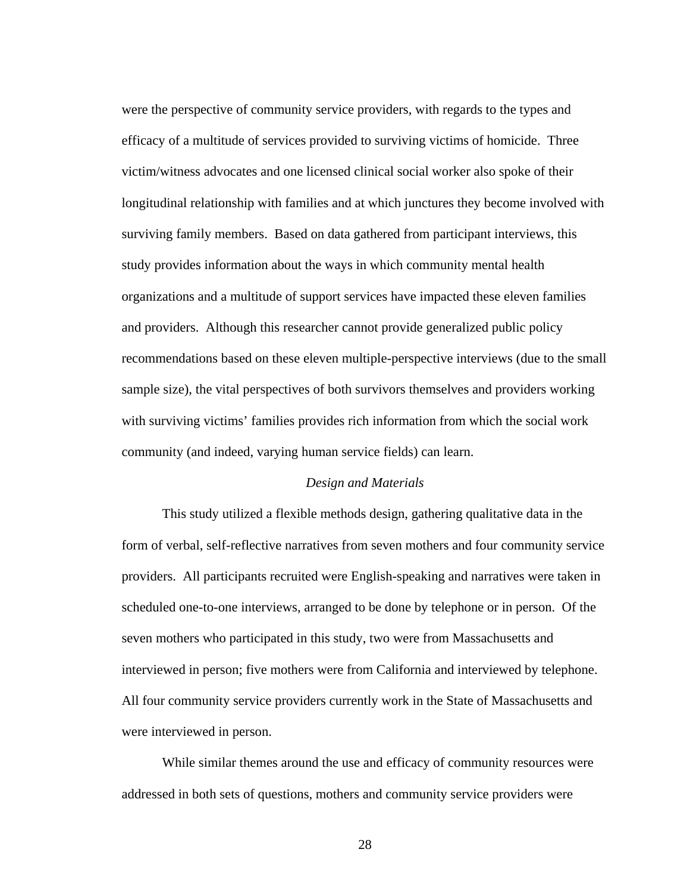were the perspective of community service providers, with regards to the types and efficacy of a multitude of services provided to surviving victims of homicide. Three victim/witness advocates and one licensed clinical social worker also spoke of their longitudinal relationship with families and at which junctures they become involved with surviving family members. Based on data gathered from participant interviews, this study provides information about the ways in which community mental health organizations and a multitude of support services have impacted these eleven families and providers. Although this researcher cannot provide generalized public policy recommendations based on these eleven multiple-perspective interviews (due to the small sample size), the vital perspectives of both survivors themselves and providers working with surviving victims' families provides rich information from which the social work community (and indeed, varying human service fields) can learn.

### *Design and Materials*

 This study utilized a flexible methods design, gathering qualitative data in the form of verbal, self-reflective narratives from seven mothers and four community service providers. All participants recruited were English-speaking and narratives were taken in scheduled one-to-one interviews, arranged to be done by telephone or in person. Of the seven mothers who participated in this study, two were from Massachusetts and interviewed in person; five mothers were from California and interviewed by telephone. All four community service providers currently work in the State of Massachusetts and were interviewed in person.

While similar themes around the use and efficacy of community resources were addressed in both sets of questions, mothers and community service providers were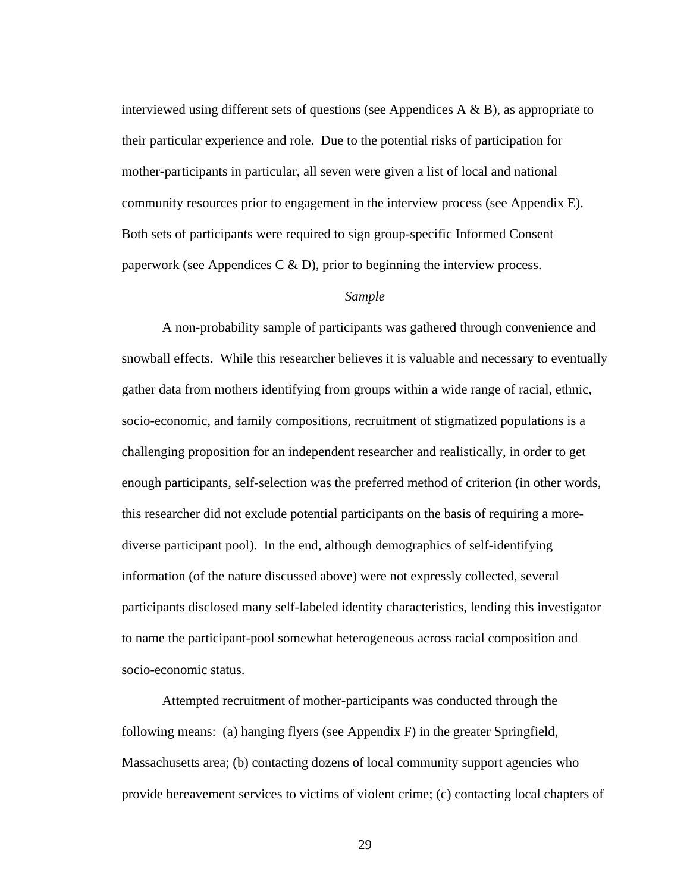interviewed using different sets of questions (see Appendices  $A \& B$ ), as appropriate to their particular experience and role. Due to the potential risks of participation for mother-participants in particular, all seven were given a list of local and national community resources prior to engagement in the interview process (see Appendix E). Both sets of participants were required to sign group-specific Informed Consent paperwork (see Appendices C  $\&$  D), prior to beginning the interview process.

#### *Sample*

A non-probability sample of participants was gathered through convenience and snowball effects. While this researcher believes it is valuable and necessary to eventually gather data from mothers identifying from groups within a wide range of racial, ethnic, socio-economic, and family compositions, recruitment of stigmatized populations is a challenging proposition for an independent researcher and realistically, in order to get enough participants, self-selection was the preferred method of criterion (in other words, this researcher did not exclude potential participants on the basis of requiring a morediverse participant pool). In the end, although demographics of self-identifying information (of the nature discussed above) were not expressly collected, several participants disclosed many self-labeled identity characteristics, lending this investigator to name the participant-pool somewhat heterogeneous across racial composition and socio-economic status.

Attempted recruitment of mother-participants was conducted through the following means: (a) hanging flyers (see Appendix F) in the greater Springfield, Massachusetts area; (b) contacting dozens of local community support agencies who provide bereavement services to victims of violent crime; (c) contacting local chapters of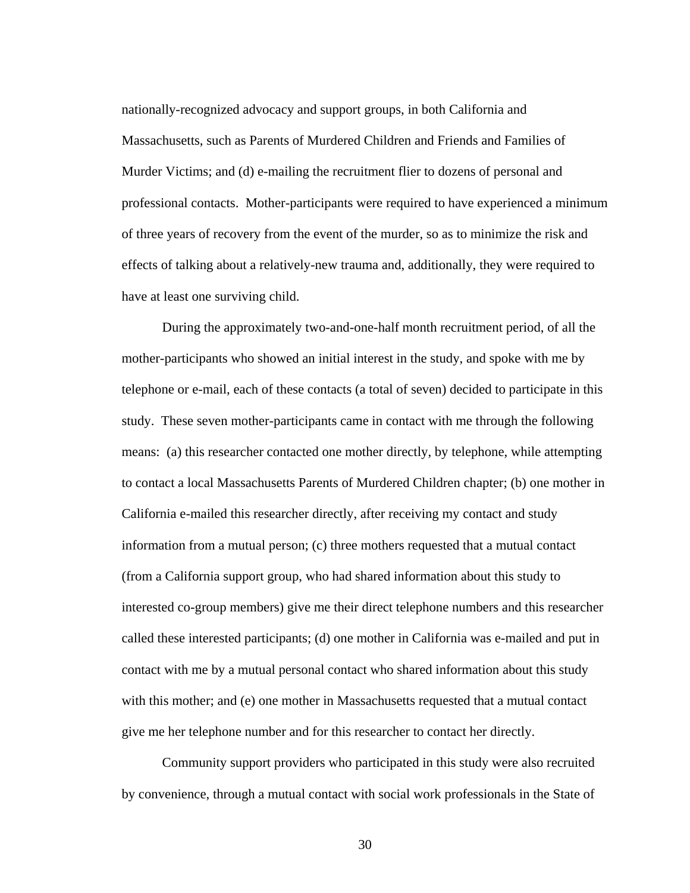nationally-recognized advocacy and support groups, in both California and Massachusetts, such as Parents of Murdered Children and Friends and Families of Murder Victims; and (d) e-mailing the recruitment flier to dozens of personal and professional contacts. Mother-participants were required to have experienced a minimum of three years of recovery from the event of the murder, so as to minimize the risk and effects of talking about a relatively-new trauma and, additionally, they were required to have at least one surviving child.

During the approximately two-and-one-half month recruitment period, of all the mother-participants who showed an initial interest in the study, and spoke with me by telephone or e-mail, each of these contacts (a total of seven) decided to participate in this study. These seven mother-participants came in contact with me through the following means: (a) this researcher contacted one mother directly, by telephone, while attempting to contact a local Massachusetts Parents of Murdered Children chapter; (b) one mother in California e-mailed this researcher directly, after receiving my contact and study information from a mutual person; (c) three mothers requested that a mutual contact (from a California support group, who had shared information about this study to interested co-group members) give me their direct telephone numbers and this researcher called these interested participants; (d) one mother in California was e-mailed and put in contact with me by a mutual personal contact who shared information about this study with this mother; and (e) one mother in Massachusetts requested that a mutual contact give me her telephone number and for this researcher to contact her directly.

Community support providers who participated in this study were also recruited by convenience, through a mutual contact with social work professionals in the State of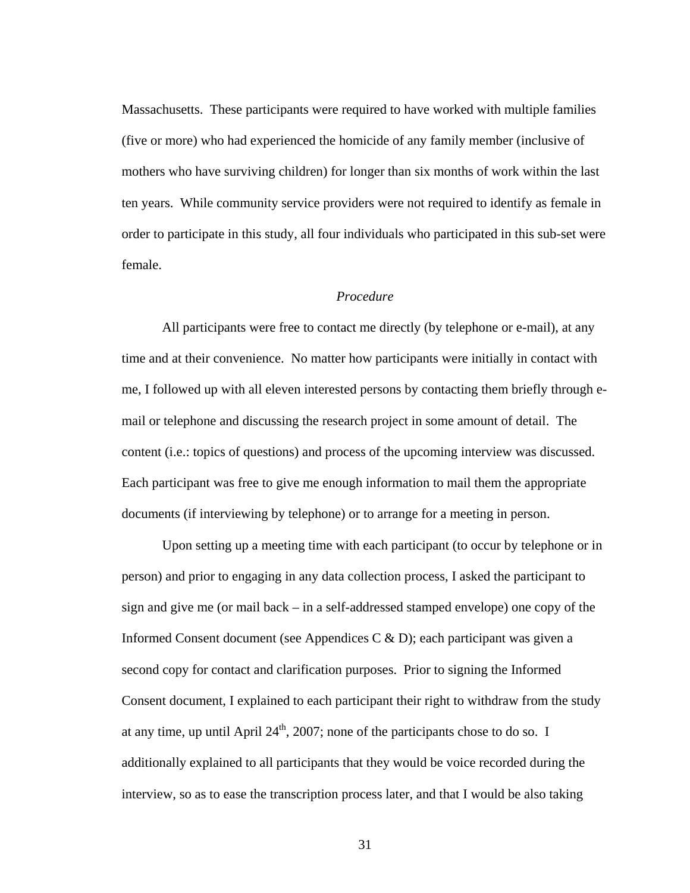Massachusetts. These participants were required to have worked with multiple families (five or more) who had experienced the homicide of any family member (inclusive of mothers who have surviving children) for longer than six months of work within the last ten years. While community service providers were not required to identify as female in order to participate in this study, all four individuals who participated in this sub-set were female.

## *Procedure*

 All participants were free to contact me directly (by telephone or e-mail), at any time and at their convenience. No matter how participants were initially in contact with me, I followed up with all eleven interested persons by contacting them briefly through email or telephone and discussing the research project in some amount of detail. The content (i.e.: topics of questions) and process of the upcoming interview was discussed. Each participant was free to give me enough information to mail them the appropriate documents (if interviewing by telephone) or to arrange for a meeting in person.

 Upon setting up a meeting time with each participant (to occur by telephone or in person) and prior to engaging in any data collection process, I asked the participant to sign and give me (or mail back – in a self-addressed stamped envelope) one copy of the Informed Consent document (see Appendices C & D); each participant was given a second copy for contact and clarification purposes. Prior to signing the Informed Consent document, I explained to each participant their right to withdraw from the study at any time, up until April  $24<sup>th</sup>$ , 2007; none of the participants chose to do so. I additionally explained to all participants that they would be voice recorded during the interview, so as to ease the transcription process later, and that I would be also taking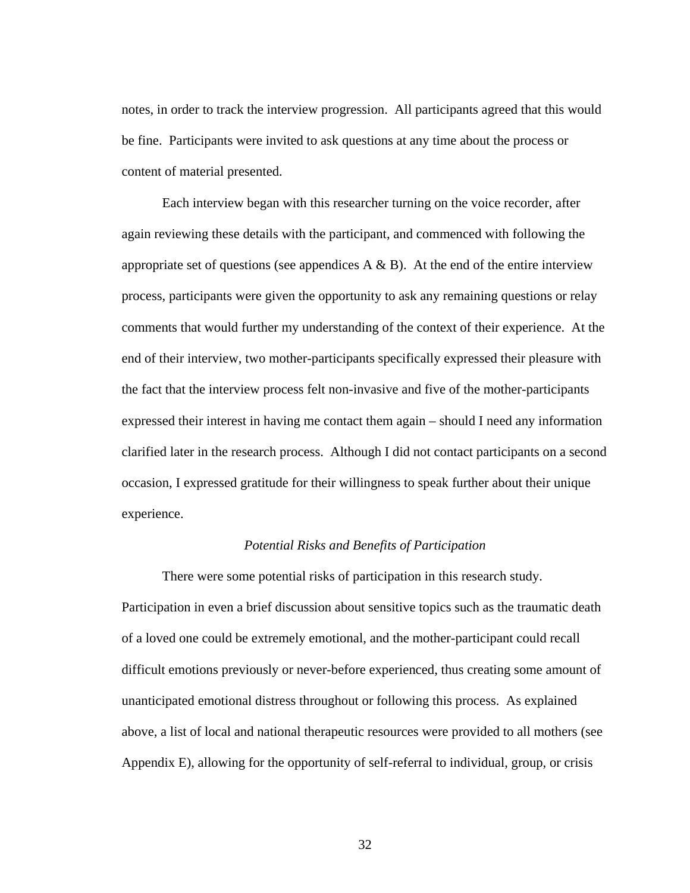notes, in order to track the interview progression. All participants agreed that this would be fine. Participants were invited to ask questions at any time about the process or content of material presented.

 Each interview began with this researcher turning on the voice recorder, after again reviewing these details with the participant, and commenced with following the appropriate set of questions (see appendices  $A \& B$ ). At the end of the entire interview process, participants were given the opportunity to ask any remaining questions or relay comments that would further my understanding of the context of their experience. At the end of their interview, two mother-participants specifically expressed their pleasure with the fact that the interview process felt non-invasive and five of the mother-participants expressed their interest in having me contact them again – should I need any information clarified later in the research process. Although I did not contact participants on a second occasion, I expressed gratitude for their willingness to speak further about their unique experience.

## *Potential Risks and Benefits of Participation*

 There were some potential risks of participation in this research study. Participation in even a brief discussion about sensitive topics such as the traumatic death of a loved one could be extremely emotional, and the mother-participant could recall difficult emotions previously or never-before experienced, thus creating some amount of unanticipated emotional distress throughout or following this process. As explained above, a list of local and national therapeutic resources were provided to all mothers (see Appendix E), allowing for the opportunity of self-referral to individual, group, or crisis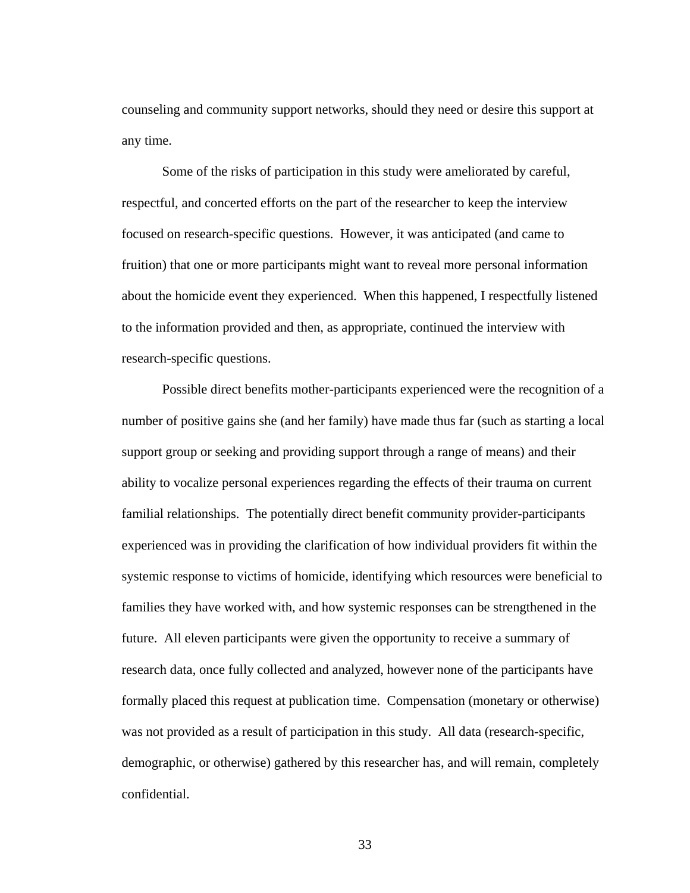counseling and community support networks, should they need or desire this support at any time.

 Some of the risks of participation in this study were ameliorated by careful, respectful, and concerted efforts on the part of the researcher to keep the interview focused on research-specific questions. However, it was anticipated (and came to fruition) that one or more participants might want to reveal more personal information about the homicide event they experienced. When this happened, I respectfully listened to the information provided and then, as appropriate, continued the interview with research-specific questions.

Possible direct benefits mother-participants experienced were the recognition of a number of positive gains she (and her family) have made thus far (such as starting a local support group or seeking and providing support through a range of means) and their ability to vocalize personal experiences regarding the effects of their trauma on current familial relationships. The potentially direct benefit community provider-participants experienced was in providing the clarification of how individual providers fit within the systemic response to victims of homicide, identifying which resources were beneficial to families they have worked with, and how systemic responses can be strengthened in the future. All eleven participants were given the opportunity to receive a summary of research data, once fully collected and analyzed, however none of the participants have formally placed this request at publication time. Compensation (monetary or otherwise) was not provided as a result of participation in this study. All data (research-specific, demographic, or otherwise) gathered by this researcher has, and will remain, completely confidential.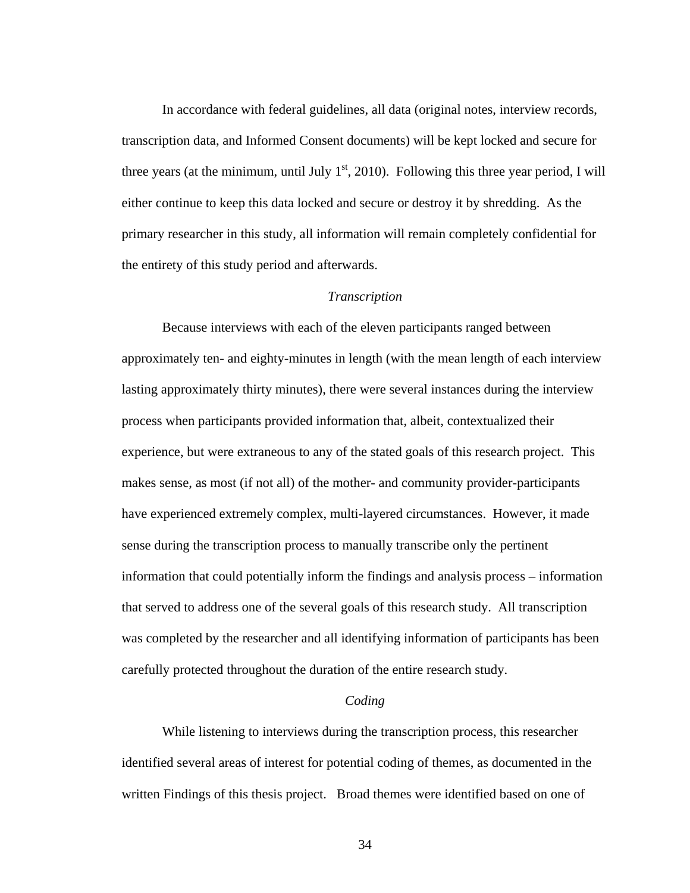In accordance with federal guidelines, all data (original notes, interview records, transcription data, and Informed Consent documents) will be kept locked and secure for three years (at the minimum, until July  $1<sup>st</sup>$ , 2010). Following this three year period, I will either continue to keep this data locked and secure or destroy it by shredding. As the primary researcher in this study, all information will remain completely confidential for the entirety of this study period and afterwards.

# *Transcription*

 Because interviews with each of the eleven participants ranged between approximately ten- and eighty-minutes in length (with the mean length of each interview lasting approximately thirty minutes), there were several instances during the interview process when participants provided information that, albeit, contextualized their experience, but were extraneous to any of the stated goals of this research project. This makes sense, as most (if not all) of the mother- and community provider-participants have experienced extremely complex, multi-layered circumstances. However, it made sense during the transcription process to manually transcribe only the pertinent information that could potentially inform the findings and analysis process – information that served to address one of the several goals of this research study. All transcription was completed by the researcher and all identifying information of participants has been carefully protected throughout the duration of the entire research study.

# *Coding*

 While listening to interviews during the transcription process, this researcher identified several areas of interest for potential coding of themes, as documented in the written Findings of this thesis project. Broad themes were identified based on one of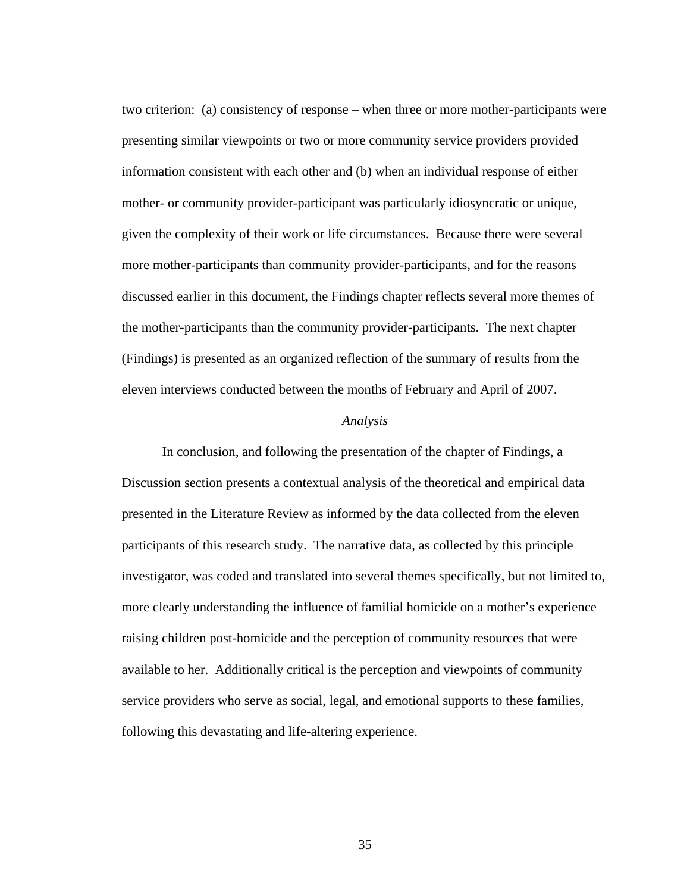two criterion: (a) consistency of response – when three or more mother-participants were presenting similar viewpoints or two or more community service providers provided information consistent with each other and (b) when an individual response of either mother- or community provider-participant was particularly idiosyncratic or unique, given the complexity of their work or life circumstances. Because there were several more mother-participants than community provider-participants, and for the reasons discussed earlier in this document, the Findings chapter reflects several more themes of the mother-participants than the community provider-participants. The next chapter (Findings) is presented as an organized reflection of the summary of results from the eleven interviews conducted between the months of February and April of 2007.

## *Analysis*

 In conclusion, and following the presentation of the chapter of Findings, a Discussion section presents a contextual analysis of the theoretical and empirical data presented in the Literature Review as informed by the data collected from the eleven participants of this research study. The narrative data, as collected by this principle investigator, was coded and translated into several themes specifically, but not limited to, more clearly understanding the influence of familial homicide on a mother's experience raising children post-homicide and the perception of community resources that were available to her. Additionally critical is the perception and viewpoints of community service providers who serve as social, legal, and emotional supports to these families, following this devastating and life-altering experience.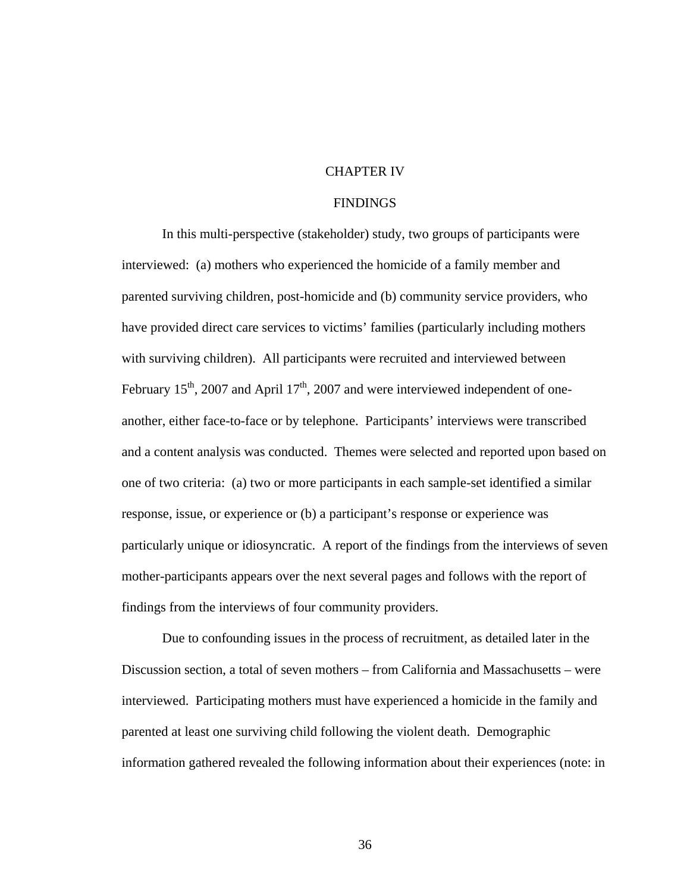## CHAPTER IV

#### FINDINGS

In this multi-perspective (stakeholder) study, two groups of participants were interviewed: (a) mothers who experienced the homicide of a family member and parented surviving children, post-homicide and (b) community service providers, who have provided direct care services to victims' families (particularly including mothers with surviving children). All participants were recruited and interviewed between February  $15<sup>th</sup>$ , 2007 and April  $17<sup>th</sup>$ , 2007 and were interviewed independent of oneanother, either face-to-face or by telephone. Participants' interviews were transcribed and a content analysis was conducted. Themes were selected and reported upon based on one of two criteria: (a) two or more participants in each sample-set identified a similar response, issue, or experience or (b) a participant's response or experience was particularly unique or idiosyncratic. A report of the findings from the interviews of seven mother-participants appears over the next several pages and follows with the report of findings from the interviews of four community providers.

Due to confounding issues in the process of recruitment, as detailed later in the Discussion section, a total of seven mothers – from California and Massachusetts – were interviewed. Participating mothers must have experienced a homicide in the family and parented at least one surviving child following the violent death. Demographic information gathered revealed the following information about their experiences (note: in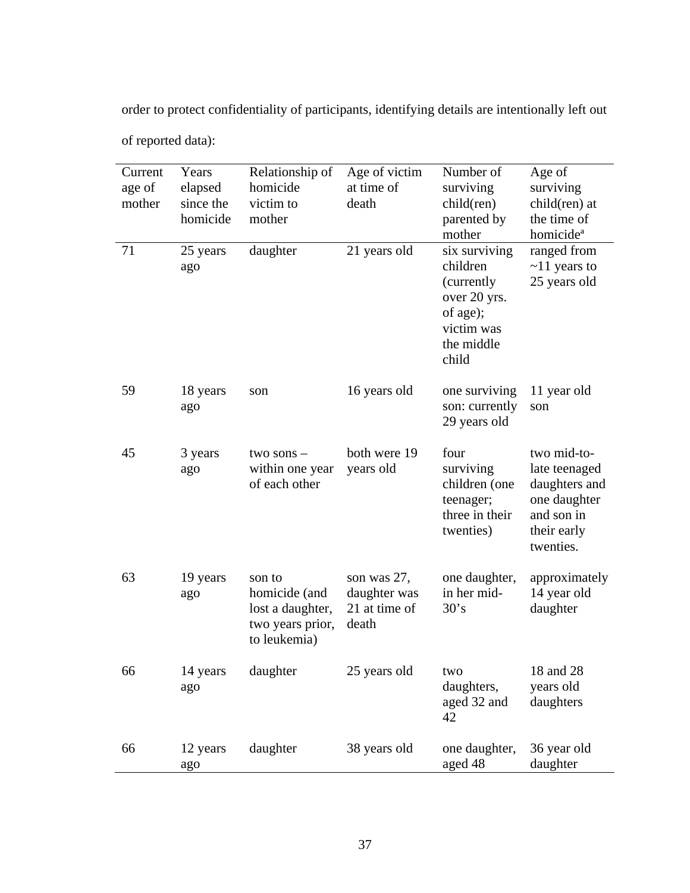order to protect confidentiality of participants, identifying details are intentionally left out

| Current<br>age of<br>mother | Years<br>elapsed<br>since the<br>homicide | Relationship of<br>homicide<br>victim to<br>mother                              | Age of victim<br>at time of<br>death                  | Number of<br>surviving<br>child(ren)<br>parented by<br>mother                                             | Age of<br>surviving<br>child(ren) at<br>the time of<br>homicide <sup>a</sup>                            |
|-----------------------------|-------------------------------------------|---------------------------------------------------------------------------------|-------------------------------------------------------|-----------------------------------------------------------------------------------------------------------|---------------------------------------------------------------------------------------------------------|
| 71                          | 25 years<br>ago                           | daughter                                                                        | 21 years old                                          | six surviving<br>children<br>(currently)<br>over 20 yrs.<br>of age);<br>victim was<br>the middle<br>child | ranged from<br>$\sim$ 11 years to<br>25 years old                                                       |
| 59                          | 18 years<br>ago                           | son                                                                             | 16 years old                                          | one surviving<br>son: currently<br>29 years old                                                           | 11 year old<br>son                                                                                      |
| 45                          | 3 years<br>ago                            | two sons $-$<br>within one year<br>of each other                                | both were 19<br>years old                             | four<br>surviving<br>children (one<br>teenager;<br>three in their<br>twenties)                            | two mid-to-<br>late teenaged<br>daughters and<br>one daughter<br>and son in<br>their early<br>twenties. |
| 63                          | 19 years<br>ago                           | son to<br>homicide (and<br>lost a daughter,<br>two years prior,<br>to leukemia) | son was 27,<br>daughter was<br>21 at time of<br>death | one daughter,<br>in her mid-<br>30's                                                                      | approximately<br>14 year old<br>daughter                                                                |
| 66                          | 14 years<br>ago                           | daughter                                                                        | 25 years old                                          | two<br>daughters,<br>aged 32 and<br>42                                                                    | 18 and 28<br>years old<br>daughters                                                                     |
| 66                          | 12 years<br>ago                           | daughter                                                                        | 38 years old                                          | one daughter,<br>aged 48                                                                                  | 36 year old<br>daughter                                                                                 |

of reported data):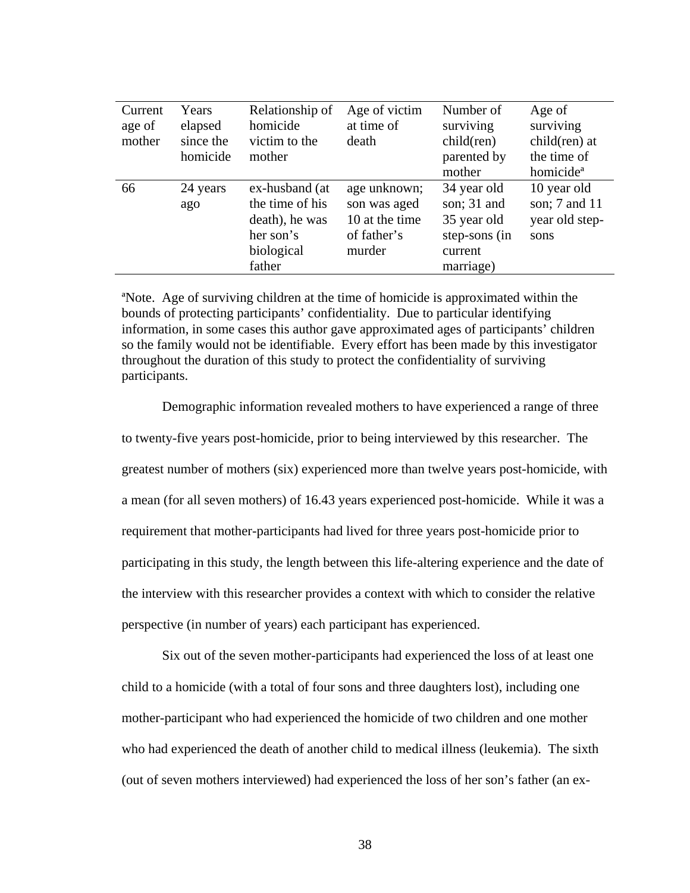| Current<br>age of<br>mother | Years<br>elapsed<br>since the<br>homicide | Relationship of<br>homicide<br>victim to the<br>mother                                   | Age of victim<br>at time of<br>death                                    | Number of<br>surviving<br>child(ren)<br>parented by<br>mother                      | Age of<br>surviving<br>child(ren) at<br>the time of<br>homicide <sup>a</sup> |
|-----------------------------|-------------------------------------------|------------------------------------------------------------------------------------------|-------------------------------------------------------------------------|------------------------------------------------------------------------------------|------------------------------------------------------------------------------|
| 66                          | 24 years<br>ago                           | ex-husband (at<br>the time of his<br>death), he was<br>her son's<br>biological<br>father | age unknown;<br>son was aged<br>10 at the time<br>of father's<br>murder | 34 year old<br>son; 31 and<br>35 year old<br>step-sons (in<br>current<br>marriage) | 10 year old<br>son; 7 and 11<br>year old step-<br>sons                       |

ªNote. Age of surviving children at the time of homicide is approximated within the bounds of protecting participants' confidentiality. Due to particular identifying information, in some cases this author gave approximated ages of participants' children so the family would not be identifiable. Every effort has been made by this investigator throughout the duration of this study to protect the confidentiality of surviving participants.

Demographic information revealed mothers to have experienced a range of three to twenty-five years post-homicide, prior to being interviewed by this researcher. The greatest number of mothers (six) experienced more than twelve years post-homicide, with a mean (for all seven mothers) of 16.43 years experienced post-homicide. While it was a requirement that mother-participants had lived for three years post-homicide prior to participating in this study, the length between this life-altering experience and the date of the interview with this researcher provides a context with which to consider the relative perspective (in number of years) each participant has experienced.

Six out of the seven mother-participants had experienced the loss of at least one child to a homicide (with a total of four sons and three daughters lost), including one mother-participant who had experienced the homicide of two children and one mother who had experienced the death of another child to medical illness (leukemia). The sixth (out of seven mothers interviewed) had experienced the loss of her son's father (an ex-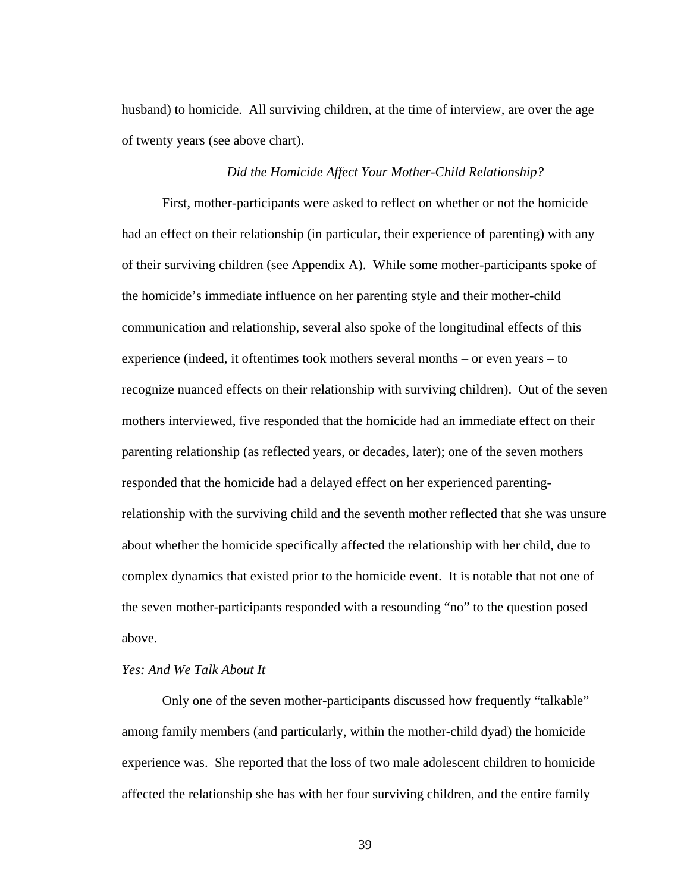husband) to homicide. All surviving children, at the time of interview, are over the age of twenty years (see above chart).

#### *Did the Homicide Affect Your Mother-Child Relationship?*

First, mother-participants were asked to reflect on whether or not the homicide had an effect on their relationship (in particular, their experience of parenting) with any of their surviving children (see Appendix A). While some mother-participants spoke of the homicide's immediate influence on her parenting style and their mother-child communication and relationship, several also spoke of the longitudinal effects of this experience (indeed, it oftentimes took mothers several months – or even years – to recognize nuanced effects on their relationship with surviving children). Out of the seven mothers interviewed, five responded that the homicide had an immediate effect on their parenting relationship (as reflected years, or decades, later); one of the seven mothers responded that the homicide had a delayed effect on her experienced parentingrelationship with the surviving child and the seventh mother reflected that she was unsure about whether the homicide specifically affected the relationship with her child, due to complex dynamics that existed prior to the homicide event. It is notable that not one of the seven mother-participants responded with a resounding "no" to the question posed above.

# *Yes: And We Talk About It*

 Only one of the seven mother-participants discussed how frequently "talkable" among family members (and particularly, within the mother-child dyad) the homicide experience was. She reported that the loss of two male adolescent children to homicide affected the relationship she has with her four surviving children, and the entire family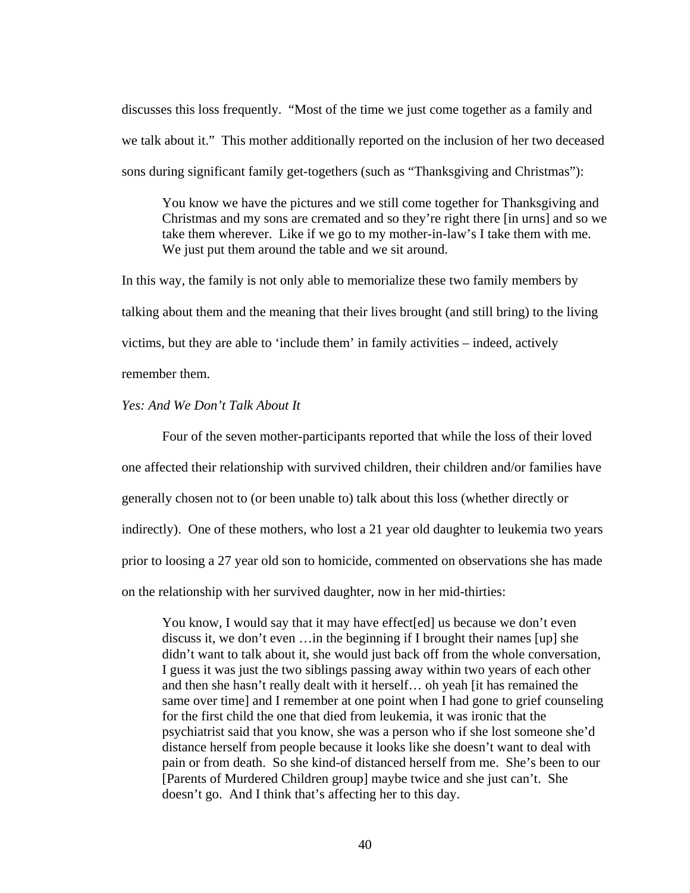discusses this loss frequently. "Most of the time we just come together as a family and we talk about it." This mother additionally reported on the inclusion of her two deceased sons during significant family get-togethers (such as "Thanksgiving and Christmas"):

You know we have the pictures and we still come together for Thanksgiving and Christmas and my sons are cremated and so they're right there [in urns] and so we take them wherever. Like if we go to my mother-in-law's I take them with me. We just put them around the table and we sit around.

In this way, the family is not only able to memorialize these two family members by talking about them and the meaning that their lives brought (and still bring) to the living victims, but they are able to 'include them' in family activities – indeed, actively remember them.

### *Yes: And We Don't Talk About It*

 Four of the seven mother-participants reported that while the loss of their loved one affected their relationship with survived children, their children and/or families have generally chosen not to (or been unable to) talk about this loss (whether directly or indirectly). One of these mothers, who lost a 21 year old daughter to leukemia two years prior to loosing a 27 year old son to homicide, commented on observations she has made on the relationship with her survived daughter, now in her mid-thirties:

You know, I would say that it may have effect [ed] us because we don't even discuss it, we don't even …in the beginning if I brought their names [up] she didn't want to talk about it, she would just back off from the whole conversation, I guess it was just the two siblings passing away within two years of each other and then she hasn't really dealt with it herself… oh yeah [it has remained the same over time] and I remember at one point when I had gone to grief counseling for the first child the one that died from leukemia, it was ironic that the psychiatrist said that you know, she was a person who if she lost someone she'd distance herself from people because it looks like she doesn't want to deal with pain or from death. So she kind-of distanced herself from me. She's been to our [Parents of Murdered Children group] maybe twice and she just can't. She doesn't go. And I think that's affecting her to this day.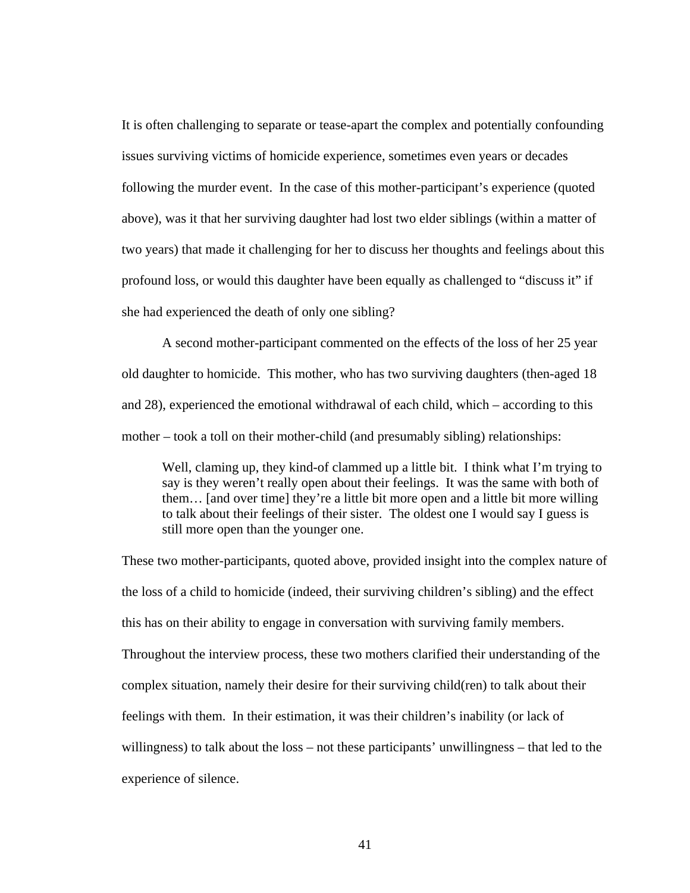It is often challenging to separate or tease-apart the complex and potentially confounding issues surviving victims of homicide experience, sometimes even years or decades following the murder event. In the case of this mother-participant's experience (quoted above), was it that her surviving daughter had lost two elder siblings (within a matter of two years) that made it challenging for her to discuss her thoughts and feelings about this profound loss, or would this daughter have been equally as challenged to "discuss it" if she had experienced the death of only one sibling?

A second mother-participant commented on the effects of the loss of her 25 year old daughter to homicide. This mother, who has two surviving daughters (then-aged 18 and 28), experienced the emotional withdrawal of each child, which – according to this mother – took a toll on their mother-child (and presumably sibling) relationships:

Well, claming up, they kind-of clammed up a little bit. I think what I'm trying to say is they weren't really open about their feelings. It was the same with both of them… [and over time] they're a little bit more open and a little bit more willing to talk about their feelings of their sister. The oldest one I would say I guess is still more open than the younger one.

These two mother-participants, quoted above, provided insight into the complex nature of the loss of a child to homicide (indeed, their surviving children's sibling) and the effect this has on their ability to engage in conversation with surviving family members. Throughout the interview process, these two mothers clarified their understanding of the complex situation, namely their desire for their surviving child(ren) to talk about their feelings with them. In their estimation, it was their children's inability (or lack of willingness) to talk about the loss – not these participants' unwillingness – that led to the experience of silence.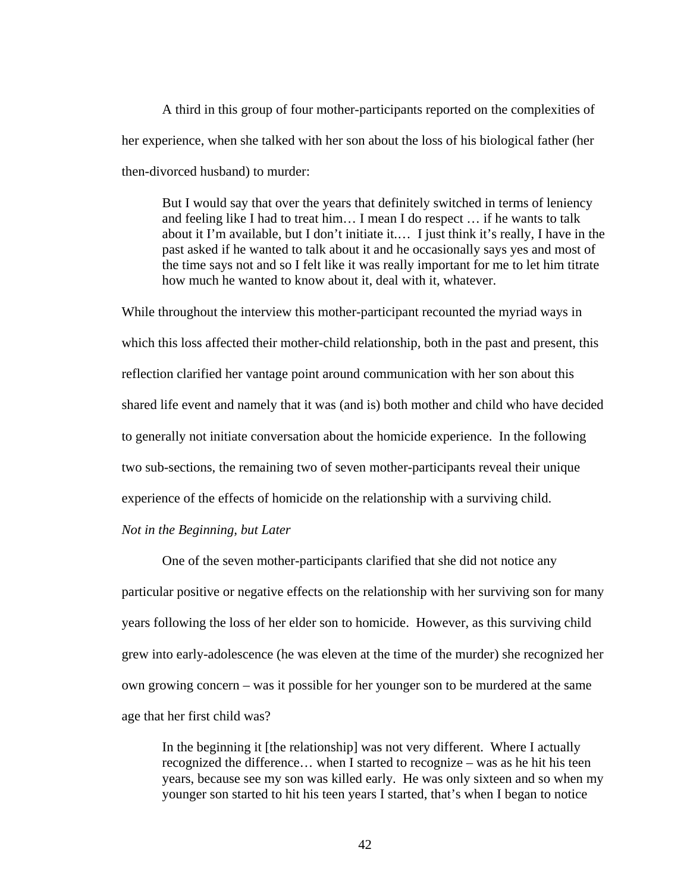A third in this group of four mother-participants reported on the complexities of her experience, when she talked with her son about the loss of his biological father (her then-divorced husband) to murder:

But I would say that over the years that definitely switched in terms of leniency and feeling like I had to treat him… I mean I do respect … if he wants to talk about it I'm available, but I don't initiate it.… I just think it's really, I have in the past asked if he wanted to talk about it and he occasionally says yes and most of the time says not and so I felt like it was really important for me to let him titrate how much he wanted to know about it, deal with it, whatever.

While throughout the interview this mother-participant recounted the myriad ways in which this loss affected their mother-child relationship, both in the past and present, this reflection clarified her vantage point around communication with her son about this shared life event and namely that it was (and is) both mother and child who have decided to generally not initiate conversation about the homicide experience. In the following two sub-sections, the remaining two of seven mother-participants reveal their unique experience of the effects of homicide on the relationship with a surviving child.

## *Not in the Beginning, but Later*

 One of the seven mother-participants clarified that she did not notice any particular positive or negative effects on the relationship with her surviving son for many years following the loss of her elder son to homicide. However, as this surviving child grew into early-adolescence (he was eleven at the time of the murder) she recognized her own growing concern – was it possible for her younger son to be murdered at the same age that her first child was?

In the beginning it [the relationship] was not very different. Where I actually recognized the difference… when I started to recognize – was as he hit his teen years, because see my son was killed early. He was only sixteen and so when my younger son started to hit his teen years I started, that's when I began to notice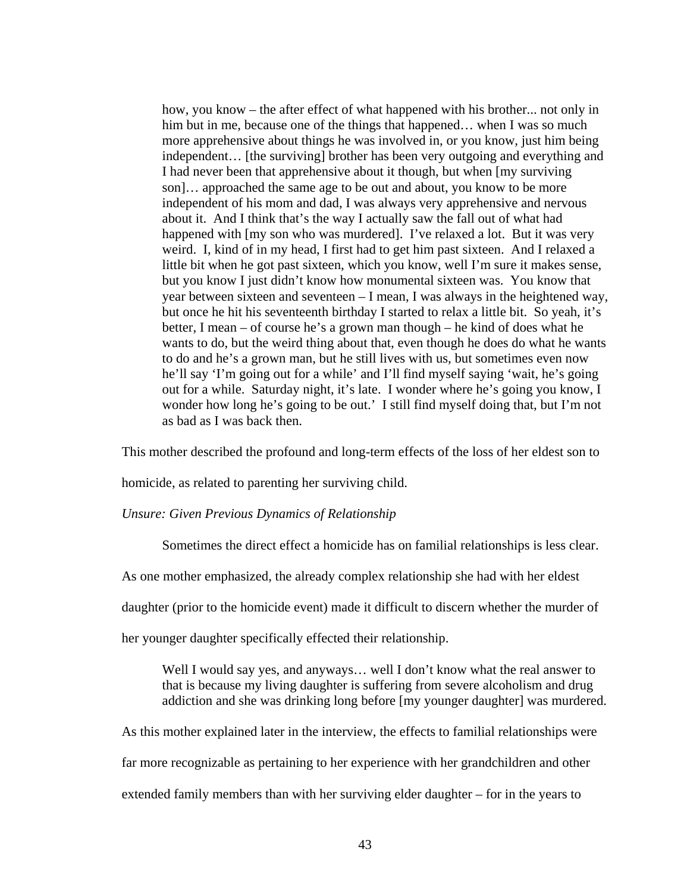how, you know – the after effect of what happened with his brother... not only in him but in me, because one of the things that happened... when I was so much more apprehensive about things he was involved in, or you know, just him being independent… [the surviving] brother has been very outgoing and everything and I had never been that apprehensive about it though, but when [my surviving son]… approached the same age to be out and about, you know to be more independent of his mom and dad, I was always very apprehensive and nervous about it. And I think that's the way I actually saw the fall out of what had happened with [my son who was murdered]. I've relaxed a lot. But it was very weird. I, kind of in my head, I first had to get him past sixteen. And I relaxed a little bit when he got past sixteen, which you know, well I'm sure it makes sense, but you know I just didn't know how monumental sixteen was. You know that year between sixteen and seventeen – I mean, I was always in the heightened way, but once he hit his seventeenth birthday I started to relax a little bit. So yeah, it's better, I mean – of course he's a grown man though – he kind of does what he wants to do, but the weird thing about that, even though he does do what he wants to do and he's a grown man, but he still lives with us, but sometimes even now he'll say 'I'm going out for a while' and I'll find myself saying 'wait, he's going out for a while. Saturday night, it's late. I wonder where he's going you know, I wonder how long he's going to be out.' I still find myself doing that, but I'm not as bad as I was back then.

This mother described the profound and long-term effects of the loss of her eldest son to

homicide, as related to parenting her surviving child.

### *Unsure: Given Previous Dynamics of Relationship*

Sometimes the direct effect a homicide has on familial relationships is less clear.

As one mother emphasized, the already complex relationship she had with her eldest

daughter (prior to the homicide event) made it difficult to discern whether the murder of

her younger daughter specifically effected their relationship.

Well I would say yes, and anyways... well I don't know what the real answer to that is because my living daughter is suffering from severe alcoholism and drug addiction and she was drinking long before [my younger daughter] was murdered.

As this mother explained later in the interview, the effects to familial relationships were

far more recognizable as pertaining to her experience with her grandchildren and other

extended family members than with her surviving elder daughter – for in the years to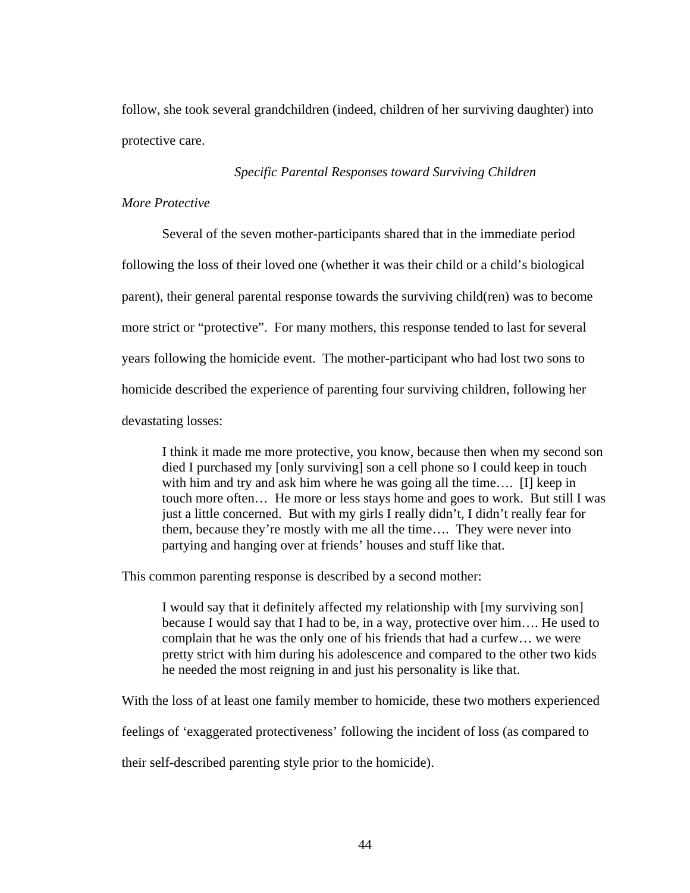follow, she took several grandchildren (indeed, children of her surviving daughter) into protective care.

# *Specific Parental Responses toward Surviving Children*

## *More Protective*

Several of the seven mother-participants shared that in the immediate period following the loss of their loved one (whether it was their child or a child's biological parent), their general parental response towards the surviving child(ren) was to become more strict or "protective". For many mothers, this response tended to last for several years following the homicide event. The mother-participant who had lost two sons to homicide described the experience of parenting four surviving children, following her devastating losses:

I think it made me more protective, you know, because then when my second son died I purchased my [only surviving] son a cell phone so I could keep in touch with him and try and ask him where he was going all the time.... [I] keep in touch more often… He more or less stays home and goes to work. But still I was just a little concerned. But with my girls I really didn't, I didn't really fear for them, because they're mostly with me all the time…. They were never into partying and hanging over at friends' houses and stuff like that.

This common parenting response is described by a second mother:

I would say that it definitely affected my relationship with [my surviving son] because I would say that I had to be, in a way, protective over him…. He used to complain that he was the only one of his friends that had a curfew… we were pretty strict with him during his adolescence and compared to the other two kids he needed the most reigning in and just his personality is like that.

With the loss of at least one family member to homicide, these two mothers experienced

feelings of 'exaggerated protectiveness' following the incident of loss (as compared to

their self-described parenting style prior to the homicide).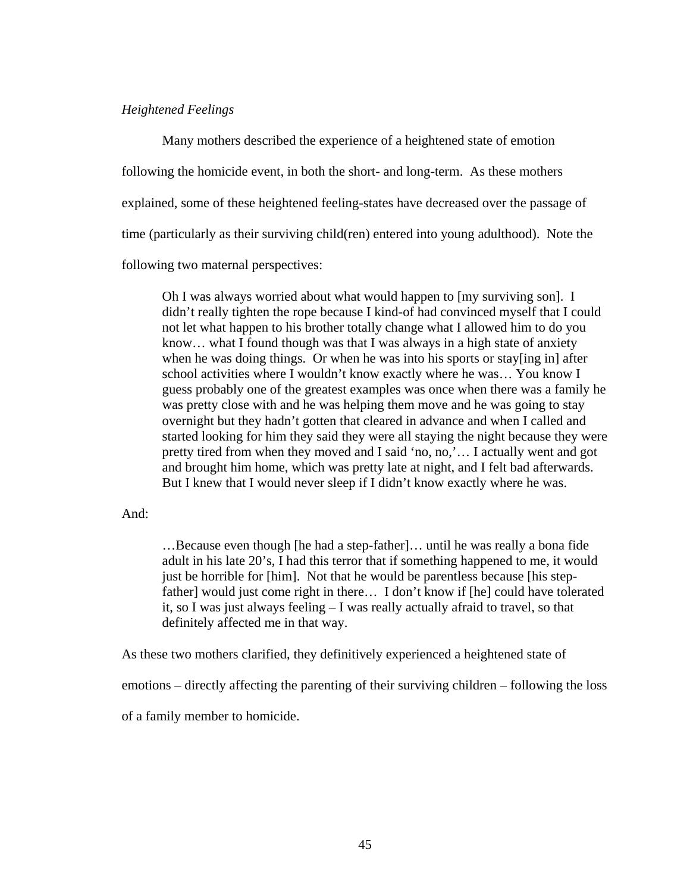### *Heightened Feelings*

 Many mothers described the experience of a heightened state of emotion following the homicide event, in both the short- and long-term. As these mothers explained, some of these heightened feeling-states have decreased over the passage of time (particularly as their surviving child(ren) entered into young adulthood). Note the following two maternal perspectives:

Oh I was always worried about what would happen to [my surviving son]. I didn't really tighten the rope because I kind-of had convinced myself that I could not let what happen to his brother totally change what I allowed him to do you know… what I found though was that I was always in a high state of anxiety when he was doing things. Or when he was into his sports or stay[ing in] after school activities where I wouldn't know exactly where he was… You know I guess probably one of the greatest examples was once when there was a family he was pretty close with and he was helping them move and he was going to stay overnight but they hadn't gotten that cleared in advance and when I called and started looking for him they said they were all staying the night because they were pretty tired from when they moved and I said 'no, no,'… I actually went and got and brought him home, which was pretty late at night, and I felt bad afterwards. But I knew that I would never sleep if I didn't know exactly where he was.

And:

…Because even though [he had a step-father]… until he was really a bona fide adult in his late 20's, I had this terror that if something happened to me, it would just be horrible for [him]. Not that he would be parentless because [his stepfather] would just come right in there… I don't know if [he] could have tolerated it, so I was just always feeling – I was really actually afraid to travel, so that definitely affected me in that way.

As these two mothers clarified, they definitively experienced a heightened state of

emotions – directly affecting the parenting of their surviving children – following the loss

of a family member to homicide.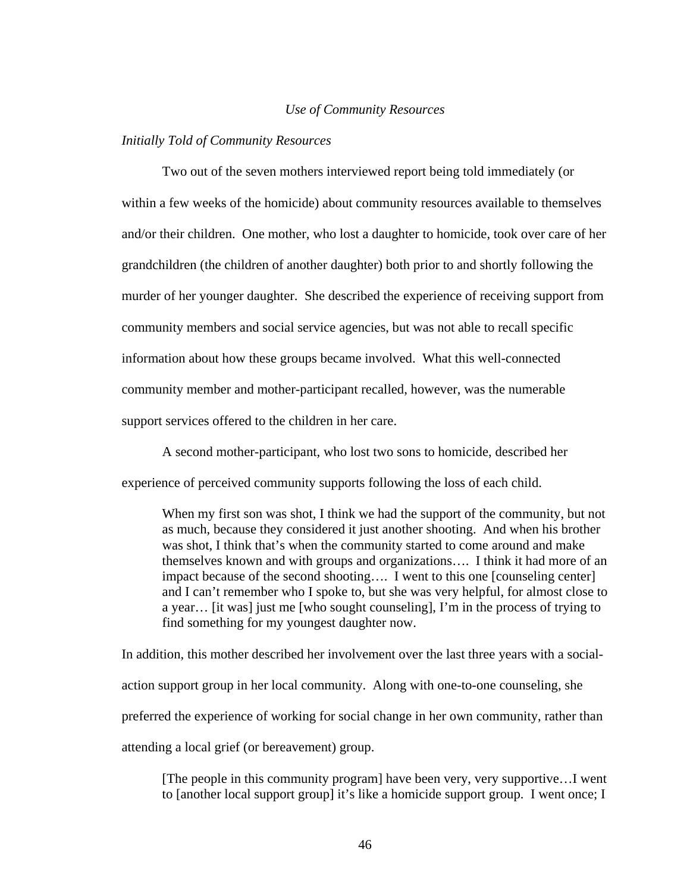### *Use of Community Resources*

#### *Initially Told of Community Resources*

 Two out of the seven mothers interviewed report being told immediately (or within a few weeks of the homicide) about community resources available to themselves and/or their children. One mother, who lost a daughter to homicide, took over care of her grandchildren (the children of another daughter) both prior to and shortly following the murder of her younger daughter. She described the experience of receiving support from community members and social service agencies, but was not able to recall specific information about how these groups became involved. What this well-connected community member and mother-participant recalled, however, was the numerable support services offered to the children in her care.

A second mother-participant, who lost two sons to homicide, described her experience of perceived community supports following the loss of each child.

When my first son was shot, I think we had the support of the community, but not as much, because they considered it just another shooting. And when his brother was shot, I think that's when the community started to come around and make themselves known and with groups and organizations…. I think it had more of an impact because of the second shooting…. I went to this one [counseling center] and I can't remember who I spoke to, but she was very helpful, for almost close to a year… [it was] just me [who sought counseling], I'm in the process of trying to find something for my youngest daughter now.

In addition, this mother described her involvement over the last three years with a socialaction support group in her local community. Along with one-to-one counseling, she preferred the experience of working for social change in her own community, rather than attending a local grief (or bereavement) group.

[The people in this community program] have been very, very supportive…I went to [another local support group] it's like a homicide support group. I went once; I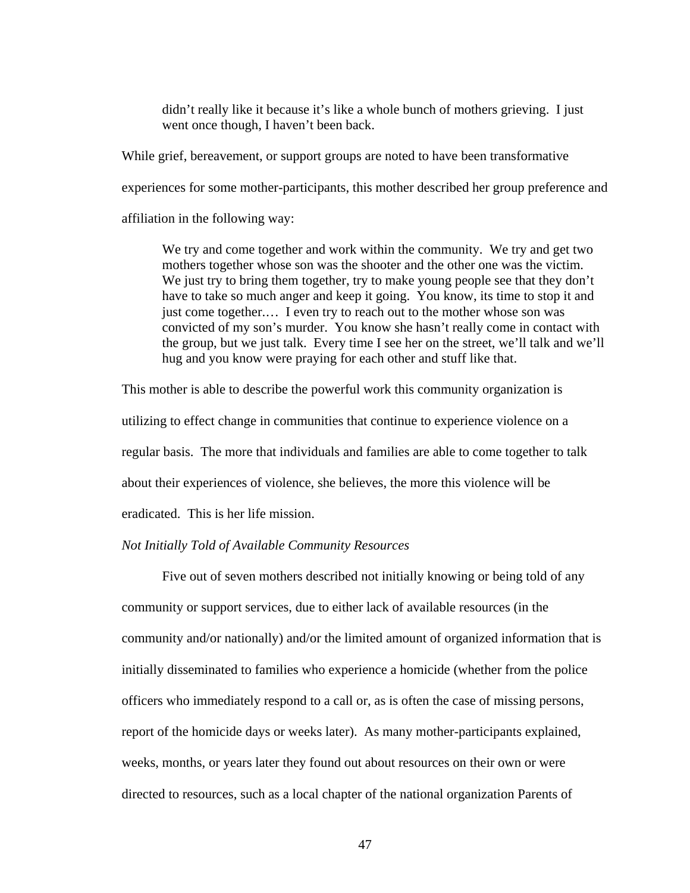didn't really like it because it's like a whole bunch of mothers grieving. I just went once though, I haven't been back.

While grief, bereavement, or support groups are noted to have been transformative experiences for some mother-participants, this mother described her group preference and affiliation in the following way:

We try and come together and work within the community. We try and get two mothers together whose son was the shooter and the other one was the victim. We just try to bring them together, try to make young people see that they don't have to take so much anger and keep it going. You know, its time to stop it and just come together.… I even try to reach out to the mother whose son was convicted of my son's murder. You know she hasn't really come in contact with the group, but we just talk. Every time I see her on the street, we'll talk and we'll hug and you know were praying for each other and stuff like that.

This mother is able to describe the powerful work this community organization is utilizing to effect change in communities that continue to experience violence on a regular basis. The more that individuals and families are able to come together to talk about their experiences of violence, she believes, the more this violence will be eradicated. This is her life mission.

## *Not Initially Told of Available Community Resources*

 Five out of seven mothers described not initially knowing or being told of any community or support services, due to either lack of available resources (in the community and/or nationally) and/or the limited amount of organized information that is initially disseminated to families who experience a homicide (whether from the police officers who immediately respond to a call or, as is often the case of missing persons, report of the homicide days or weeks later). As many mother-participants explained, weeks, months, or years later they found out about resources on their own or were directed to resources, such as a local chapter of the national organization Parents of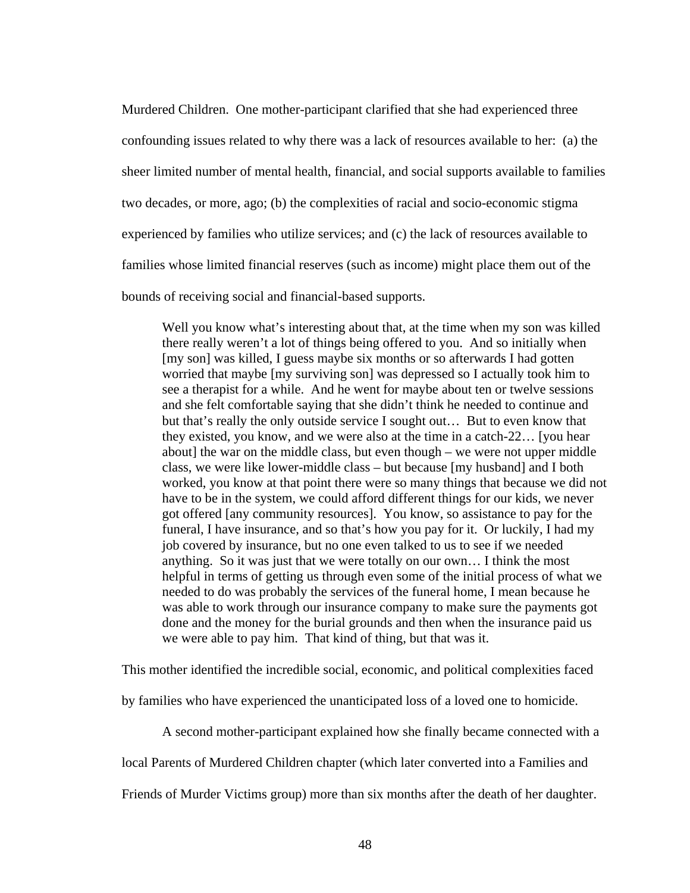Murdered Children. One mother-participant clarified that she had experienced three confounding issues related to why there was a lack of resources available to her: (a) the sheer limited number of mental health, financial, and social supports available to families two decades, or more, ago; (b) the complexities of racial and socio-economic stigma experienced by families who utilize services; and (c) the lack of resources available to families whose limited financial reserves (such as income) might place them out of the bounds of receiving social and financial-based supports.

Well you know what's interesting about that, at the time when my son was killed there really weren't a lot of things being offered to you. And so initially when [my son] was killed, I guess maybe six months or so afterwards I had gotten worried that maybe [my surviving son] was depressed so I actually took him to see a therapist for a while. And he went for maybe about ten or twelve sessions and she felt comfortable saying that she didn't think he needed to continue and but that's really the only outside service I sought out… But to even know that they existed, you know, and we were also at the time in a catch-22… [you hear about] the war on the middle class, but even though – we were not upper middle class, we were like lower-middle class – but because [my husband] and I both worked, you know at that point there were so many things that because we did not have to be in the system, we could afford different things for our kids, we never got offered [any community resources]. You know, so assistance to pay for the funeral, I have insurance, and so that's how you pay for it. Or luckily, I had my job covered by insurance, but no one even talked to us to see if we needed anything. So it was just that we were totally on our own… I think the most helpful in terms of getting us through even some of the initial process of what we needed to do was probably the services of the funeral home, I mean because he was able to work through our insurance company to make sure the payments got done and the money for the burial grounds and then when the insurance paid us we were able to pay him. That kind of thing, but that was it.

This mother identified the incredible social, economic, and political complexities faced

by families who have experienced the unanticipated loss of a loved one to homicide.

A second mother-participant explained how she finally became connected with a

local Parents of Murdered Children chapter (which later converted into a Families and

Friends of Murder Victims group) more than six months after the death of her daughter.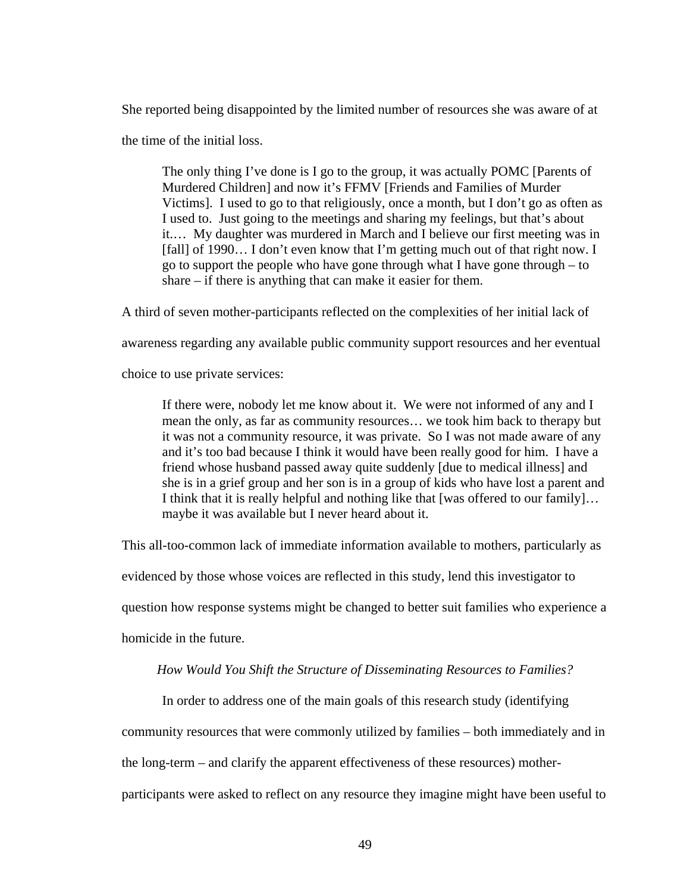She reported being disappointed by the limited number of resources she was aware of at

the time of the initial loss.

The only thing I've done is I go to the group, it was actually POMC [Parents of Murdered Children] and now it's FFMV [Friends and Families of Murder Victims]. I used to go to that religiously, once a month, but I don't go as often as I used to. Just going to the meetings and sharing my feelings, but that's about it.… My daughter was murdered in March and I believe our first meeting was in [fall] of 1990... I don't even know that I'm getting much out of that right now. I go to support the people who have gone through what I have gone through – to share – if there is anything that can make it easier for them.

A third of seven mother-participants reflected on the complexities of her initial lack of

awareness regarding any available public community support resources and her eventual

choice to use private services:

If there were, nobody let me know about it. We were not informed of any and I mean the only, as far as community resources… we took him back to therapy but it was not a community resource, it was private. So I was not made aware of any and it's too bad because I think it would have been really good for him. I have a friend whose husband passed away quite suddenly [due to medical illness] and she is in a grief group and her son is in a group of kids who have lost a parent and I think that it is really helpful and nothing like that [was offered to our family]… maybe it was available but I never heard about it.

This all-too-common lack of immediate information available to mothers, particularly as

evidenced by those whose voices are reflected in this study, lend this investigator to

question how response systems might be changed to better suit families who experience a

homicide in the future.

# *How Would You Shift the Structure of Disseminating Resources to Families?*

In order to address one of the main goals of this research study (identifying

community resources that were commonly utilized by families – both immediately and in

the long-term – and clarify the apparent effectiveness of these resources) mother-

participants were asked to reflect on any resource they imagine might have been useful to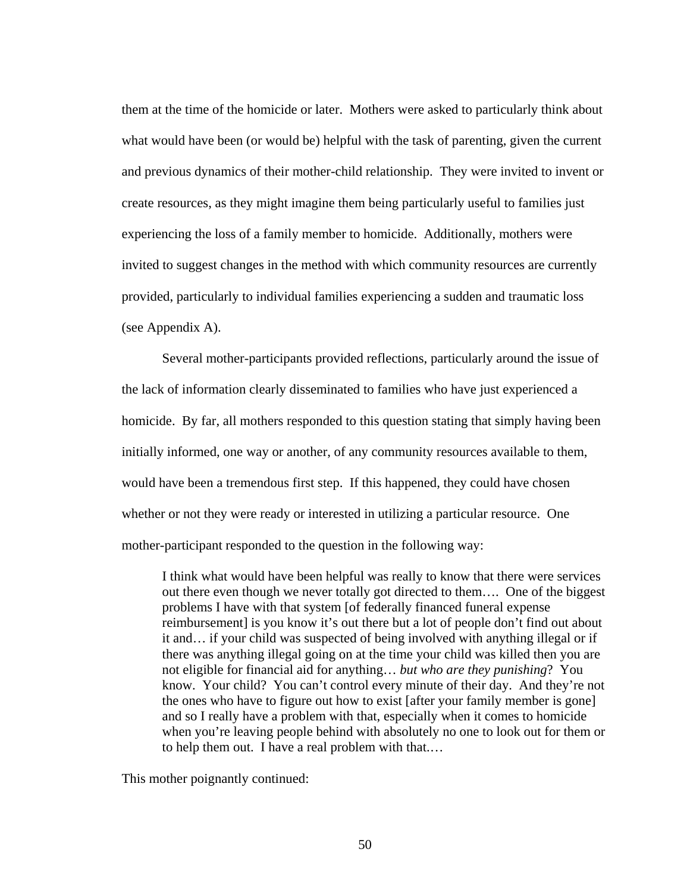them at the time of the homicide or later. Mothers were asked to particularly think about what would have been (or would be) helpful with the task of parenting, given the current and previous dynamics of their mother-child relationship. They were invited to invent or create resources, as they might imagine them being particularly useful to families just experiencing the loss of a family member to homicide. Additionally, mothers were invited to suggest changes in the method with which community resources are currently provided, particularly to individual families experiencing a sudden and traumatic loss (see Appendix A).

Several mother-participants provided reflections, particularly around the issue of the lack of information clearly disseminated to families who have just experienced a homicide. By far, all mothers responded to this question stating that simply having been initially informed, one way or another, of any community resources available to them, would have been a tremendous first step. If this happened, they could have chosen whether or not they were ready or interested in utilizing a particular resource. One mother-participant responded to the question in the following way:

I think what would have been helpful was really to know that there were services out there even though we never totally got directed to them…. One of the biggest problems I have with that system [of federally financed funeral expense reimbursement] is you know it's out there but a lot of people don't find out about it and… if your child was suspected of being involved with anything illegal or if there was anything illegal going on at the time your child was killed then you are not eligible for financial aid for anything… *but who are they punishing*? You know. Your child? You can't control every minute of their day. And they're not the ones who have to figure out how to exist [after your family member is gone] and so I really have a problem with that, especially when it comes to homicide when you're leaving people behind with absolutely no one to look out for them or to help them out. I have a real problem with that.…

This mother poignantly continued: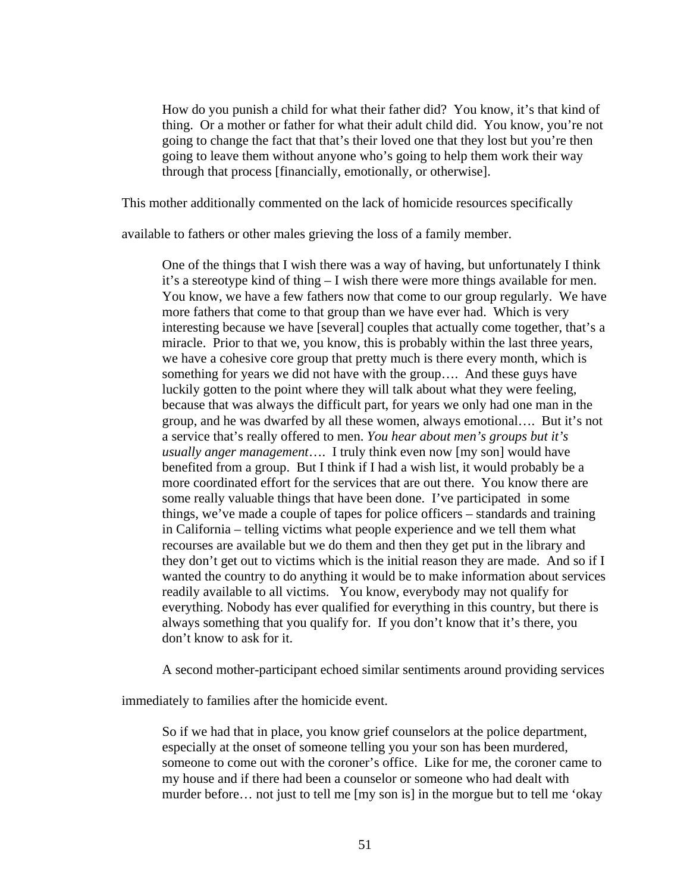How do you punish a child for what their father did? You know, it's that kind of thing. Or a mother or father for what their adult child did. You know, you're not going to change the fact that that's their loved one that they lost but you're then going to leave them without anyone who's going to help them work their way through that process [financially, emotionally, or otherwise].

This mother additionally commented on the lack of homicide resources specifically

available to fathers or other males grieving the loss of a family member.

One of the things that I wish there was a way of having, but unfortunately I think it's a stereotype kind of thing – I wish there were more things available for men. You know, we have a few fathers now that come to our group regularly. We have more fathers that come to that group than we have ever had. Which is very interesting because we have [several] couples that actually come together, that's a miracle. Prior to that we, you know, this is probably within the last three years, we have a cohesive core group that pretty much is there every month, which is something for years we did not have with the group…. And these guys have luckily gotten to the point where they will talk about what they were feeling, because that was always the difficult part, for years we only had one man in the group, and he was dwarfed by all these women, always emotional…. But it's not a service that's really offered to men. *You hear about men's groups but it's usually anger management*…. I truly think even now [my son] would have benefited from a group. But I think if I had a wish list, it would probably be a more coordinated effort for the services that are out there. You know there are some really valuable things that have been done. I've participated in some things, we've made a couple of tapes for police officers – standards and training in California – telling victims what people experience and we tell them what recourses are available but we do them and then they get put in the library and they don't get out to victims which is the initial reason they are made. And so if I wanted the country to do anything it would be to make information about services readily available to all victims. You know, everybody may not qualify for everything. Nobody has ever qualified for everything in this country, but there is always something that you qualify for. If you don't know that it's there, you don't know to ask for it.

A second mother-participant echoed similar sentiments around providing services

immediately to families after the homicide event.

So if we had that in place, you know grief counselors at the police department, especially at the onset of someone telling you your son has been murdered, someone to come out with the coroner's office. Like for me, the coroner came to my house and if there had been a counselor or someone who had dealt with murder before… not just to tell me [my son is] in the morgue but to tell me 'okay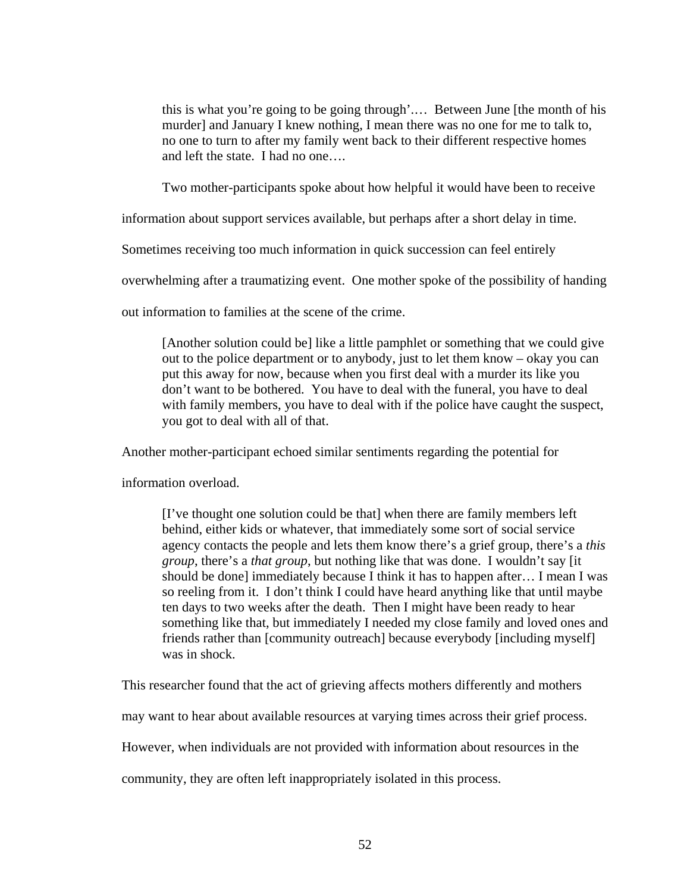this is what you're going to be going through'.… Between June [the month of his murder] and January I knew nothing, I mean there was no one for me to talk to, no one to turn to after my family went back to their different respective homes and left the state. I had no one….

Two mother-participants spoke about how helpful it would have been to receive

information about support services available, but perhaps after a short delay in time.

Sometimes receiving too much information in quick succession can feel entirely

overwhelming after a traumatizing event. One mother spoke of the possibility of handing

out information to families at the scene of the crime.

[Another solution could be] like a little pamphlet or something that we could give out to the police department or to anybody, just to let them know – okay you can put this away for now, because when you first deal with a murder its like you don't want to be bothered. You have to deal with the funeral, you have to deal with family members, you have to deal with if the police have caught the suspect, you got to deal with all of that.

Another mother-participant echoed similar sentiments regarding the potential for

information overload.

[I've thought one solution could be that] when there are family members left behind, either kids or whatever, that immediately some sort of social service agency contacts the people and lets them know there's a grief group, there's a *this group*, there's a *that group*, but nothing like that was done. I wouldn't say [it should be done] immediately because I think it has to happen after… I mean I was so reeling from it. I don't think I could have heard anything like that until maybe ten days to two weeks after the death. Then I might have been ready to hear something like that, but immediately I needed my close family and loved ones and friends rather than [community outreach] because everybody [including myself] was in shock.

This researcher found that the act of grieving affects mothers differently and mothers

may want to hear about available resources at varying times across their grief process.

However, when individuals are not provided with information about resources in the

community, they are often left inappropriately isolated in this process.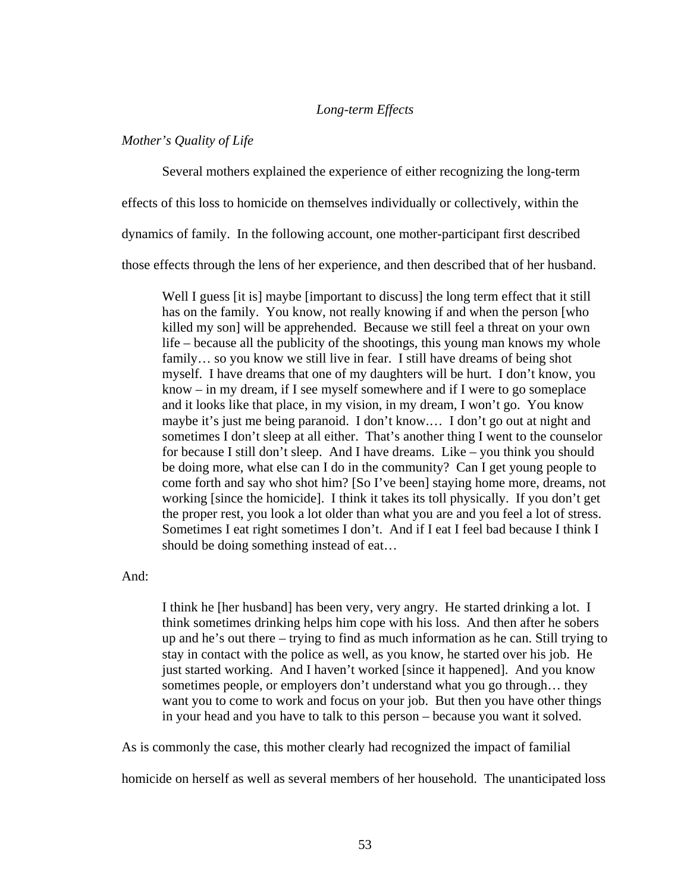## *Long-term Effects*

### *Mother's Quality of Life*

Several mothers explained the experience of either recognizing the long-term

effects of this loss to homicide on themselves individually or collectively, within the

dynamics of family. In the following account, one mother-participant first described

those effects through the lens of her experience, and then described that of her husband.

Well I guess [it is] maybe [important to discuss] the long term effect that it still has on the family. You know, not really knowing if and when the person [who killed my son] will be apprehended. Because we still feel a threat on your own life – because all the publicity of the shootings, this young man knows my whole family... so you know we still live in fear. I still have dreams of being shot myself. I have dreams that one of my daughters will be hurt. I don't know, you know – in my dream, if I see myself somewhere and if I were to go someplace and it looks like that place, in my vision, in my dream, I won't go. You know maybe it's just me being paranoid. I don't know.… I don't go out at night and sometimes I don't sleep at all either. That's another thing I went to the counselor for because I still don't sleep. And I have dreams. Like – you think you should be doing more, what else can I do in the community? Can I get young people to come forth and say who shot him? [So I've been] staying home more, dreams, not working [since the homicide]. I think it takes its toll physically. If you don't get the proper rest, you look a lot older than what you are and you feel a lot of stress. Sometimes I eat right sometimes I don't. And if I eat I feel bad because I think I should be doing something instead of eat…

And:

I think he [her husband] has been very, very angry. He started drinking a lot. I think sometimes drinking helps him cope with his loss. And then after he sobers up and he's out there – trying to find as much information as he can. Still trying to stay in contact with the police as well, as you know, he started over his job. He just started working. And I haven't worked [since it happened]. And you know sometimes people, or employers don't understand what you go through… they want you to come to work and focus on your job. But then you have other things in your head and you have to talk to this person – because you want it solved.

As is commonly the case, this mother clearly had recognized the impact of familial

homicide on herself as well as several members of her household. The unanticipated loss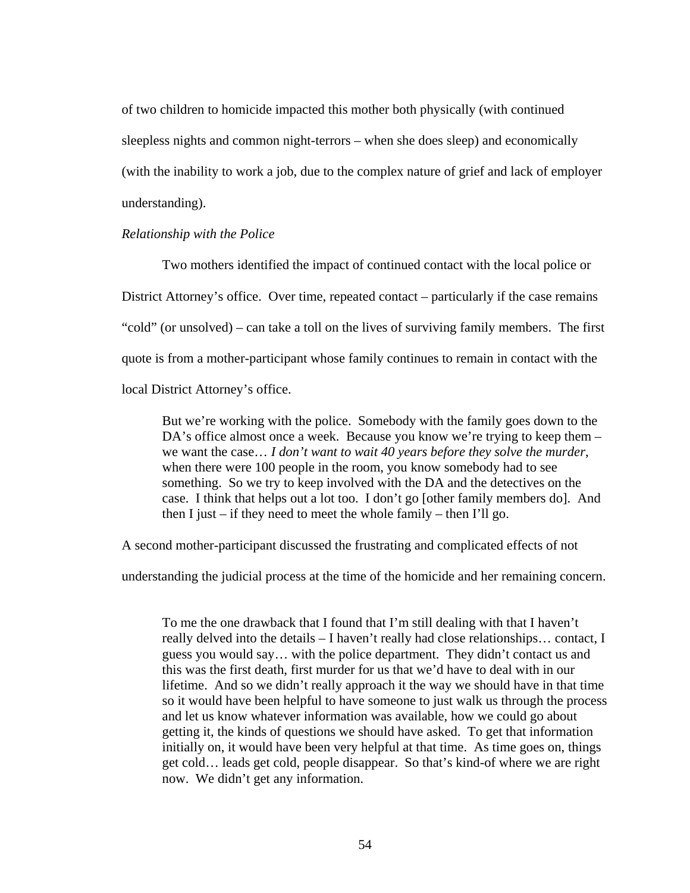of two children to homicide impacted this mother both physically (with continued sleepless nights and common night-terrors – when she does sleep) and economically (with the inability to work a job, due to the complex nature of grief and lack of employer understanding).

### *Relationship with the Police*

Two mothers identified the impact of continued contact with the local police or District Attorney's office. Over time, repeated contact – particularly if the case remains "cold" (or unsolved) – can take a toll on the lives of surviving family members. The first quote is from a mother-participant whose family continues to remain in contact with the local District Attorney's office.

But we're working with the police. Somebody with the family goes down to the DA's office almost once a week. Because you know we're trying to keep them – we want the case… *I don't want to wait 40 years before they solve the murder*, when there were 100 people in the room, you know somebody had to see something. So we try to keep involved with the DA and the detectives on the case. I think that helps out a lot too. I don't go [other family members do]. And then I just  $-$  if they need to meet the whole family  $-$  then I'll go.

A second mother-participant discussed the frustrating and complicated effects of not

understanding the judicial process at the time of the homicide and her remaining concern.

To me the one drawback that I found that I'm still dealing with that I haven't really delved into the details – I haven't really had close relationships… contact, I guess you would say… with the police department. They didn't contact us and this was the first death, first murder for us that we'd have to deal with in our lifetime. And so we didn't really approach it the way we should have in that time so it would have been helpful to have someone to just walk us through the process and let us know whatever information was available, how we could go about getting it, the kinds of questions we should have asked. To get that information initially on, it would have been very helpful at that time. As time goes on, things get cold… leads get cold, people disappear. So that's kind-of where we are right now. We didn't get any information.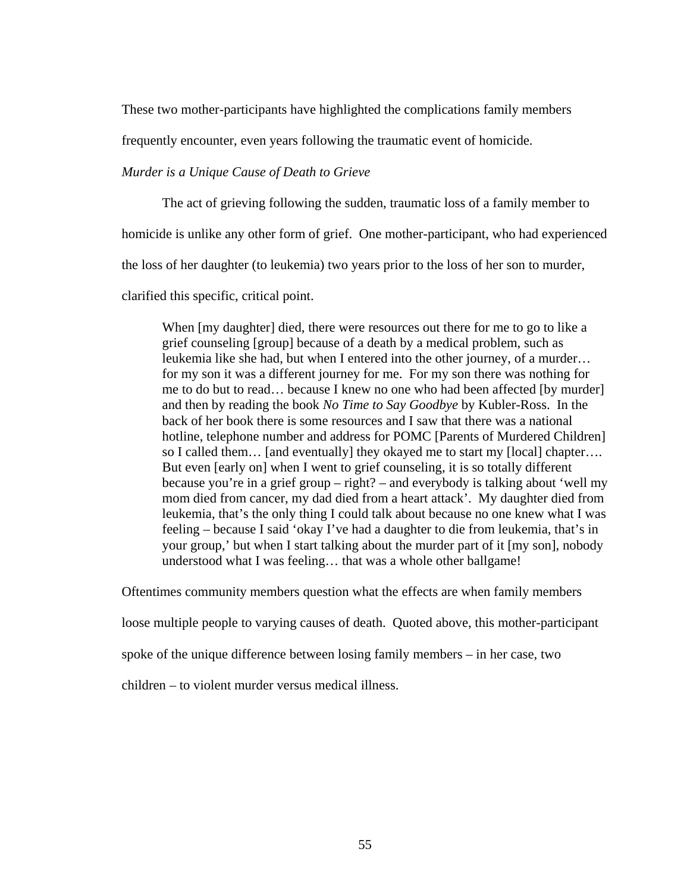These two mother-participants have highlighted the complications family members

frequently encounter, even years following the traumatic event of homicide.

*Murder is a Unique Cause of Death to Grieve* 

The act of grieving following the sudden, traumatic loss of a family member to

homicide is unlike any other form of grief. One mother-participant, who had experienced

the loss of her daughter (to leukemia) two years prior to the loss of her son to murder,

clarified this specific, critical point.

When [my daughter] died, there were resources out there for me to go to like a grief counseling [group] because of a death by a medical problem, such as leukemia like she had, but when I entered into the other journey, of a murder… for my son it was a different journey for me. For my son there was nothing for me to do but to read… because I knew no one who had been affected [by murder] and then by reading the book *No Time to Say Goodbye* by Kubler-Ross. In the back of her book there is some resources and I saw that there was a national hotline, telephone number and address for POMC [Parents of Murdered Children] so I called them… [and eventually] they okayed me to start my [local] chapter…. But even [early on] when I went to grief counseling, it is so totally different because you're in a grief group – right? – and everybody is talking about 'well my mom died from cancer, my dad died from a heart attack'. My daughter died from leukemia, that's the only thing I could talk about because no one knew what I was feeling – because I said 'okay I've had a daughter to die from leukemia, that's in your group,' but when I start talking about the murder part of it [my son], nobody understood what I was feeling… that was a whole other ballgame!

Oftentimes community members question what the effects are when family members

loose multiple people to varying causes of death. Quoted above, this mother-participant

spoke of the unique difference between losing family members – in her case, two

children – to violent murder versus medical illness.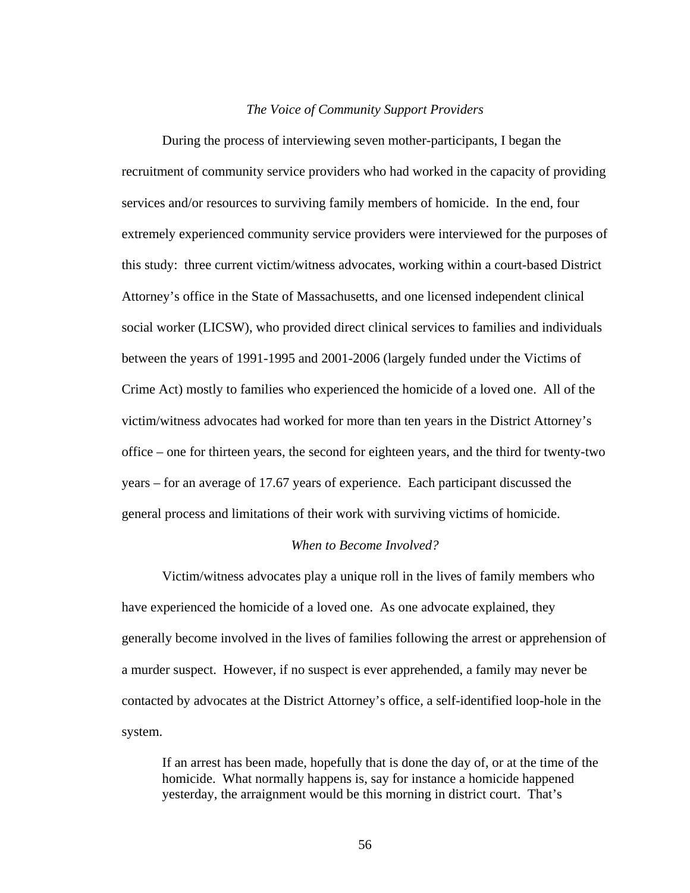#### *The Voice of Community Support Providers*

During the process of interviewing seven mother-participants, I began the recruitment of community service providers who had worked in the capacity of providing services and/or resources to surviving family members of homicide. In the end, four extremely experienced community service providers were interviewed for the purposes of this study: three current victim/witness advocates, working within a court-based District Attorney's office in the State of Massachusetts, and one licensed independent clinical social worker (LICSW), who provided direct clinical services to families and individuals between the years of 1991-1995 and 2001-2006 (largely funded under the Victims of Crime Act) mostly to families who experienced the homicide of a loved one. All of the victim/witness advocates had worked for more than ten years in the District Attorney's office – one for thirteen years, the second for eighteen years, and the third for twenty-two years – for an average of 17.67 years of experience. Each participant discussed the general process and limitations of their work with surviving victims of homicide.

## *When to Become Involved?*

 Victim/witness advocates play a unique roll in the lives of family members who have experienced the homicide of a loved one. As one advocate explained, they generally become involved in the lives of families following the arrest or apprehension of a murder suspect. However, if no suspect is ever apprehended, a family may never be contacted by advocates at the District Attorney's office, a self-identified loop-hole in the system.

If an arrest has been made, hopefully that is done the day of, or at the time of the homicide. What normally happens is, say for instance a homicide happened yesterday, the arraignment would be this morning in district court. That's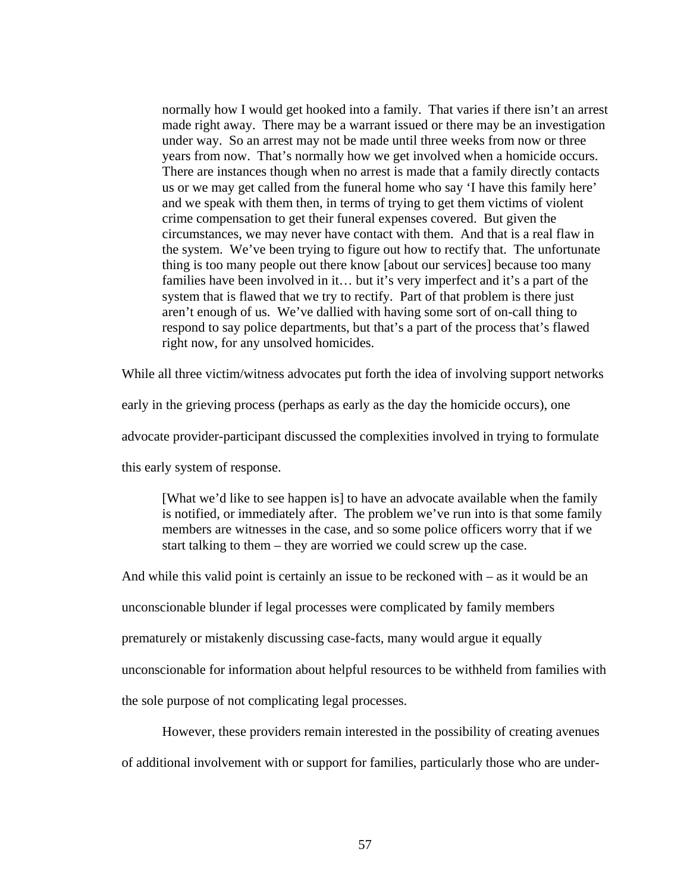normally how I would get hooked into a family. That varies if there isn't an arrest made right away. There may be a warrant issued or there may be an investigation under way. So an arrest may not be made until three weeks from now or three years from now. That's normally how we get involved when a homicide occurs. There are instances though when no arrest is made that a family directly contacts us or we may get called from the funeral home who say 'I have this family here' and we speak with them then, in terms of trying to get them victims of violent crime compensation to get their funeral expenses covered. But given the circumstances, we may never have contact with them. And that is a real flaw in the system. We've been trying to figure out how to rectify that. The unfortunate thing is too many people out there know [about our services] because too many families have been involved in it... but it's very imperfect and it's a part of the system that is flawed that we try to rectify. Part of that problem is there just aren't enough of us. We've dallied with having some sort of on-call thing to respond to say police departments, but that's a part of the process that's flawed right now, for any unsolved homicides.

While all three victim/witness advocates put forth the idea of involving support networks

early in the grieving process (perhaps as early as the day the homicide occurs), one

advocate provider-participant discussed the complexities involved in trying to formulate

this early system of response.

[What we'd like to see happen is] to have an advocate available when the family is notified, or immediately after. The problem we've run into is that some family members are witnesses in the case, and so some police officers worry that if we start talking to them – they are worried we could screw up the case.

And while this valid point is certainly an issue to be reckoned with – as it would be an

unconscionable blunder if legal processes were complicated by family members

prematurely or mistakenly discussing case-facts, many would argue it equally

unconscionable for information about helpful resources to be withheld from families with

the sole purpose of not complicating legal processes.

However, these providers remain interested in the possibility of creating avenues

of additional involvement with or support for families, particularly those who are under-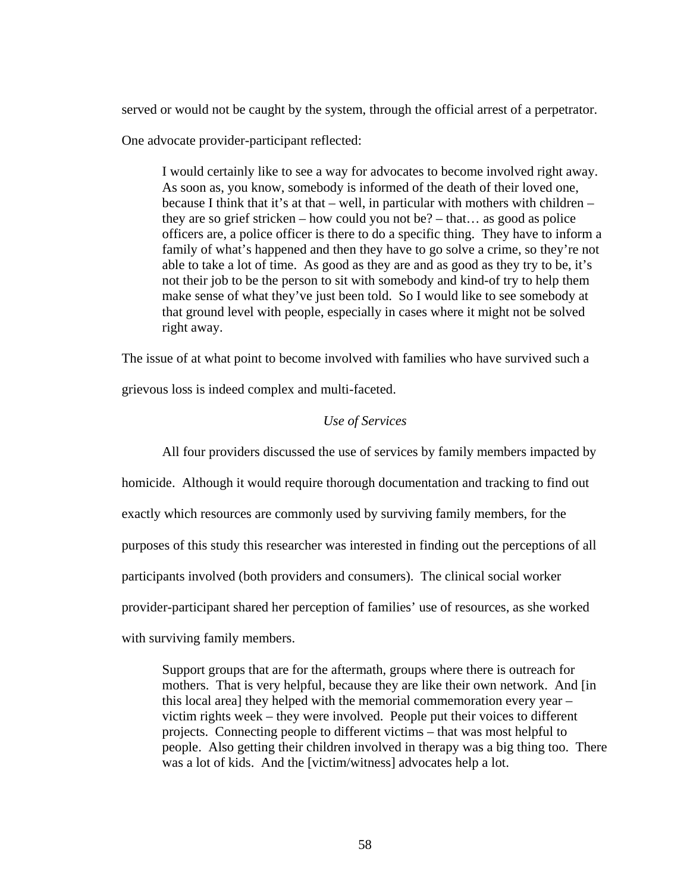served or would not be caught by the system, through the official arrest of a perpetrator.

One advocate provider-participant reflected:

I would certainly like to see a way for advocates to become involved right away. As soon as, you know, somebody is informed of the death of their loved one, because I think that it's at that – well, in particular with mothers with children – they are so grief stricken – how could you not be? – that… as good as police officers are, a police officer is there to do a specific thing. They have to inform a family of what's happened and then they have to go solve a crime, so they're not able to take a lot of time. As good as they are and as good as they try to be, it's not their job to be the person to sit with somebody and kind-of try to help them make sense of what they've just been told. So I would like to see somebody at that ground level with people, especially in cases where it might not be solved right away.

The issue of at what point to become involved with families who have survived such a

grievous loss is indeed complex and multi-faceted.

# *Use of Services*

 All four providers discussed the use of services by family members impacted by homicide. Although it would require thorough documentation and tracking to find out exactly which resources are commonly used by surviving family members, for the purposes of this study this researcher was interested in finding out the perceptions of all participants involved (both providers and consumers). The clinical social worker provider-participant shared her perception of families' use of resources, as she worked with surviving family members.

Support groups that are for the aftermath, groups where there is outreach for mothers. That is very helpful, because they are like their own network. And [in this local area] they helped with the memorial commemoration every year – victim rights week – they were involved. People put their voices to different projects. Connecting people to different victims – that was most helpful to people. Also getting their children involved in therapy was a big thing too. There was a lot of kids. And the [victim/witness] advocates help a lot.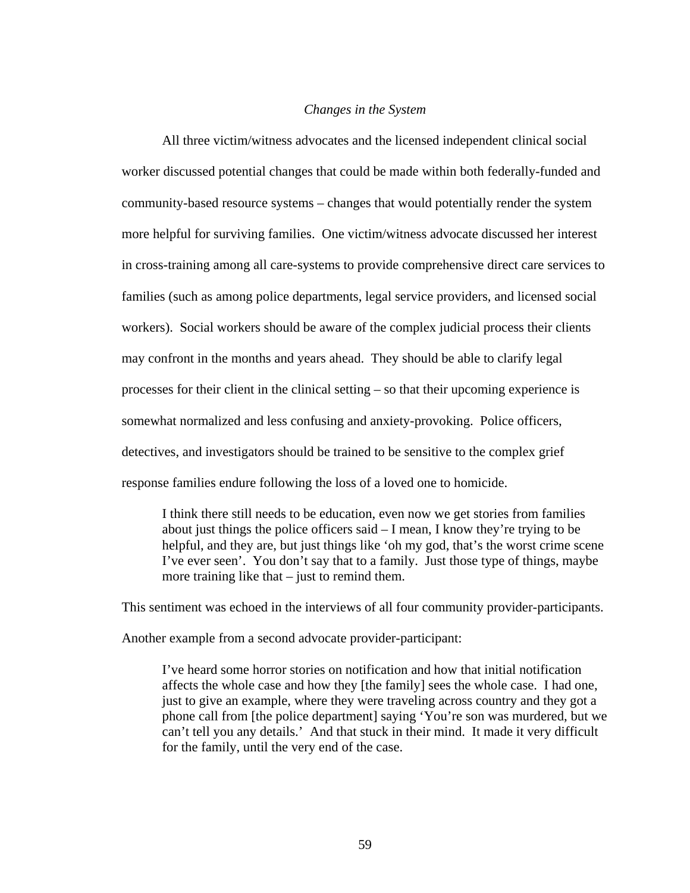### *Changes in the System*

 All three victim/witness advocates and the licensed independent clinical social worker discussed potential changes that could be made within both federally-funded and community-based resource systems – changes that would potentially render the system more helpful for surviving families. One victim/witness advocate discussed her interest in cross-training among all care-systems to provide comprehensive direct care services to families (such as among police departments, legal service providers, and licensed social workers). Social workers should be aware of the complex judicial process their clients may confront in the months and years ahead. They should be able to clarify legal processes for their client in the clinical setting – so that their upcoming experience is somewhat normalized and less confusing and anxiety-provoking. Police officers, detectives, and investigators should be trained to be sensitive to the complex grief response families endure following the loss of a loved one to homicide.

I think there still needs to be education, even now we get stories from families about just things the police officers said – I mean, I know they're trying to be helpful, and they are, but just things like 'oh my god, that's the worst crime scene I've ever seen'. You don't say that to a family. Just those type of things, maybe more training like that – just to remind them.

This sentiment was echoed in the interviews of all four community provider-participants.

Another example from a second advocate provider-participant:

I've heard some horror stories on notification and how that initial notification affects the whole case and how they [the family] sees the whole case. I had one, just to give an example, where they were traveling across country and they got a phone call from [the police department] saying 'You're son was murdered, but we can't tell you any details.' And that stuck in their mind. It made it very difficult for the family, until the very end of the case.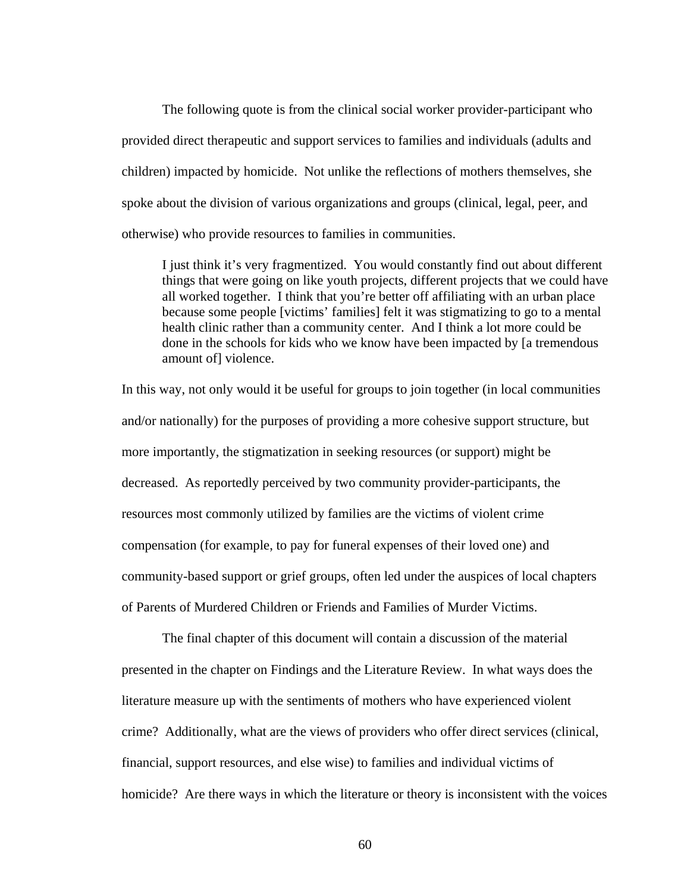The following quote is from the clinical social worker provider-participant who provided direct therapeutic and support services to families and individuals (adults and children) impacted by homicide. Not unlike the reflections of mothers themselves, she spoke about the division of various organizations and groups (clinical, legal, peer, and otherwise) who provide resources to families in communities.

I just think it's very fragmentized. You would constantly find out about different things that were going on like youth projects, different projects that we could have all worked together. I think that you're better off affiliating with an urban place because some people [victims' families] felt it was stigmatizing to go to a mental health clinic rather than a community center. And I think a lot more could be done in the schools for kids who we know have been impacted by [a tremendous amount of] violence.

In this way, not only would it be useful for groups to join together (in local communities and/or nationally) for the purposes of providing a more cohesive support structure, but more importantly, the stigmatization in seeking resources (or support) might be decreased. As reportedly perceived by two community provider-participants, the resources most commonly utilized by families are the victims of violent crime compensation (for example, to pay for funeral expenses of their loved one) and community-based support or grief groups, often led under the auspices of local chapters of Parents of Murdered Children or Friends and Families of Murder Victims.

 The final chapter of this document will contain a discussion of the material presented in the chapter on Findings and the Literature Review. In what ways does the literature measure up with the sentiments of mothers who have experienced violent crime? Additionally, what are the views of providers who offer direct services (clinical, financial, support resources, and else wise) to families and individual victims of homicide? Are there ways in which the literature or theory is inconsistent with the voices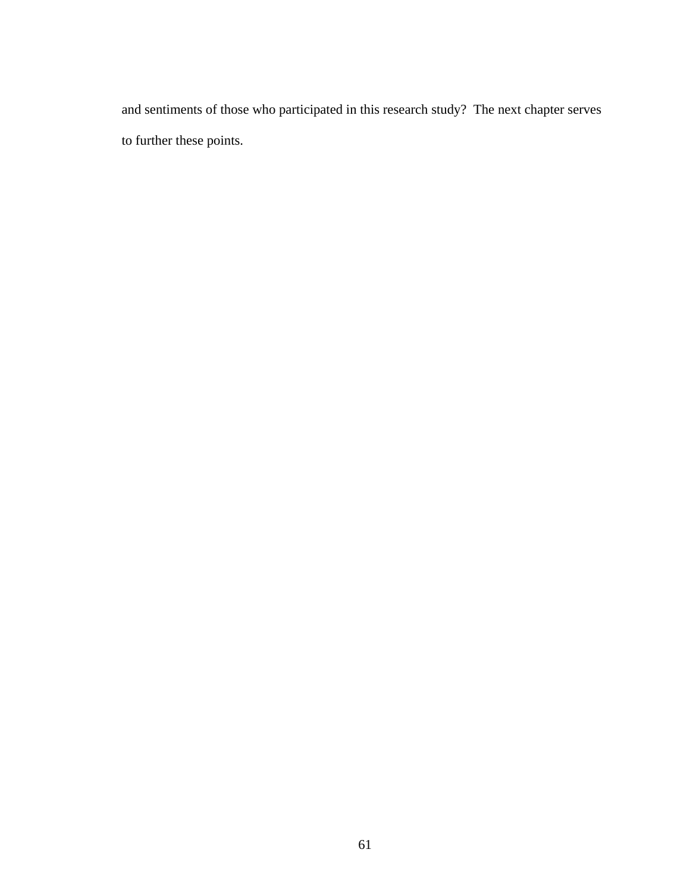and sentiments of those who participated in this research study? The next chapter serves to further these points.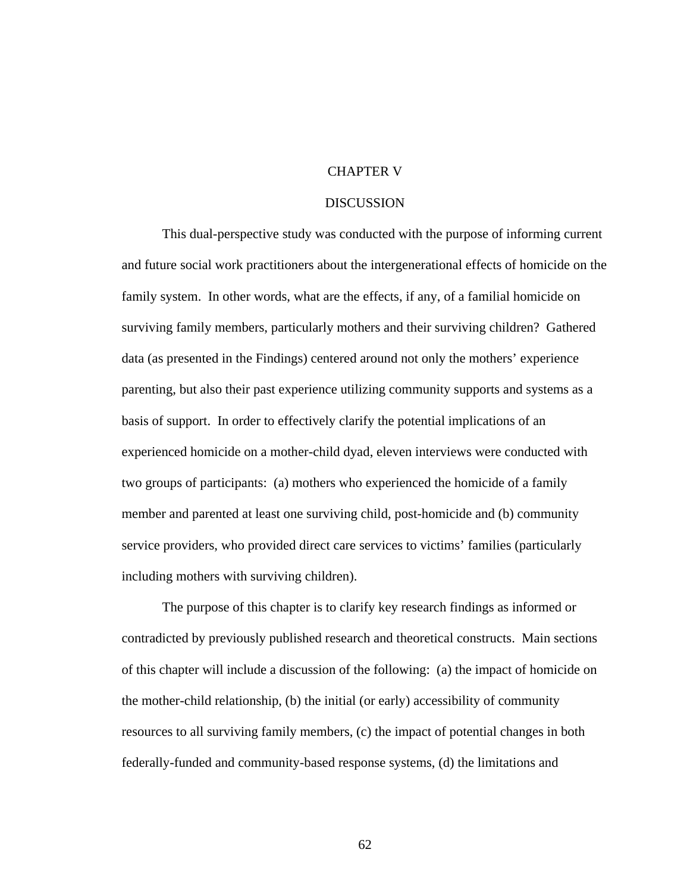## CHAPTER V

#### DISCUSSION

This dual-perspective study was conducted with the purpose of informing current and future social work practitioners about the intergenerational effects of homicide on the family system. In other words, what are the effects, if any, of a familial homicide on surviving family members, particularly mothers and their surviving children? Gathered data (as presented in the Findings) centered around not only the mothers' experience parenting, but also their past experience utilizing community supports and systems as a basis of support. In order to effectively clarify the potential implications of an experienced homicide on a mother-child dyad, eleven interviews were conducted with two groups of participants: (a) mothers who experienced the homicide of a family member and parented at least one surviving child, post-homicide and (b) community service providers, who provided direct care services to victims' families (particularly including mothers with surviving children).

 The purpose of this chapter is to clarify key research findings as informed or contradicted by previously published research and theoretical constructs. Main sections of this chapter will include a discussion of the following: (a) the impact of homicide on the mother-child relationship, (b) the initial (or early) accessibility of community resources to all surviving family members, (c) the impact of potential changes in both federally-funded and community-based response systems, (d) the limitations and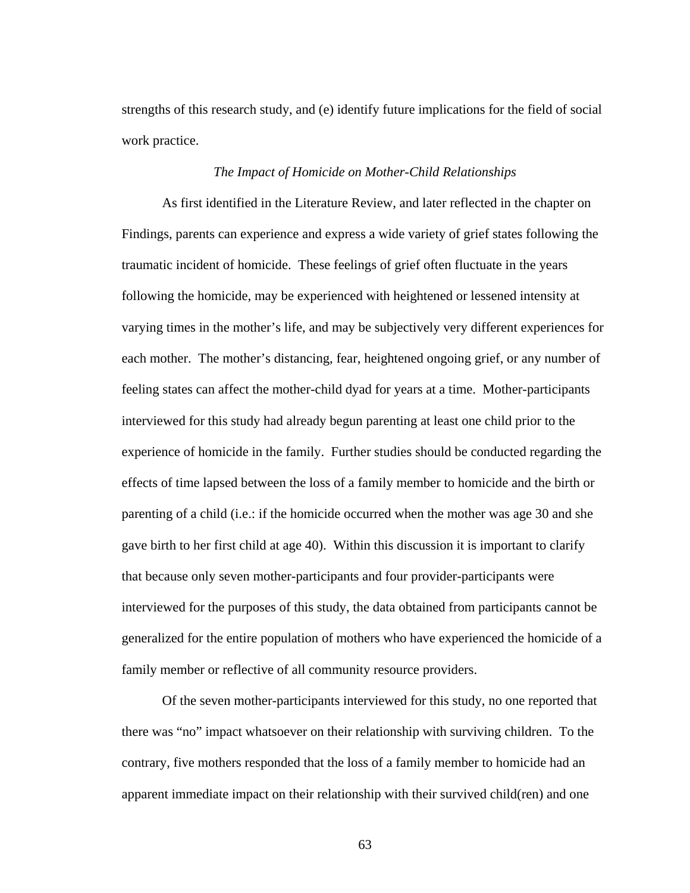strengths of this research study, and (e) identify future implications for the field of social work practice.

#### *The Impact of Homicide on Mother-Child Relationships*

 As first identified in the Literature Review, and later reflected in the chapter on Findings, parents can experience and express a wide variety of grief states following the traumatic incident of homicide. These feelings of grief often fluctuate in the years following the homicide, may be experienced with heightened or lessened intensity at varying times in the mother's life, and may be subjectively very different experiences for each mother. The mother's distancing, fear, heightened ongoing grief, or any number of feeling states can affect the mother-child dyad for years at a time. Mother-participants interviewed for this study had already begun parenting at least one child prior to the experience of homicide in the family. Further studies should be conducted regarding the effects of time lapsed between the loss of a family member to homicide and the birth or parenting of a child (i.e.: if the homicide occurred when the mother was age 30 and she gave birth to her first child at age 40). Within this discussion it is important to clarify that because only seven mother-participants and four provider-participants were interviewed for the purposes of this study, the data obtained from participants cannot be generalized for the entire population of mothers who have experienced the homicide of a family member or reflective of all community resource providers.

Of the seven mother-participants interviewed for this study, no one reported that there was "no" impact whatsoever on their relationship with surviving children. To the contrary, five mothers responded that the loss of a family member to homicide had an apparent immediate impact on their relationship with their survived child(ren) and one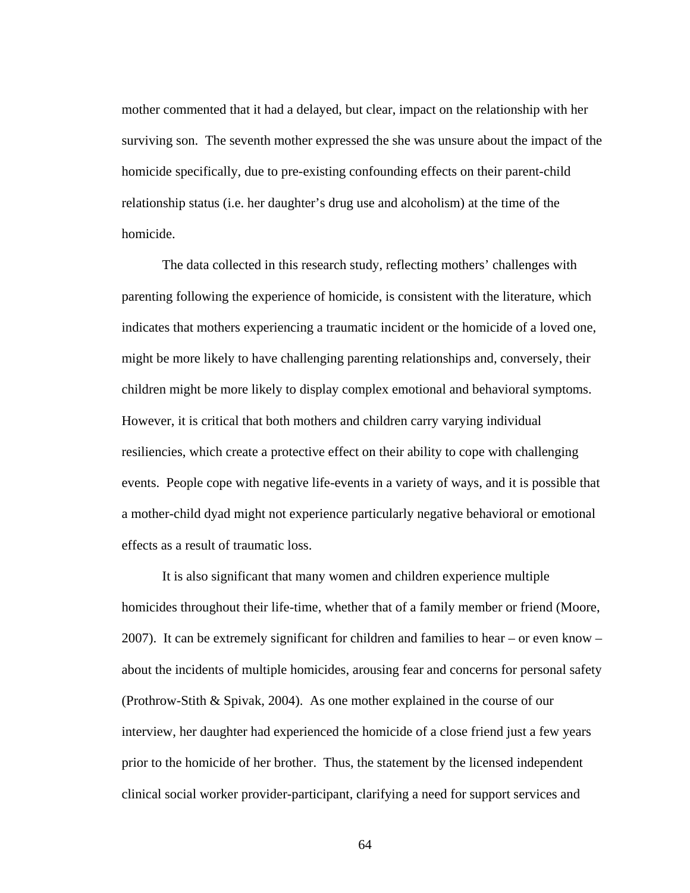mother commented that it had a delayed, but clear, impact on the relationship with her surviving son. The seventh mother expressed the she was unsure about the impact of the homicide specifically, due to pre-existing confounding effects on their parent-child relationship status (i.e. her daughter's drug use and alcoholism) at the time of the homicide.

The data collected in this research study, reflecting mothers' challenges with parenting following the experience of homicide, is consistent with the literature, which indicates that mothers experiencing a traumatic incident or the homicide of a loved one, might be more likely to have challenging parenting relationships and, conversely, their children might be more likely to display complex emotional and behavioral symptoms. However, it is critical that both mothers and children carry varying individual resiliencies, which create a protective effect on their ability to cope with challenging events. People cope with negative life-events in a variety of ways, and it is possible that a mother-child dyad might not experience particularly negative behavioral or emotional effects as a result of traumatic loss.

It is also significant that many women and children experience multiple homicides throughout their life-time, whether that of a family member or friend (Moore, 2007). It can be extremely significant for children and families to hear – or even know – about the incidents of multiple homicides, arousing fear and concerns for personal safety (Prothrow-Stith & Spivak, 2004). As one mother explained in the course of our interview, her daughter had experienced the homicide of a close friend just a few years prior to the homicide of her brother. Thus, the statement by the licensed independent clinical social worker provider-participant, clarifying a need for support services and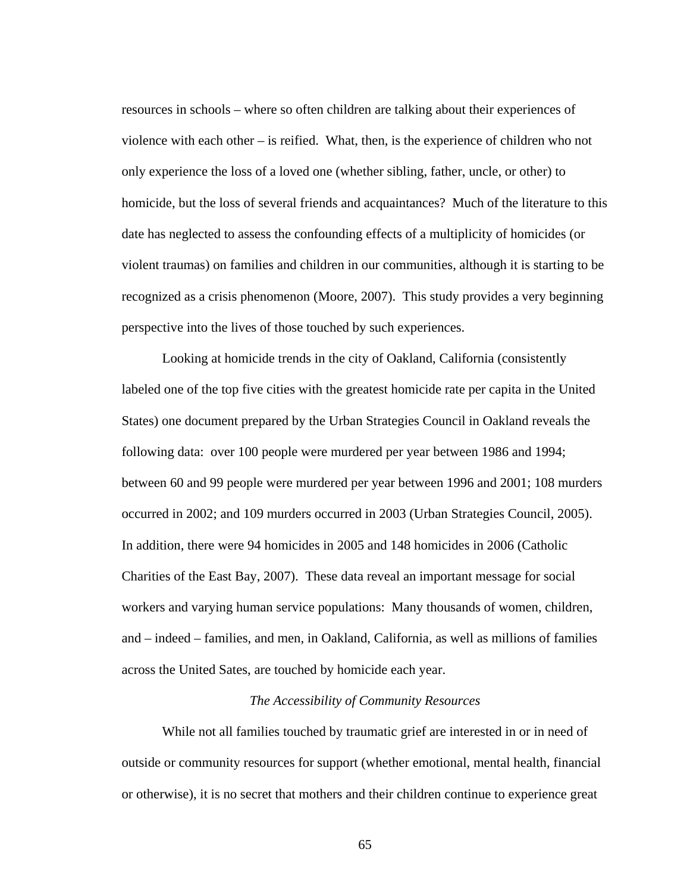resources in schools – where so often children are talking about their experiences of violence with each other – is reified. What, then, is the experience of children who not only experience the loss of a loved one (whether sibling, father, uncle, or other) to homicide, but the loss of several friends and acquaintances? Much of the literature to this date has neglected to assess the confounding effects of a multiplicity of homicides (or violent traumas) on families and children in our communities, although it is starting to be recognized as a crisis phenomenon (Moore, 2007). This study provides a very beginning perspective into the lives of those touched by such experiences.

Looking at homicide trends in the city of Oakland, California (consistently labeled one of the top five cities with the greatest homicide rate per capita in the United States) one document prepared by the Urban Strategies Council in Oakland reveals the following data: over 100 people were murdered per year between 1986 and 1994; between 60 and 99 people were murdered per year between 1996 and 2001; 108 murders occurred in 2002; and 109 murders occurred in 2003 (Urban Strategies Council, 2005). In addition, there were 94 homicides in 2005 and 148 homicides in 2006 (Catholic Charities of the East Bay, 2007). These data reveal an important message for social workers and varying human service populations: Many thousands of women, children, and – indeed – families, and men, in Oakland, California, as well as millions of families across the United Sates, are touched by homicide each year.

# *The Accessibility of Community Resources*

 While not all families touched by traumatic grief are interested in or in need of outside or community resources for support (whether emotional, mental health, financial or otherwise), it is no secret that mothers and their children continue to experience great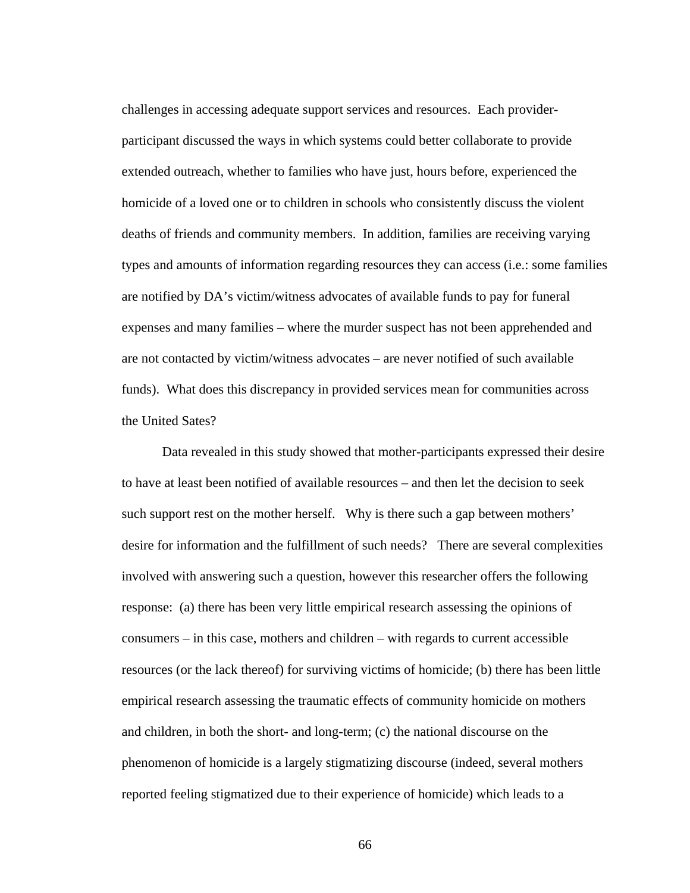challenges in accessing adequate support services and resources. Each providerparticipant discussed the ways in which systems could better collaborate to provide extended outreach, whether to families who have just, hours before, experienced the homicide of a loved one or to children in schools who consistently discuss the violent deaths of friends and community members. In addition, families are receiving varying types and amounts of information regarding resources they can access (i.e.: some families are notified by DA's victim/witness advocates of available funds to pay for funeral expenses and many families – where the murder suspect has not been apprehended and are not contacted by victim/witness advocates – are never notified of such available funds). What does this discrepancy in provided services mean for communities across the United Sates?

Data revealed in this study showed that mother-participants expressed their desire to have at least been notified of available resources – and then let the decision to seek such support rest on the mother herself. Why is there such a gap between mothers' desire for information and the fulfillment of such needs? There are several complexities involved with answering such a question, however this researcher offers the following response: (a) there has been very little empirical research assessing the opinions of consumers – in this case, mothers and children – with regards to current accessible resources (or the lack thereof) for surviving victims of homicide; (b) there has been little empirical research assessing the traumatic effects of community homicide on mothers and children, in both the short- and long-term; (c) the national discourse on the phenomenon of homicide is a largely stigmatizing discourse (indeed, several mothers reported feeling stigmatized due to their experience of homicide) which leads to a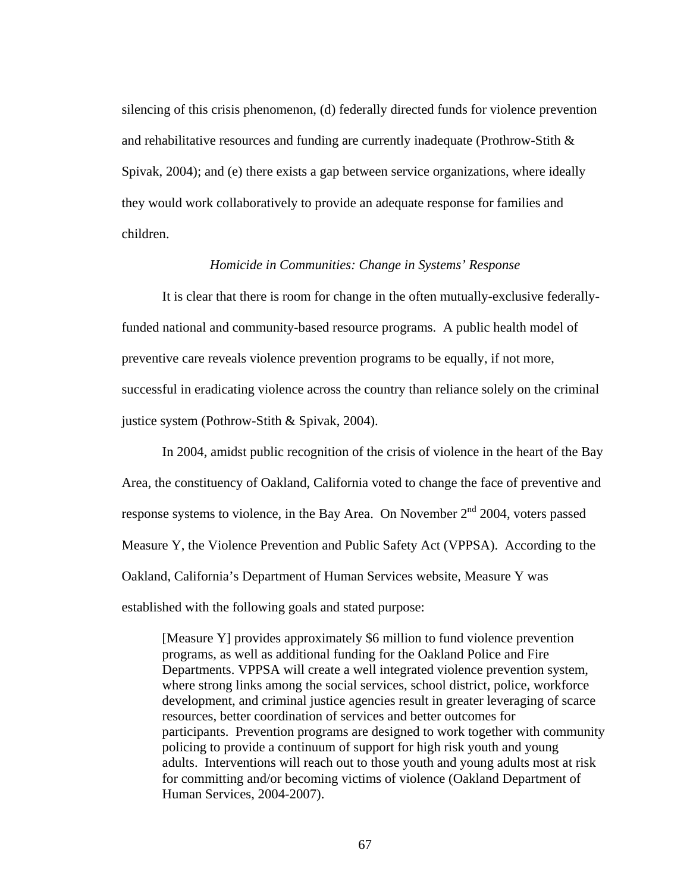silencing of this crisis phenomenon, (d) federally directed funds for violence prevention and rehabilitative resources and funding are currently inadequate (Prothrow-Stith  $\&$ Spivak, 2004); and (e) there exists a gap between service organizations, where ideally they would work collaboratively to provide an adequate response for families and children.

### *Homicide in Communities: Change in Systems' Response*

 It is clear that there is room for change in the often mutually-exclusive federallyfunded national and community-based resource programs. A public health model of preventive care reveals violence prevention programs to be equally, if not more, successful in eradicating violence across the country than reliance solely on the criminal justice system (Pothrow-Stith & Spivak, 2004).

In 2004, amidst public recognition of the crisis of violence in the heart of the Bay Area, the constituency of Oakland, California voted to change the face of preventive and response systems to violence, in the Bay Area. On November  $2<sup>nd</sup>$  2004, voters passed Measure Y, the Violence Prevention and Public Safety Act (VPPSA). According to the Oakland, California's Department of Human Services website, Measure Y was established with the following goals and stated purpose:

[Measure Y] provides approximately \$6 million to fund violence prevention programs, as well as additional funding for the Oakland Police and Fire Departments. VPPSA will create a well integrated violence prevention system, where strong links among the social services, school district, police, workforce development, and criminal justice agencies result in greater leveraging of scarce resources, better coordination of services and better outcomes for participants. Prevention programs are designed to work together with community policing to provide a continuum of support for high risk youth and young adults. Interventions will reach out to those youth and young adults most at risk for committing and/or becoming victims of violence (Oakland Department of Human Services, 2004-2007).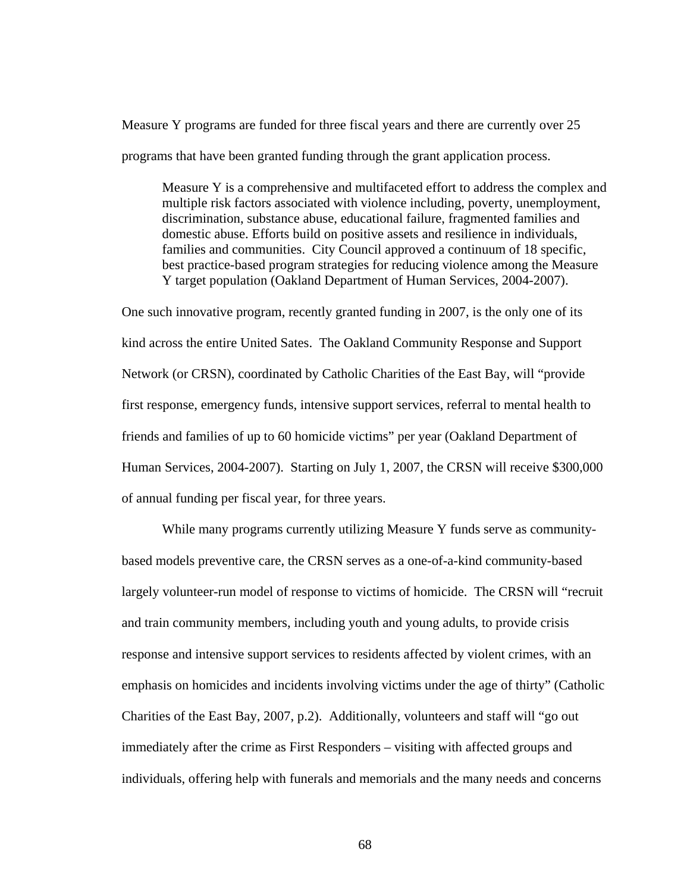Measure Y programs are funded for three fiscal years and there are currently over 25 programs that have been granted funding through the grant application process.

Measure Y is a comprehensive and multifaceted effort to address the complex and multiple risk factors associated with violence including, poverty, unemployment, discrimination, substance abuse, educational failure, fragmented families and domestic abuse. Efforts build on positive assets and resilience in individuals, families and communities. City Council approved a continuum of 18 specific, best practice-based program strategies for reducing violence among the Measure Y target population (Oakland Department of Human Services, 2004-2007).

One such innovative program, recently granted funding in 2007, is the only one of its kind across the entire United Sates. The Oakland Community Response and Support Network (or CRSN), coordinated by Catholic Charities of the East Bay, will "provide first response, emergency funds, intensive support services, referral to mental health to friends and families of up to 60 homicide victims" per year (Oakland Department of Human Services, 2004-2007). Starting on July 1, 2007, the CRSN will receive \$300,000 of annual funding per fiscal year, for three years.

While many programs currently utilizing Measure Y funds serve as communitybased models preventive care, the CRSN serves as a one-of-a-kind community-based largely volunteer-run model of response to victims of homicide. The CRSN will "recruit and train community members, including youth and young adults, to provide crisis response and intensive support services to residents affected by violent crimes, with an emphasis on homicides and incidents involving victims under the age of thirty" (Catholic Charities of the East Bay, 2007, p.2). Additionally, volunteers and staff will "go out immediately after the crime as First Responders – visiting with affected groups and individuals, offering help with funerals and memorials and the many needs and concerns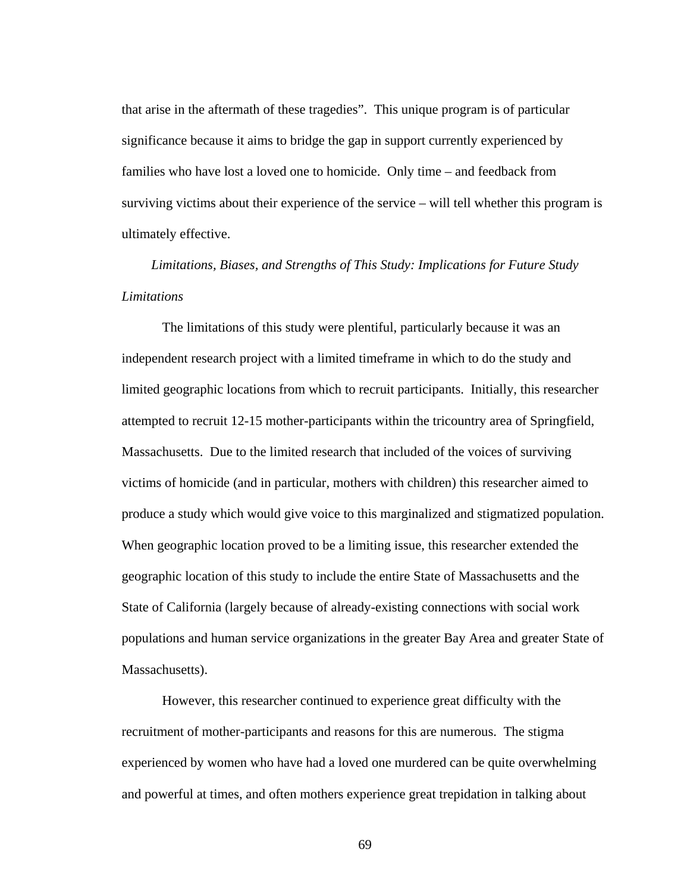that arise in the aftermath of these tragedies". This unique program is of particular significance because it aims to bridge the gap in support currently experienced by families who have lost a loved one to homicide. Only time – and feedback from surviving victims about their experience of the service – will tell whether this program is ultimately effective.

*Limitations, Biases, and Strengths of This Study: Implications for Future Study Limitations* 

 The limitations of this study were plentiful, particularly because it was an independent research project with a limited timeframe in which to do the study and limited geographic locations from which to recruit participants. Initially, this researcher attempted to recruit 12-15 mother-participants within the tricountry area of Springfield, Massachusetts. Due to the limited research that included of the voices of surviving victims of homicide (and in particular, mothers with children) this researcher aimed to produce a study which would give voice to this marginalized and stigmatized population. When geographic location proved to be a limiting issue, this researcher extended the geographic location of this study to include the entire State of Massachusetts and the State of California (largely because of already-existing connections with social work populations and human service organizations in the greater Bay Area and greater State of Massachusetts).

However, this researcher continued to experience great difficulty with the recruitment of mother-participants and reasons for this are numerous. The stigma experienced by women who have had a loved one murdered can be quite overwhelming and powerful at times, and often mothers experience great trepidation in talking about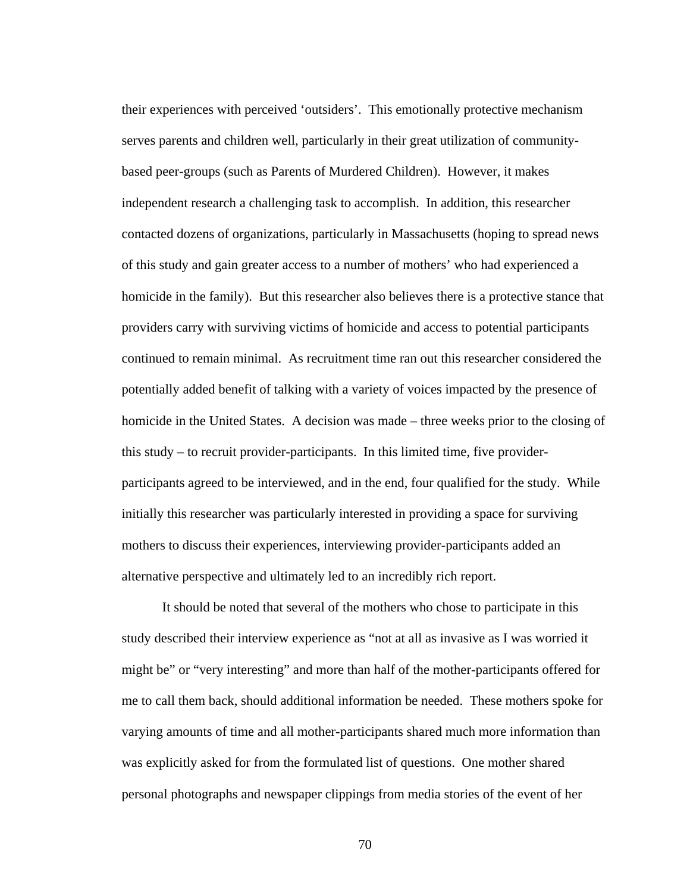their experiences with perceived 'outsiders'. This emotionally protective mechanism serves parents and children well, particularly in their great utilization of communitybased peer-groups (such as Parents of Murdered Children). However, it makes independent research a challenging task to accomplish. In addition, this researcher contacted dozens of organizations, particularly in Massachusetts (hoping to spread news of this study and gain greater access to a number of mothers' who had experienced a homicide in the family). But this researcher also believes there is a protective stance that providers carry with surviving victims of homicide and access to potential participants continued to remain minimal. As recruitment time ran out this researcher considered the potentially added benefit of talking with a variety of voices impacted by the presence of homicide in the United States. A decision was made – three weeks prior to the closing of this study – to recruit provider-participants. In this limited time, five providerparticipants agreed to be interviewed, and in the end, four qualified for the study. While initially this researcher was particularly interested in providing a space for surviving mothers to discuss their experiences, interviewing provider-participants added an alternative perspective and ultimately led to an incredibly rich report.

It should be noted that several of the mothers who chose to participate in this study described their interview experience as "not at all as invasive as I was worried it might be" or "very interesting" and more than half of the mother-participants offered for me to call them back, should additional information be needed. These mothers spoke for varying amounts of time and all mother-participants shared much more information than was explicitly asked for from the formulated list of questions. One mother shared personal photographs and newspaper clippings from media stories of the event of her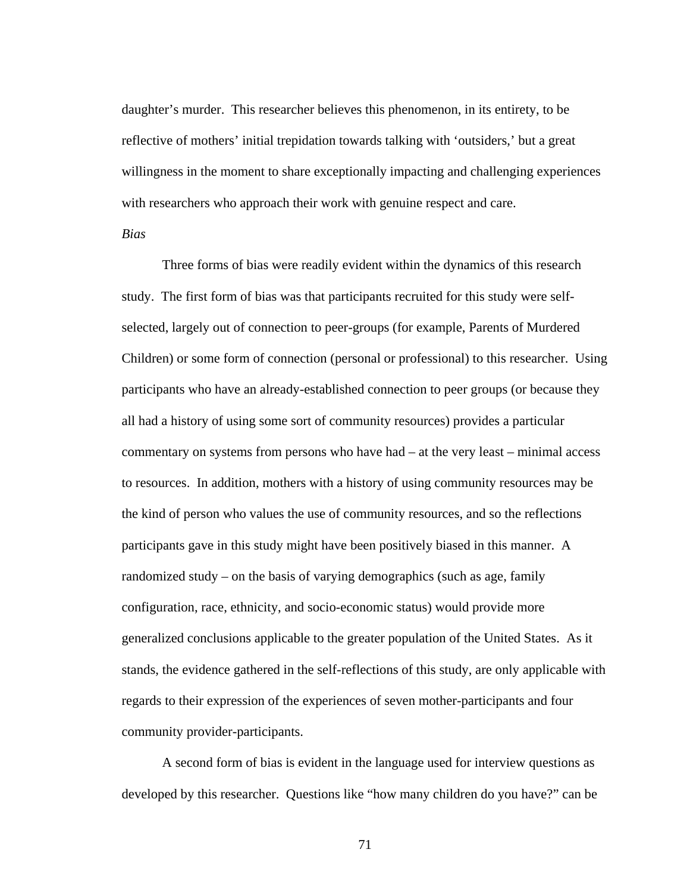daughter's murder. This researcher believes this phenomenon, in its entirety, to be reflective of mothers' initial trepidation towards talking with 'outsiders,' but a great willingness in the moment to share exceptionally impacting and challenging experiences with researchers who approach their work with genuine respect and care.

*Bias* 

 Three forms of bias were readily evident within the dynamics of this research study. The first form of bias was that participants recruited for this study were selfselected, largely out of connection to peer-groups (for example, Parents of Murdered Children) or some form of connection (personal or professional) to this researcher. Using participants who have an already-established connection to peer groups (or because they all had a history of using some sort of community resources) provides a particular commentary on systems from persons who have had – at the very least – minimal access to resources. In addition, mothers with a history of using community resources may be the kind of person who values the use of community resources, and so the reflections participants gave in this study might have been positively biased in this manner. A randomized study – on the basis of varying demographics (such as age, family configuration, race, ethnicity, and socio-economic status) would provide more generalized conclusions applicable to the greater population of the United States. As it stands, the evidence gathered in the self-reflections of this study, are only applicable with regards to their expression of the experiences of seven mother-participants and four community provider-participants.

A second form of bias is evident in the language used for interview questions as developed by this researcher. Questions like "how many children do you have?" can be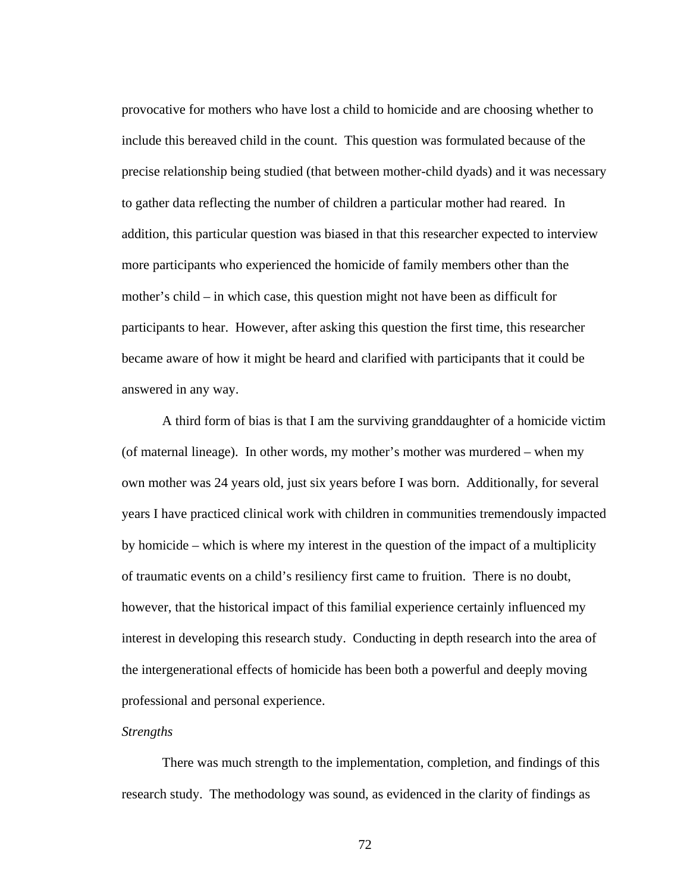provocative for mothers who have lost a child to homicide and are choosing whether to include this bereaved child in the count. This question was formulated because of the precise relationship being studied (that between mother-child dyads) and it was necessary to gather data reflecting the number of children a particular mother had reared. In addition, this particular question was biased in that this researcher expected to interview more participants who experienced the homicide of family members other than the mother's child – in which case, this question might not have been as difficult for participants to hear. However, after asking this question the first time, this researcher became aware of how it might be heard and clarified with participants that it could be answered in any way.

 A third form of bias is that I am the surviving granddaughter of a homicide victim (of maternal lineage). In other words, my mother's mother was murdered – when my own mother was 24 years old, just six years before I was born. Additionally, for several years I have practiced clinical work with children in communities tremendously impacted by homicide – which is where my interest in the question of the impact of a multiplicity of traumatic events on a child's resiliency first came to fruition. There is no doubt, however, that the historical impact of this familial experience certainly influenced my interest in developing this research study. Conducting in depth research into the area of the intergenerational effects of homicide has been both a powerful and deeply moving professional and personal experience.

#### *Strengths*

 There was much strength to the implementation, completion, and findings of this research study. The methodology was sound, as evidenced in the clarity of findings as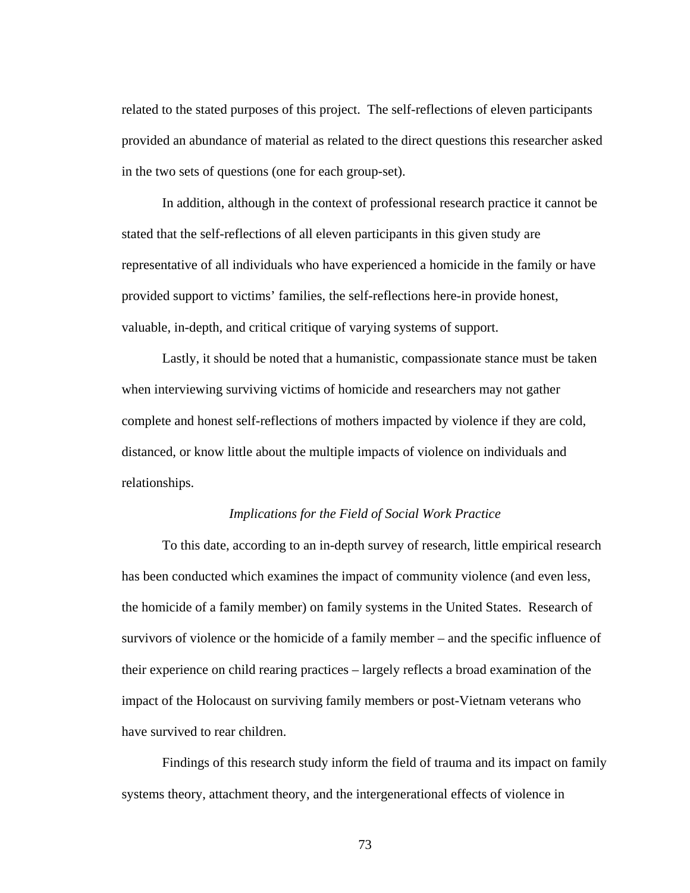related to the stated purposes of this project. The self-reflections of eleven participants provided an abundance of material as related to the direct questions this researcher asked in the two sets of questions (one for each group-set).

 In addition, although in the context of professional research practice it cannot be stated that the self-reflections of all eleven participants in this given study are representative of all individuals who have experienced a homicide in the family or have provided support to victims' families, the self-reflections here-in provide honest, valuable, in-depth, and critical critique of varying systems of support.

 Lastly, it should be noted that a humanistic, compassionate stance must be taken when interviewing surviving victims of homicide and researchers may not gather complete and honest self-reflections of mothers impacted by violence if they are cold, distanced, or know little about the multiple impacts of violence on individuals and relationships.

#### *Implications for the Field of Social Work Practice*

 To this date, according to an in-depth survey of research, little empirical research has been conducted which examines the impact of community violence (and even less, the homicide of a family member) on family systems in the United States. Research of survivors of violence or the homicide of a family member – and the specific influence of their experience on child rearing practices – largely reflects a broad examination of the impact of the Holocaust on surviving family members or post-Vietnam veterans who have survived to rear children.

 Findings of this research study inform the field of trauma and its impact on family systems theory, attachment theory, and the intergenerational effects of violence in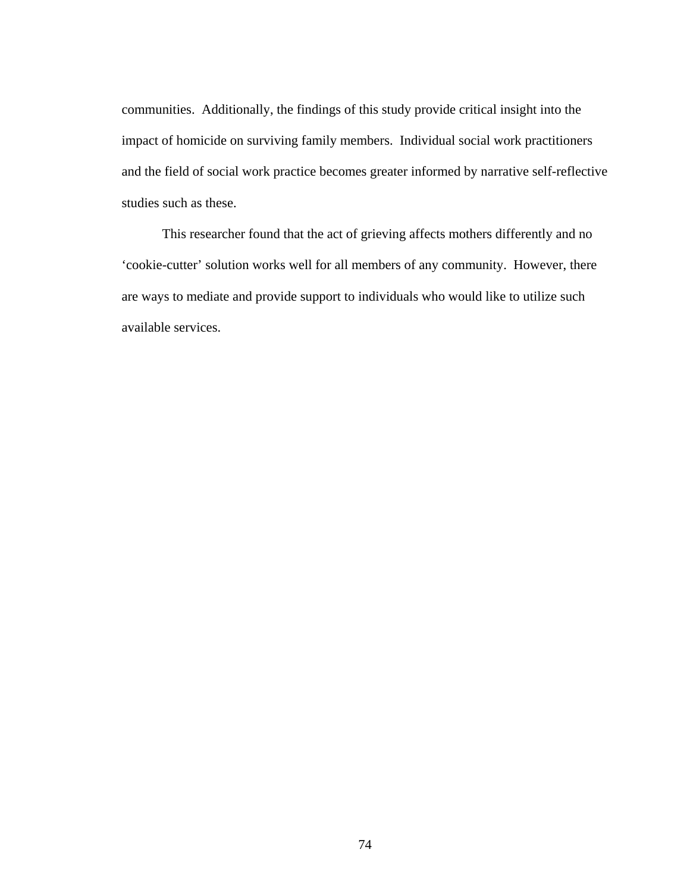communities. Additionally, the findings of this study provide critical insight into the impact of homicide on surviving family members. Individual social work practitioners and the field of social work practice becomes greater informed by narrative self-reflective studies such as these.

This researcher found that the act of grieving affects mothers differently and no 'cookie-cutter' solution works well for all members of any community. However, there are ways to mediate and provide support to individuals who would like to utilize such available services.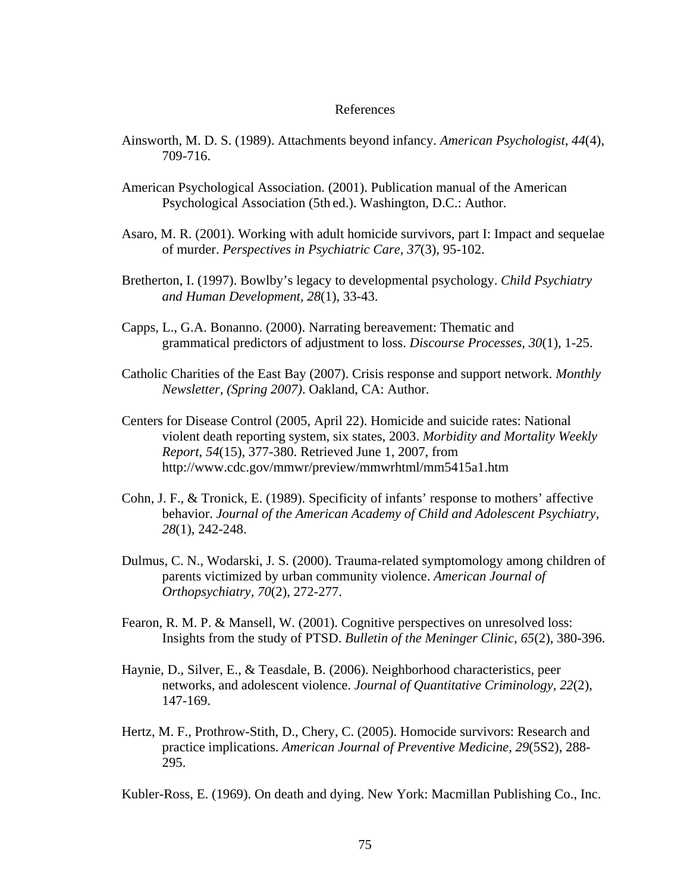#### References

- Ainsworth, M. D. S. (1989). Attachments beyond infancy. *American Psychologist, 44*(4), 709-716.
- American Psychological Association. (2001). Publication manual of the American Psychological Association (5th ed.). Washington, D.C.: Author.
- Asaro, M. R. (2001). Working with adult homicide survivors, part I: Impact and sequelae of murder. *Perspectives in Psychiatric Care, 37*(3), 95-102.
- Bretherton, I. (1997). Bowlby's legacy to developmental psychology. *Child Psychiatry and Human Development, 28*(1), 33-43.
- Capps, L., G.A. Bonanno. (2000). Narrating bereavement: Thematic and grammatical predictors of adjustment to loss. *Discourse Processes, 30*(1), 1-25.
- Catholic Charities of the East Bay (2007). Crisis response and support network. *Monthly Newsletter, (Spring 2007)*. Oakland, CA: Author.
- Centers for Disease Control (2005, April 22). Homicide and suicide rates: National violent death reporting system, six states, 2003. *Morbidity and Mortality Weekly Report, 54*(15), 377-380. Retrieved June 1, 2007, from http://www.cdc.gov/mmwr/preview/mmwrhtml/mm5415a1.htm
- Cohn, J. F., & Tronick, E. (1989). Specificity of infants' response to mothers' affective behavior. *Journal of the American Academy of Child and Adolescent Psychiatry, 28*(1), 242-248.
- Dulmus, C. N., Wodarski, J. S. (2000). Trauma-related symptomology among children of parents victimized by urban community violence. *American Journal of Orthopsychiatry, 70*(2), 272-277.
- Fearon, R. M. P. & Mansell, W. (2001). Cognitive perspectives on unresolved loss: Insights from the study of PTSD. *Bulletin of the Meninger Clinic, 65*(2), 380-396.
- Haynie, D., Silver, E., & Teasdale, B. (2006). Neighborhood characteristics, peer networks, and adolescent violence. *Journal of Quantitative Criminology, 22*(2), 147-169.
- Hertz, M. F., Prothrow-Stith, D., Chery, C. (2005). Homocide survivors: Research and practice implications. *American Journal of Preventive Medicine, 29*(5S2), 288- 295.

Kubler-Ross, E. (1969). On death and dying. New York: Macmillan Publishing Co., Inc.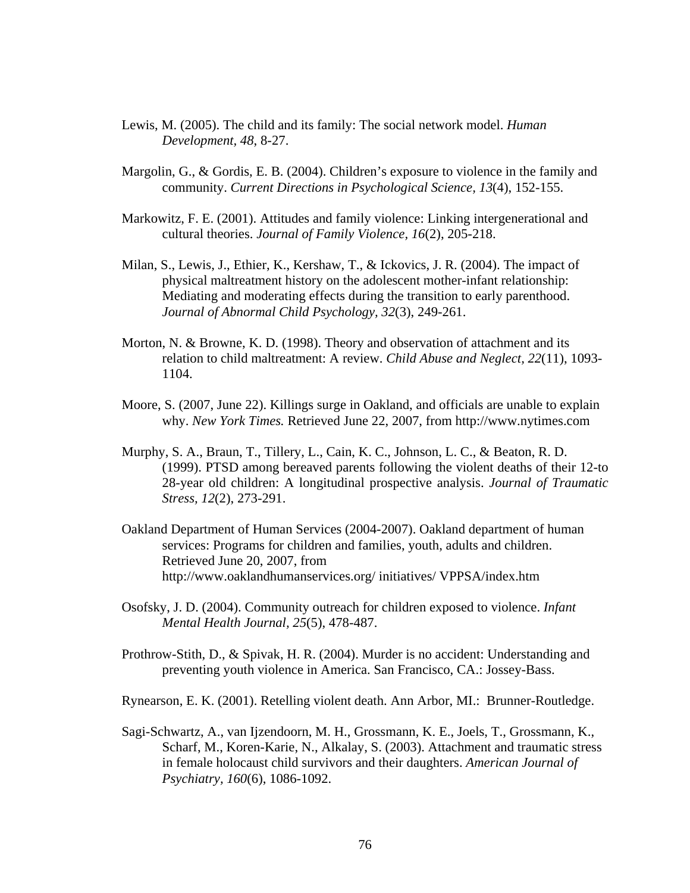- Lewis, M. (2005). The child and its family: The social network model. *Human Development, 48*, 8-27.
- Margolin, G., & Gordis, E. B. (2004). Children's exposure to violence in the family and community. *Current Directions in Psychological Science, 13*(4), 152-155.
- Markowitz, F. E. (2001). Attitudes and family violence: Linking intergenerational and cultural theories. *Journal of Family Violence, 16*(2), 205-218.
- Milan, S., Lewis, J., Ethier, K., Kershaw, T., & Ickovics, J. R. (2004). The impact of physical maltreatment history on the adolescent mother-infant relationship: Mediating and moderating effects during the transition to early parenthood. *Journal of Abnormal Child Psychology, 32*(3), 249-261.
- Morton, N. & Browne, K. D. (1998). Theory and observation of attachment and its relation to child maltreatment: A review. *Child Abuse and Neglect, 22*(11), 1093- 1104.
- Moore, S. (2007, June 22). Killings surge in Oakland, and officials are unable to explain why. *New York Times.* Retrieved June 22, 2007, from http://www.nytimes.com
- Murphy, S. A., Braun, T., Tillery, L., Cain, K. C., Johnson, L. C., & Beaton, R. D. (1999). PTSD among bereaved parents following the violent deaths of their 12-to 28-year old children: A longitudinal prospective analysis. *Journal of Traumatic Stress, 12*(2), 273-291.
- Oakland Department of Human Services (2004-2007). Oakland department of human services: Programs for children and families, youth, adults and children. Retrieved June 20, 2007, from http://www.oaklandhumanservices.org/ initiatives/ VPPSA/index.htm
- Osofsky, J. D. (2004). Community outreach for children exposed to violence. *Infant Mental Health Journal, 25*(5), 478-487.
- Prothrow-Stith, D., & Spivak, H. R. (2004). Murder is no accident: Understanding and preventing youth violence in America. San Francisco, CA.: Jossey-Bass.
- Rynearson, E. K. (2001). Retelling violent death. Ann Arbor, MI.: Brunner-Routledge.
- Sagi-Schwartz, A., van Ijzendoorn, M. H., Grossmann, K. E., Joels, T., Grossmann, K., Scharf, M., Koren-Karie, N., Alkalay, S. (2003). Attachment and traumatic stress in female holocaust child survivors and their daughters. *American Journal of Psychiatry, 160*(6), 1086-1092.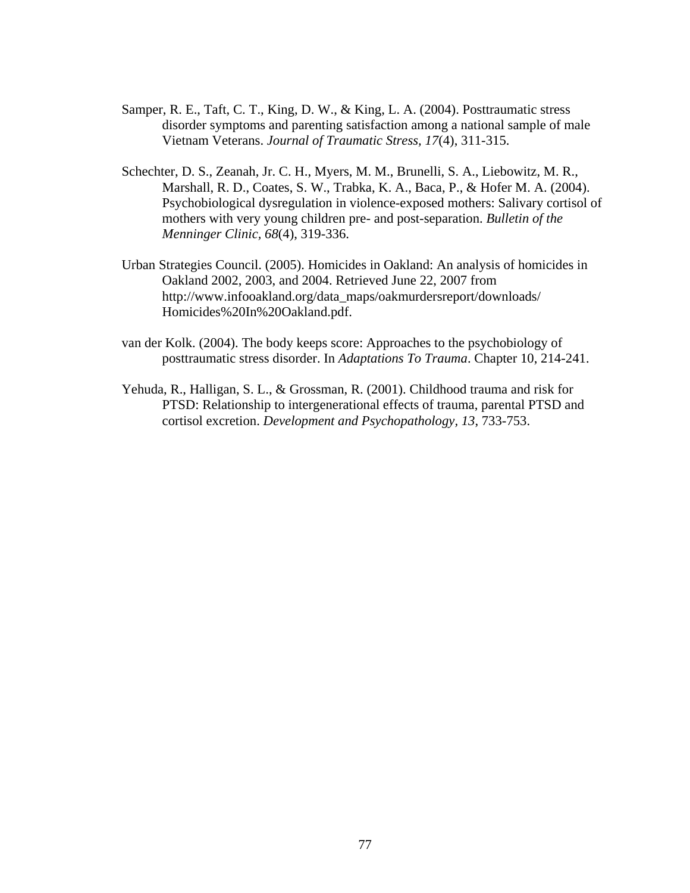- Samper, R. E., Taft, C. T., King, D. W., & King, L. A. (2004). Posttraumatic stress disorder symptoms and parenting satisfaction among a national sample of male Vietnam Veterans. *Journal of Traumatic Stress, 17*(4), 311-315.
- Schechter, D. S., Zeanah, Jr. C. H., Myers, M. M., Brunelli, S. A., Liebowitz, M. R., Marshall, R. D., Coates, S. W., Trabka, K. A., Baca, P., & Hofer M. A. (2004). Psychobiological dysregulation in violence-exposed mothers: Salivary cortisol of mothers with very young children pre- and post-separation. *Bulletin of the Menninger Clinic, 68*(4), 319-336.
- Urban Strategies Council. (2005). Homicides in Oakland: An analysis of homicides in Oakland 2002, 2003, and 2004. Retrieved June 22, 2007 from http://www.infooakland.org/data\_maps/oakmurdersreport/downloads/ Homicides%20In%20Oakland.pdf.
- van der Kolk. (2004). The body keeps score: Approaches to the psychobiology of posttraumatic stress disorder. In *Adaptations To Trauma*. Chapter 10, 214-241.
- Yehuda, R., Halligan, S. L., & Grossman, R. (2001). Childhood trauma and risk for PTSD: Relationship to intergenerational effects of trauma, parental PTSD and cortisol excretion. *Development and Psychopathology, 13*, 733-753.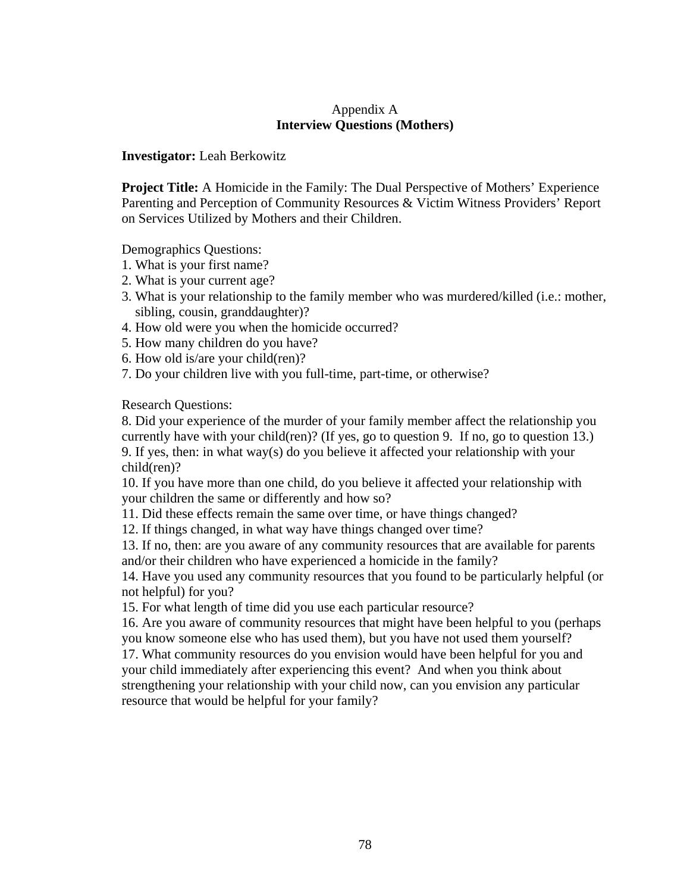#### Appendix A **Interview Questions (Mothers)**

**Investigator:** Leah Berkowitz

**Project Title:** A Homicide in the Family: The Dual Perspective of Mothers' Experience Parenting and Perception of Community Resources & Victim Witness Providers' Report on Services Utilized by Mothers and their Children.

Demographics Questions:

- 1. What is your first name?
- 2. What is your current age?
- 3. What is your relationship to the family member who was murdered/killed (i.e.: mother, sibling, cousin, granddaughter)?
- 4. How old were you when the homicide occurred?
- 5. How many children do you have?
- 6. How old is/are your child(ren)?
- 7. Do your children live with you full-time, part-time, or otherwise?

Research Questions:

8. Did your experience of the murder of your family member affect the relationship you currently have with your child(ren)? (If yes, go to question 9. If no, go to question 13.) 9. If yes, then: in what way(s) do you believe it affected your relationship with your child(ren)?

10. If you have more than one child, do you believe it affected your relationship with your children the same or differently and how so?

11. Did these effects remain the same over time, or have things changed?

12. If things changed, in what way have things changed over time?

13. If no, then: are you aware of any community resources that are available for parents and/or their children who have experienced a homicide in the family?

14. Have you used any community resources that you found to be particularly helpful (or not helpful) for you?

15. For what length of time did you use each particular resource?

16. Are you aware of community resources that might have been helpful to you (perhaps you know someone else who has used them), but you have not used them yourself?

17. What community resources do you envision would have been helpful for you and your child immediately after experiencing this event? And when you think about strengthening your relationship with your child now, can you envision any particular resource that would be helpful for your family?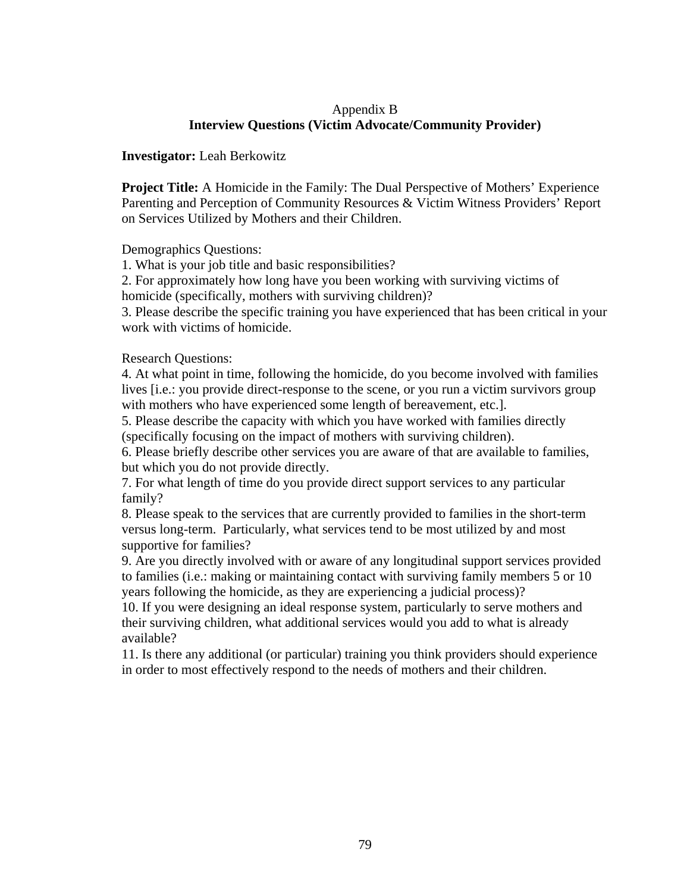#### Appendix B **Interview Questions (Victim Advocate/Community Provider)**

**Investigator:** Leah Berkowitz

**Project Title:** A Homicide in the Family: The Dual Perspective of Mothers' Experience Parenting and Perception of Community Resources & Victim Witness Providers' Report on Services Utilized by Mothers and their Children.

Demographics Questions:

1. What is your job title and basic responsibilities?

2. For approximately how long have you been working with surviving victims of

homicide (specifically, mothers with surviving children)?

3. Please describe the specific training you have experienced that has been critical in your work with victims of homicide.

Research Questions:

4. At what point in time, following the homicide, do you become involved with families lives [i.e.: you provide direct-response to the scene, or you run a victim survivors group with mothers who have experienced some length of bereavement, etc.].

5. Please describe the capacity with which you have worked with families directly (specifically focusing on the impact of mothers with surviving children).

6. Please briefly describe other services you are aware of that are available to families, but which you do not provide directly.

7. For what length of time do you provide direct support services to any particular family?

8. Please speak to the services that are currently provided to families in the short-term versus long-term. Particularly, what services tend to be most utilized by and most supportive for families?

9. Are you directly involved with or aware of any longitudinal support services provided to families (i.e.: making or maintaining contact with surviving family members 5 or 10 years following the homicide, as they are experiencing a judicial process)?

10. If you were designing an ideal response system, particularly to serve mothers and their surviving children, what additional services would you add to what is already available?

11. Is there any additional (or particular) training you think providers should experience in order to most effectively respond to the needs of mothers and their children.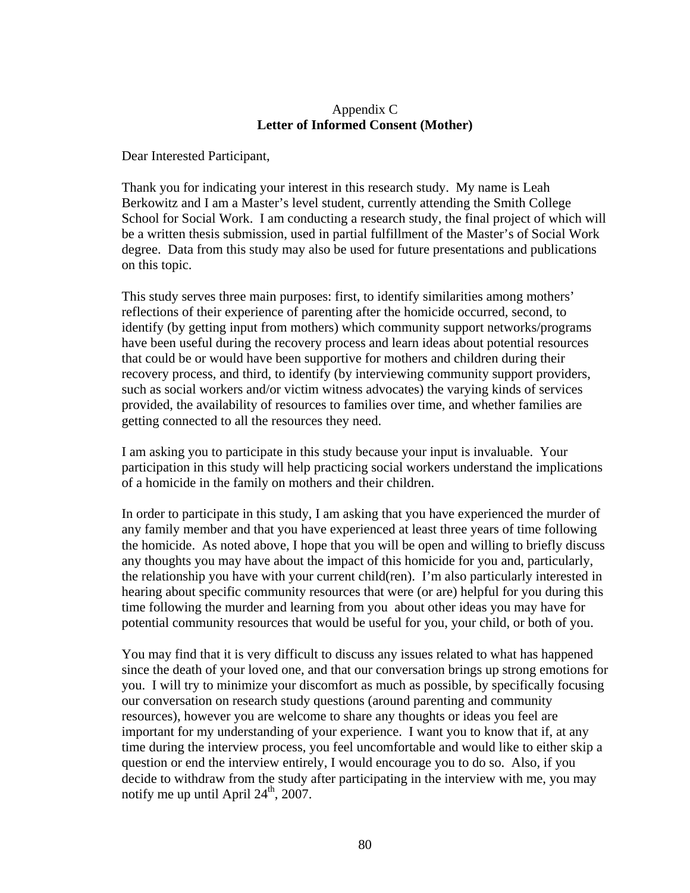#### Appendix C **Letter of Informed Consent (Mother)**

Dear Interested Participant,

Thank you for indicating your interest in this research study. My name is Leah Berkowitz and I am a Master's level student, currently attending the Smith College School for Social Work. I am conducting a research study, the final project of which will be a written thesis submission, used in partial fulfillment of the Master's of Social Work degree. Data from this study may also be used for future presentations and publications on this topic.

This study serves three main purposes: first, to identify similarities among mothers' reflections of their experience of parenting after the homicide occurred, second, to identify (by getting input from mothers) which community support networks/programs have been useful during the recovery process and learn ideas about potential resources that could be or would have been supportive for mothers and children during their recovery process, and third, to identify (by interviewing community support providers, such as social workers and/or victim witness advocates) the varying kinds of services provided, the availability of resources to families over time, and whether families are getting connected to all the resources they need.

I am asking you to participate in this study because your input is invaluable. Your participation in this study will help practicing social workers understand the implications of a homicide in the family on mothers and their children.

In order to participate in this study, I am asking that you have experienced the murder of any family member and that you have experienced at least three years of time following the homicide. As noted above, I hope that you will be open and willing to briefly discuss any thoughts you may have about the impact of this homicide for you and, particularly, the relationship you have with your current child(ren). I'm also particularly interested in hearing about specific community resources that were (or are) helpful for you during this time following the murder and learning from you about other ideas you may have for potential community resources that would be useful for you, your child, or both of you.

You may find that it is very difficult to discuss any issues related to what has happened since the death of your loved one, and that our conversation brings up strong emotions for you. I will try to minimize your discomfort as much as possible, by specifically focusing our conversation on research study questions (around parenting and community resources), however you are welcome to share any thoughts or ideas you feel are important for my understanding of your experience. I want you to know that if, at any time during the interview process, you feel uncomfortable and would like to either skip a question or end the interview entirely, I would encourage you to do so. Also, if you decide to withdraw from the study after participating in the interview with me, you may notify me up until April  $24<sup>th</sup>$ , 2007.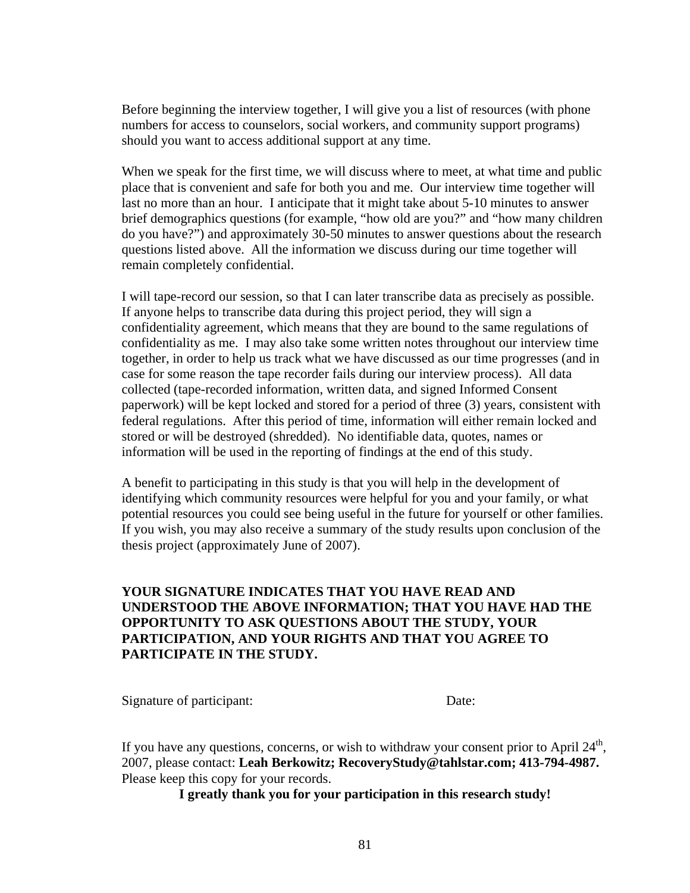Before beginning the interview together, I will give you a list of resources (with phone numbers for access to counselors, social workers, and community support programs) should you want to access additional support at any time.

When we speak for the first time, we will discuss where to meet, at what time and public place that is convenient and safe for both you and me. Our interview time together will last no more than an hour. I anticipate that it might take about 5-10 minutes to answer brief demographics questions (for example, "how old are you?" and "how many children do you have?") and approximately 30-50 minutes to answer questions about the research questions listed above. All the information we discuss during our time together will remain completely confidential.

I will tape-record our session, so that I can later transcribe data as precisely as possible. If anyone helps to transcribe data during this project period, they will sign a confidentiality agreement, which means that they are bound to the same regulations of confidentiality as me. I may also take some written notes throughout our interview time together, in order to help us track what we have discussed as our time progresses (and in case for some reason the tape recorder fails during our interview process). All data collected (tape-recorded information, written data, and signed Informed Consent paperwork) will be kept locked and stored for a period of three (3) years, consistent with federal regulations. After this period of time, information will either remain locked and stored or will be destroyed (shredded). No identifiable data, quotes, names or information will be used in the reporting of findings at the end of this study.

A benefit to participating in this study is that you will help in the development of identifying which community resources were helpful for you and your family, or what potential resources you could see being useful in the future for yourself or other families. If you wish, you may also receive a summary of the study results upon conclusion of the thesis project (approximately June of 2007).

#### **YOUR SIGNATURE INDICATES THAT YOU HAVE READ AND UNDERSTOOD THE ABOVE INFORMATION; THAT YOU HAVE HAD THE OPPORTUNITY TO ASK QUESTIONS ABOUT THE STUDY, YOUR PARTICIPATION, AND YOUR RIGHTS AND THAT YOU AGREE TO PARTICIPATE IN THE STUDY.**

Signature of participant: Date:

If you have any questions, concerns, or wish to withdraw your consent prior to April  $24<sup>th</sup>$ , 2007, please contact: **Leah Berkowitz; RecoveryStudy@tahlstar.com; 413-794-4987.**  Please keep this copy for your records.

**I greatly thank you for your participation in this research study!**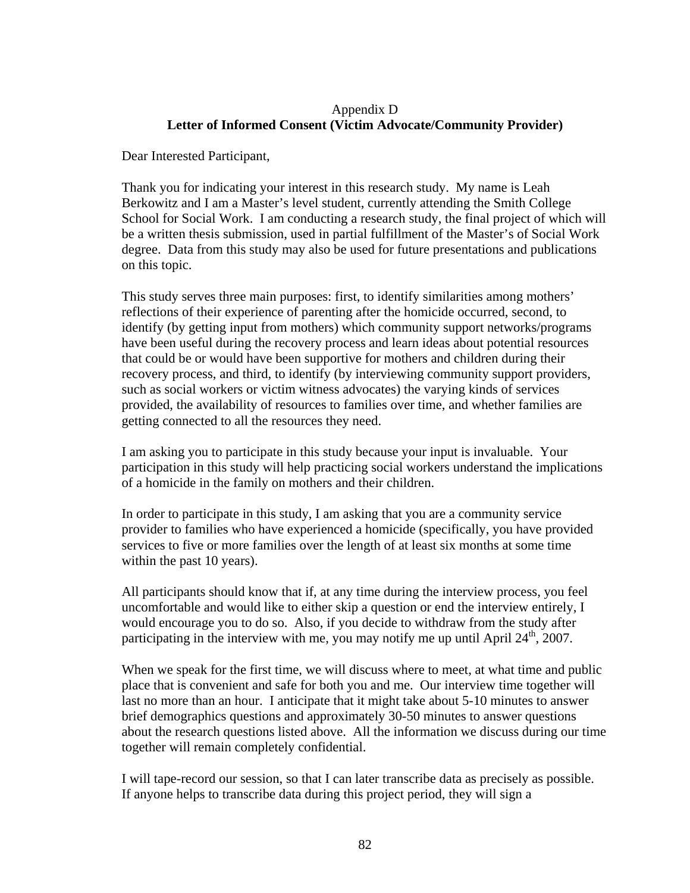#### Appendix D **Letter of Informed Consent (Victim Advocate/Community Provider)**

Dear Interested Participant,

Thank you for indicating your interest in this research study. My name is Leah Berkowitz and I am a Master's level student, currently attending the Smith College School for Social Work. I am conducting a research study, the final project of which will be a written thesis submission, used in partial fulfillment of the Master's of Social Work degree. Data from this study may also be used for future presentations and publications on this topic.

This study serves three main purposes: first, to identify similarities among mothers' reflections of their experience of parenting after the homicide occurred, second, to identify (by getting input from mothers) which community support networks/programs have been useful during the recovery process and learn ideas about potential resources that could be or would have been supportive for mothers and children during their recovery process, and third, to identify (by interviewing community support providers, such as social workers or victim witness advocates) the varying kinds of services provided, the availability of resources to families over time, and whether families are getting connected to all the resources they need.

I am asking you to participate in this study because your input is invaluable. Your participation in this study will help practicing social workers understand the implications of a homicide in the family on mothers and their children.

In order to participate in this study, I am asking that you are a community service provider to families who have experienced a homicide (specifically, you have provided services to five or more families over the length of at least six months at some time within the past 10 years).

All participants should know that if, at any time during the interview process, you feel uncomfortable and would like to either skip a question or end the interview entirely, I would encourage you to do so. Also, if you decide to withdraw from the study after participating in the interview with me, you may notify me up until April  $24<sup>th</sup>$ , 2007.

When we speak for the first time, we will discuss where to meet, at what time and public place that is convenient and safe for both you and me. Our interview time together will last no more than an hour. I anticipate that it might take about 5-10 minutes to answer brief demographics questions and approximately 30-50 minutes to answer questions about the research questions listed above. All the information we discuss during our time together will remain completely confidential.

I will tape-record our session, so that I can later transcribe data as precisely as possible. If anyone helps to transcribe data during this project period, they will sign a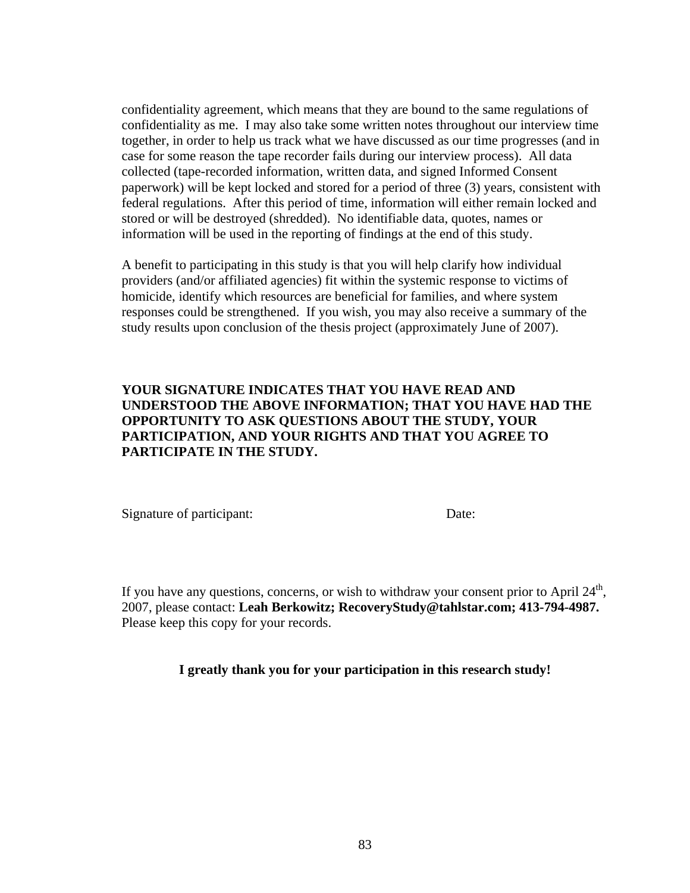confidentiality agreement, which means that they are bound to the same regulations of confidentiality as me. I may also take some written notes throughout our interview time together, in order to help us track what we have discussed as our time progresses (and in case for some reason the tape recorder fails during our interview process). All data collected (tape-recorded information, written data, and signed Informed Consent paperwork) will be kept locked and stored for a period of three (3) years, consistent with federal regulations. After this period of time, information will either remain locked and stored or will be destroyed (shredded). No identifiable data, quotes, names or information will be used in the reporting of findings at the end of this study.

A benefit to participating in this study is that you will help clarify how individual providers (and/or affiliated agencies) fit within the systemic response to victims of homicide, identify which resources are beneficial for families, and where system responses could be strengthened. If you wish, you may also receive a summary of the study results upon conclusion of the thesis project (approximately June of 2007).

#### **YOUR SIGNATURE INDICATES THAT YOU HAVE READ AND UNDERSTOOD THE ABOVE INFORMATION; THAT YOU HAVE HAD THE OPPORTUNITY TO ASK QUESTIONS ABOUT THE STUDY, YOUR PARTICIPATION, AND YOUR RIGHTS AND THAT YOU AGREE TO PARTICIPATE IN THE STUDY.**

Signature of participant: Date:

If you have any questions, concerns, or wish to withdraw your consent prior to April  $24<sup>th</sup>$ , 2007, please contact: **Leah Berkowitz; RecoveryStudy@tahlstar.com; 413-794-4987.**  Please keep this copy for your records.

**I greatly thank you for your participation in this research study!**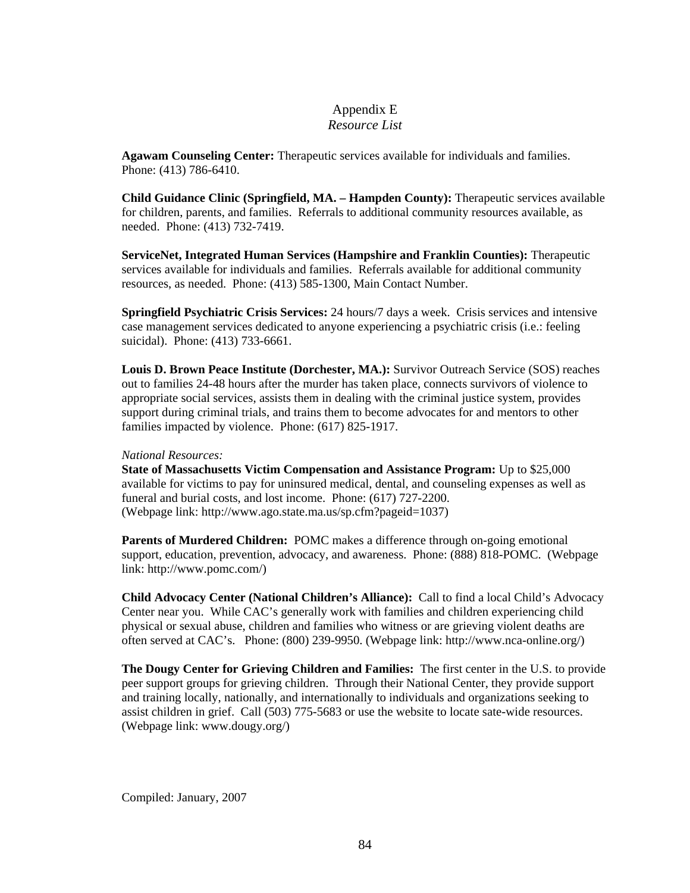#### Appendix E *Resource List*

**Agawam Counseling Center:** Therapeutic services available for individuals and families. Phone: (413) 786-6410.

**Child Guidance Clinic (Springfield, MA. – Hampden County):** Therapeutic services available for children, parents, and families. Referrals to additional community resources available, as needed. Phone: (413) 732-7419.

**ServiceNet, Integrated Human Services (Hampshire and Franklin Counties):** Therapeutic services available for individuals and families. Referrals available for additional community resources, as needed. Phone: (413) 585-1300, Main Contact Number.

**Springfield Psychiatric Crisis Services:** 24 hours/7 days a week. Crisis services and intensive case management services dedicated to anyone experiencing a psychiatric crisis (i.e.: feeling suicidal). Phone: (413) 733-6661.

**Louis D. Brown Peace Institute (Dorchester, MA.):** Survivor Outreach Service (SOS) reaches out to families 24-48 hours after the murder has taken place, connects survivors of violence to appropriate social services, assists them in dealing with the criminal justice system, provides support during criminal trials, and trains them to become advocates for and mentors to other families impacted by violence. Phone: (617) 825-1917.

#### *National Resources:*

**State of Massachusetts Victim Compensation and Assistance Program:** Up to \$25,000 available for victims to pay for uninsured medical, dental, and counseling expenses as well as funeral and burial costs, and lost income. Phone: (617) 727-2200. (Webpage link: http://www.ago.state.ma.us/sp.cfm?pageid=1037)

**Parents of Murdered Children:** POMC makes a difference through on-going emotional support, education, prevention, advocacy, and awareness. Phone: (888) 818-POMC. (Webpage link: http://www.pomc.com/)

**Child Advocacy Center (National Children's Alliance):** Call to find a local Child's Advocacy Center near you. While CAC's generally work with families and children experiencing child physical or sexual abuse, children and families who witness or are grieving violent deaths are often served at CAC's. Phone: (800) 239-9950. (Webpage link: http://www.nca-online.org/)

**The Dougy Center for Grieving Children and Families:** The first center in the U.S. to provide peer support groups for grieving children. Through their National Center, they provide support and training locally, nationally, and internationally to individuals and organizations seeking to assist children in grief. Call (503) 775-5683 or use the website to locate sate-wide resources. (Webpage link: www.dougy.org/)

Compiled: January, 2007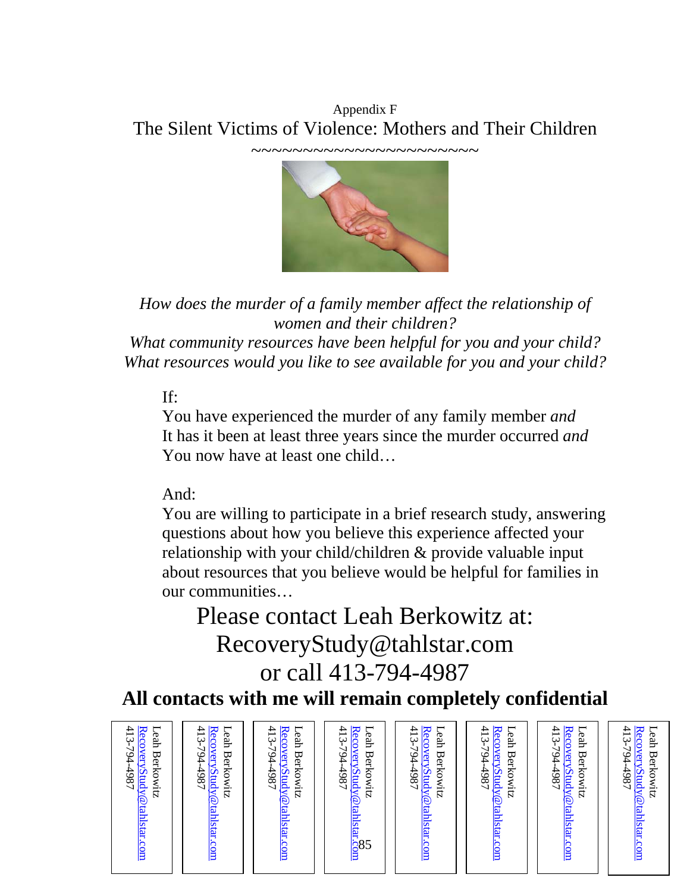Appendix F The Silent Victims of Violence: Mothers and Their Children



*How does the murder of a family member affect the relationship of women and their children? What community resources have been helpful for you and your child? What resources would you like to see available for you and your child?* 

## If:

You have experienced the murder of any family member *and*  It has it been at least three years since the murder occurred *and*  You now have at least one child…

## And:

You are willing to participate in a brief research study, answering questions about how you believe this experience affected your relationship with your child/children & provide valuable input about resources that you believe would be helpful for families in our communities…

# Please contact Leah Berkowitz at: RecoveryStudy@tahlstar.com or call 413-794-4987

## **All contacts with me will remain completely confidential**

| 413-794-4987<br>Recovery Study @ tahlstar.com<br>⊢<br>413-794.<br>Recovery Study @tahlstar.com<br>eah Berkowitz<br>$186 +$ | 413-794-4987<br>Recovery Study @tahlstar.com<br>⊢<br>⊢<br>hah<br>eah Berkowitz<br><b>Berkowitz</b> | 413-794-4987<br>⊢<br>Recovery Study @ tahlstar<br>hah<br><b>Berkowitz</b><br>$\frac{1}{8}$ 85 | 413-794-<br>Recovery Study@tahlstar.com<br>⊢<br>hah<br>Berkowitz<br>186t | 413-794-4987<br>Recovery Study @ tahlstar.com<br>⊢<br>eah<br><b>Berkowitz</b> | ⊢<br>413-794-4987<br>Recovery Study @ tahlstar.com<br>eah<br><b>Berkowitz</b> | 413-794-4987<br>⊢<br>Recovery Study @ tahlstar.com<br>eah Berkowitz |
|----------------------------------------------------------------------------------------------------------------------------|----------------------------------------------------------------------------------------------------|-----------------------------------------------------------------------------------------------|--------------------------------------------------------------------------|-------------------------------------------------------------------------------|-------------------------------------------------------------------------------|---------------------------------------------------------------------|
|----------------------------------------------------------------------------------------------------------------------------|----------------------------------------------------------------------------------------------------|-----------------------------------------------------------------------------------------------|--------------------------------------------------------------------------|-------------------------------------------------------------------------------|-------------------------------------------------------------------------------|---------------------------------------------------------------------|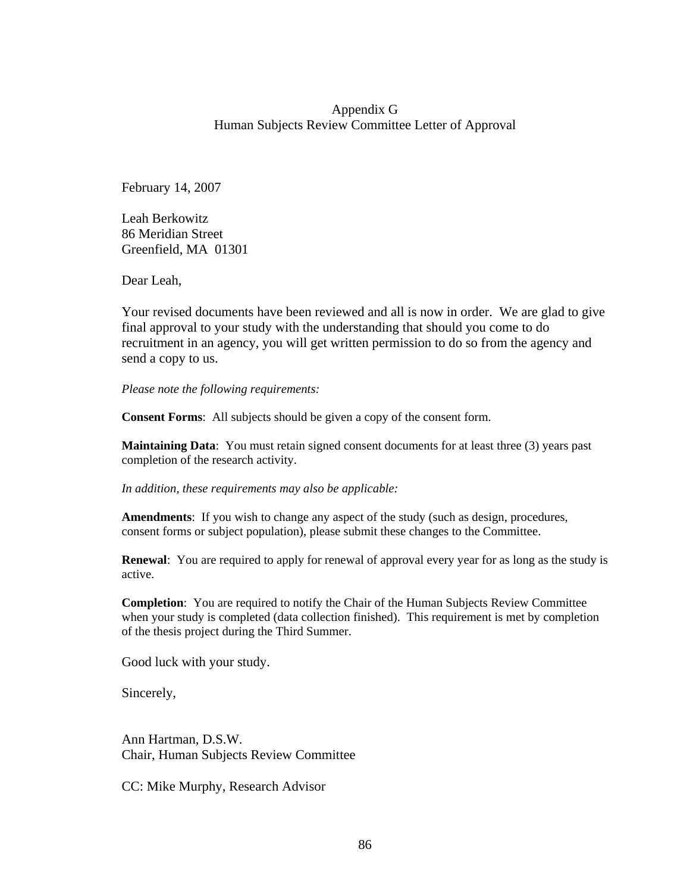#### Appendix G Human Subjects Review Committee Letter of Approval

February 14, 2007

Leah Berkowitz 86 Meridian Street Greenfield, MA 01301

Dear Leah,

Your revised documents have been reviewed and all is now in order. We are glad to give final approval to your study with the understanding that should you come to do recruitment in an agency, you will get written permission to do so from the agency and send a copy to us.

*Please note the following requirements:* 

**Consent Forms**: All subjects should be given a copy of the consent form.

**Maintaining Data**: You must retain signed consent documents for at least three (3) years past completion of the research activity.

*In addition, these requirements may also be applicable:* 

**Amendments**: If you wish to change any aspect of the study (such as design, procedures, consent forms or subject population), please submit these changes to the Committee.

**Renewal**: You are required to apply for renewal of approval every year for as long as the study is active.

**Completion**: You are required to notify the Chair of the Human Subjects Review Committee when your study is completed (data collection finished). This requirement is met by completion of the thesis project during the Third Summer.

Good luck with your study.

Sincerely,

Ann Hartman, D.S.W. Chair, Human Subjects Review Committee

CC: Mike Murphy, Research Advisor